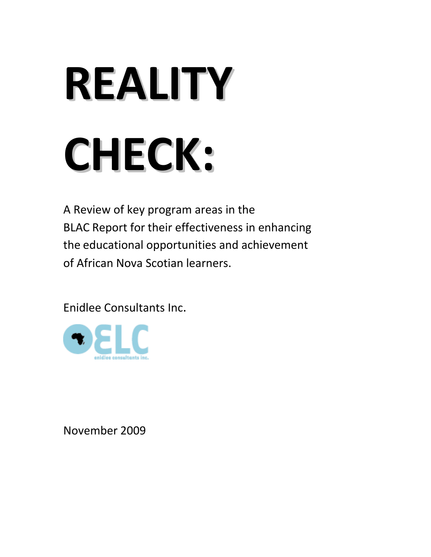# **REALITY CHECK:**

A Review of key program areas in the BLAC Report for their effectiveness in enhancing the educational opportunities and achievement of African Nova Scotian learners.

Enidlee Consultants Inc.



November 2009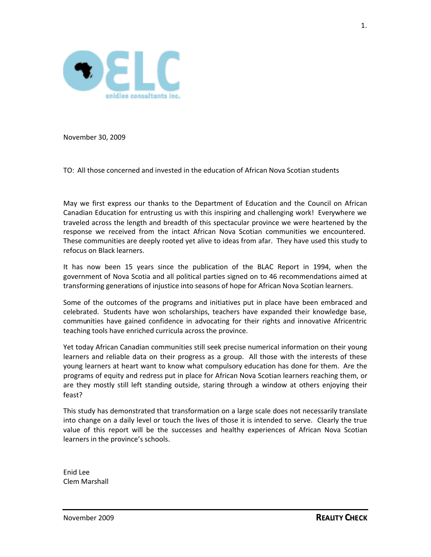

November 30, 2009

TO: All those concerned and invested in the education of African Nova Scotian students

May we first express our thanks to the Department of Education and the Council on African Canadian Education for entrusting us with this inspiring and challenging work! Everywhere we traveled across the length and breadth of this spectacular province we were heartened by the response we received from the intact African Nova Scotian communities we encountered. These communities are deeply rooted yet alive to ideas from afar. They have used this study to refocus on Black learners.

It has now been 15 years since the publication of the BLAC Report in 1994, when the government of Nova Scotia and all political parties signed on to 46 recommendations aimed at transforming generations of injustice into seasons of hope for African Nova Scotian learners.

Some of the outcomes of the programs and initiatives put in place have been embraced and celebrated. Students have won scholarships, teachers have expanded their knowledge base, communities have gained confidence in advocating for their rights and innovative Africentric teaching tools have enriched curricula across the province.

Yet today African Canadian communities still seek precise numerical information on their young learners and reliable data on their progress as a group. All those with the interests of these young learners at heart want to know what compulsory education has done for them. Are the programs of equity and redress put in place for African Nova Scotian learners reaching them, or are they mostly still left standing outside, staring through a window at others enjoying their feast?

This study has demonstrated that transformation on a large scale does not necessarily translate into change on a daily level or touch the lives of those it is intended to serve. Clearly the true value of this report will be the successes and healthy experiences of African Nova Scotian learners in the province's schools.

Enid Lee Clem Marshall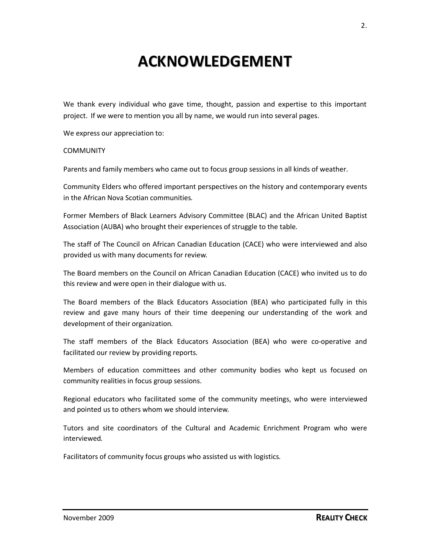## **ACKNOWLEDGEMENT**

We thank every individual who gave time, thought, passion and expertise to this important project. If we were to mention you all by name, we would run into several pages.

We express our appreciation to:

#### **COMMUNITY**

Parents and family members who came out to focus group sessions in all kinds of weather.

Community Elders who offered important perspectives on the history and contemporary events in the African Nova Scotian communities.

Former Members of Black Learners Advisory Committee (BLAC) and the African United Baptist Association (AUBA) who brought their experiences of struggle to the table.

The staff of The Council on African Canadian Education (CACE) who were interviewed and also provided us with many documents for review.

The Board members on the Council on African Canadian Education (CACE) who invited us to do this review and were open in their dialogue with us.

The Board members of the Black Educators Association (BEA) who participated fully in this review and gave many hours of their time deepening our understanding of the work and development of their organization.

The staff members of the Black Educators Association (BEA) who were co-operative and facilitated our review by providing reports.

Members of education committees and other community bodies who kept us focused on community realities in focus group sessions.

Regional educators who facilitated some of the community meetings, who were interviewed and pointed us to others whom we should interview.

Tutors and site coordinators of the Cultural and Academic Enrichment Program who were interviewed.

Facilitators of community focus groups who assisted us with logistics.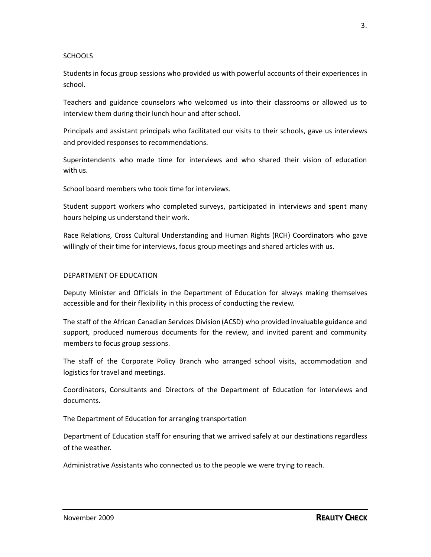#### **SCHOOLS**

Students in focus group sessions who provided us with powerful accounts of their experiences in school.

Teachers and guidance counselors who welcomed us into their classrooms or allowed us to interview them during their lunch hour and after school.

Principals and assistant principals who facilitated our visits to their schools, gave us interviews and provided responses to recommendations.

Superintendents who made time for interviews and who shared their vision of education with us.

School board members who took time for interviews.

Student support workers who completed surveys, participated in interviews and spent many hours helping us understand their work.

Race Relations, Cross Cultural Understanding and Human Rights (RCH) Coordinators who gave willingly of their time for interviews, focus group meetings and shared articles with us.

#### DEPARTMENT OF EDUCATION

Deputy Minister and Officials in the Department of Education for always making themselves accessible and for their flexibility in this process of conducting the review.

The staff of the African Canadian Services Division (ACSD) who provided invaluable guidance and support, produced numerous documents for the review, and invited parent and community members to focus group sessions.

The staff of the Corporate Policy Branch who arranged school visits, accommodation and logistics for travel and meetings.

Coordinators, Consultants and Directors of the Department of Education for interviews and documents.

The Department of Education for arranging transportation

Department of Education staff for ensuring that we arrived safely at our destinations regardless of the weather.

Administrative Assistants who connected us to the people we were trying to reach.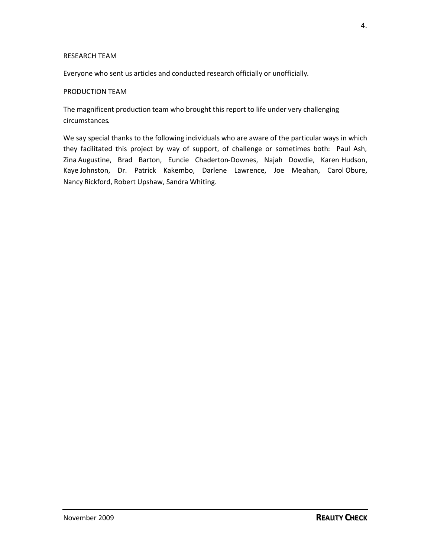#### RESEARCH TEAM

Everyone who sent us articles and conducted research officially or unofficially.

#### PRODUCTION TEAM

The magnificent production team who brought this report to life under very challenging circumstances.

We say special thanks to the following individuals who are aware of the particular ways in which they facilitated this project by way of support, of challenge or sometimes both: Paul Ash, Zina Augustine, Brad Barton, Euncie Chaderton-Downes, Najah Dowdie, Karen Hudson, Kaye Johnston, Dr. Patrick Kakembo, Darlene Lawrence, Joe Meahan, Carol Obure, Nancy Rickford, Robert Upshaw, Sandra Whiting.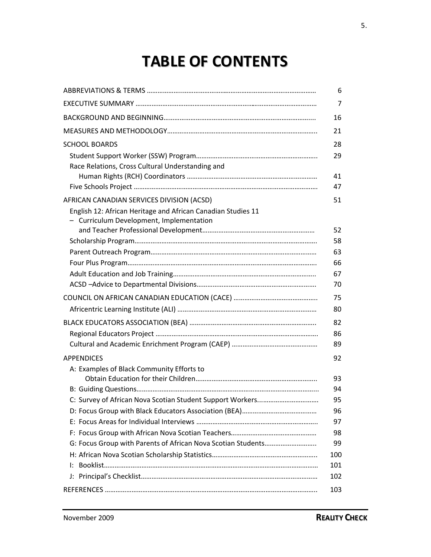# **TABLE OF CONTENTS**

|                                                                                                          | 6   |
|----------------------------------------------------------------------------------------------------------|-----|
|                                                                                                          | 7   |
|                                                                                                          | 16  |
|                                                                                                          | 21  |
| <b>SCHOOL BOARDS</b>                                                                                     | 28  |
|                                                                                                          | 29  |
| Race Relations, Cross Cultural Understanding and                                                         |     |
|                                                                                                          | 41  |
|                                                                                                          | 47  |
| AFRICAN CANADIAN SERVICES DIVISION (ACSD)                                                                | 51  |
| English 12: African Heritage and African Canadian Studies 11<br>- Curriculum Development, Implementation |     |
|                                                                                                          | 52  |
|                                                                                                          | 58  |
|                                                                                                          | 63  |
|                                                                                                          | 66  |
|                                                                                                          | 67  |
|                                                                                                          | 70  |
|                                                                                                          | 75  |
|                                                                                                          | 80  |
|                                                                                                          | 82  |
|                                                                                                          | 86  |
|                                                                                                          | 89  |
| <b>APPENDICES</b>                                                                                        | 92  |
| A: Examples of Black Community Efforts to                                                                |     |
|                                                                                                          | 93  |
|                                                                                                          | 94  |
|                                                                                                          | 95  |
|                                                                                                          | 96  |
|                                                                                                          | 97  |
|                                                                                                          | 98  |
|                                                                                                          | 99  |
|                                                                                                          | 100 |
| Ŀ.                                                                                                       | 101 |
| J:                                                                                                       | 102 |
|                                                                                                          | 103 |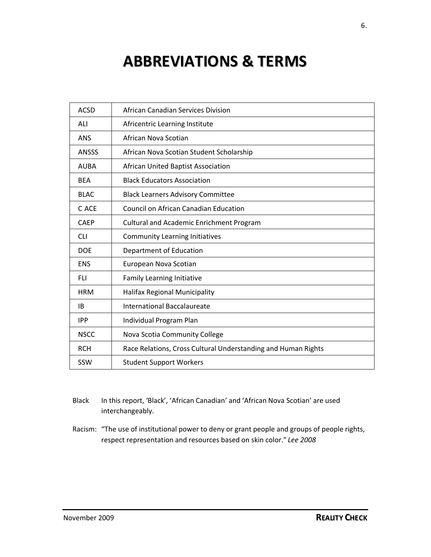# **ABBREVIATIONS & TERMS**

| <b>ACSD</b>  | African Canadian Services Division                            |
|--------------|---------------------------------------------------------------|
| ALI          | Africentric Learning Institute                                |
| <b>ANS</b>   | African Nova Scotian                                          |
| <b>ANSSS</b> | African Nova Scotian Student Scholarship                      |
| <b>AUBA</b>  | African United Baptist Association                            |
| <b>BFA</b>   | <b>Black Educators Association</b>                            |
| <b>BLAC</b>  | <b>Black Learners Advisory Committee</b>                      |
| C ACE        | Council on African Canadian Education                         |
| <b>CAEP</b>  | <b>Cultural and Academic Enrichment Program</b>               |
| <b>CLI</b>   | <b>Community Learning Initiatives</b>                         |
| <b>DOE</b>   | Department of Education                                       |
| <b>ENS</b>   | European Nova Scotian                                         |
| <b>FLI</b>   | Family Learning Initiative                                    |
| <b>HRM</b>   | <b>Halifax Regional Municipality</b>                          |
| <b>IB</b>    | <b>International Baccalaureate</b>                            |
| <b>IPP</b>   | Individual Program Plan                                       |
| <b>NSCC</b>  | Nova Scotia Community College                                 |
| <b>RCH</b>   | Race Relations, Cross Cultural Understanding and Human Rights |
| <b>SSW</b>   | <b>Student Support Workers</b>                                |

- Black In this report, 'Black', 'African Canadian' and 'African Nova Scotian' are used interchangeably.
- Racism: "The use of institutional power to deny or grant people and groups of people rights, respect representation and resources based on skin color." *Lee 2008*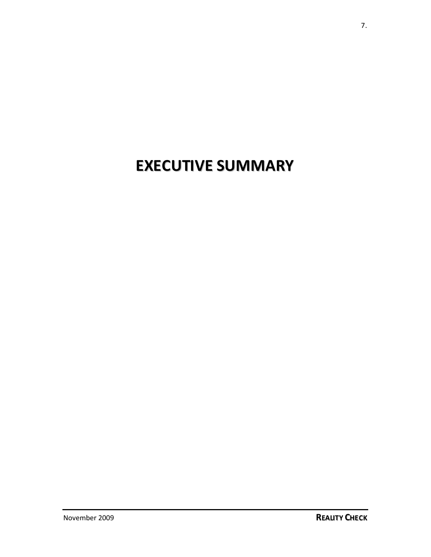# **EXECUTIVE SUMMARY**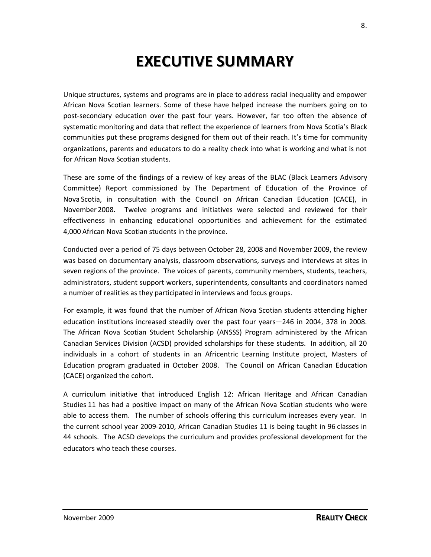## **EXECUTIVE SUMMARY**

Unique structures, systems and programs are in place to address racial inequality and empower African Nova Scotian learners. Some of these have helped increase the numbers going on to post-secondary education over the past four years. However, far too often the absence of systematic monitoring and data that reflect the experience of learners from Nova Scotia's Black communities put these programs designed for them out of their reach. It's time for community organizations, parents and educators to do a reality check into what is working and what is not for African Nova Scotian students.

These are some of the findings of a review of key areas of the BLAC (Black Learners Advisory Committee) Report commissioned by The Department of Education of the Province of Nova Scotia, in consultation with the Council on African Canadian Education (CACE), in November 2008. Twelve programs and initiatives were selected and reviewed for their effectiveness in enhancing educational opportunities and achievement for the estimated 4,000 African Nova Scotian students in the province.

Conducted over a period of 75 days between October 28, 2008 and November 2009, the review was based on documentary analysis, classroom observations, surveys and interviews at sites in seven regions of the province. The voices of parents, community members, students, teachers, administrators, student support workers, superintendents, consultants and coordinators named a number of realities as they participated in interviews and focus groups.

For example, it was found that the number of African Nova Scotian students attending higher education institutions increased steadily over the past four years—246 in 2004, 378 in 2008. The African Nova Scotian Student Scholarship (ANSSS) Program administered by the African Canadian Services Division (ACSD) provided scholarships for these students. In addition, all 20 individuals in a cohort of students in an Africentric Learning Institute project, Masters of Education program graduated in October 2008. The Council on African Canadian Education (CACE) organized the cohort.

A curriculum initiative that introduced English 12: African Heritage and African Canadian Studies 11 has had a positive impact on many of the African Nova Scotian students who were able to access them. The number of schools offering this curriculum increases every year. In the current school year 2009-2010, African Canadian Studies 11 is being taught in 96 classes in 44 schools. The ACSD develops the curriculum and provides professional development for the educators who teach these courses.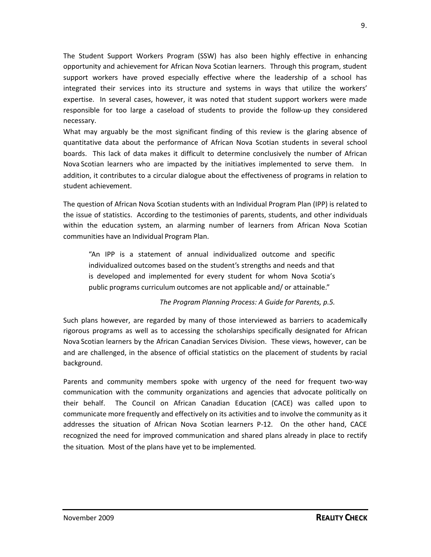The Student Support Workers Program (SSW) has also been highly effective in enhancing opportunity and achievement for African Nova Scotian learners. Through this program, student support workers have proved especially effective where the leadership of a school has integrated their services into its structure and systems in ways that utilize the workers' expertise. In several cases, however, it was noted that student support workers were made responsible for too large a caseload of students to provide the follow-up they considered necessary.

What may arguably be the most significant finding of this review is the glaring absence of quantitative data about the performance of African Nova Scotian students in several school boards. This lack of data makes it difficult to determine conclusively the number of African Nova Scotian learners who are impacted by the initiatives implemented to serve them. In addition, it contributes to a circular dialogue about the effectiveness of programs in relation to student achievement.

The question of African Nova Scotian students with an Individual Program Plan (IPP) is related to the issue of statistics. According to the testimonies of parents, students, and other individuals within the education system, an alarming number of learners from African Nova Scotian communities have an Individual Program Plan.

"An IPP is a statement of annual individualized outcome and specific individualized outcomes based on the student's strengths and needs and that is developed and implemented for every student for whom Nova Scotia's public programs curriculum outcomes are not applicable and/ or attainable."

*The Program Planning Process: A Guide for Parents, p.5.*

Such plans however, are regarded by many of those interviewed as barriers to academically rigorous programs as well as to accessing the scholarships specifically designated for African Nova Scotian learners by the African Canadian Services Division. These views, however, can be and are challenged, in the absence of official statistics on the placement of students by racial background.

Parents and community members spoke with urgency of the need for frequent two-way communication with the community organizations and agencies that advocate politically on their behalf. The Council on African Canadian Education (CACE) was called upon to communicate more frequently and effectively on its activities and to involve the community as it addresses the situation of African Nova Scotian learners P-12. On the other hand, CACE recognized the need for improved communication and shared plans already in place to rectify the situation. Most of the plans have yet to be implemented.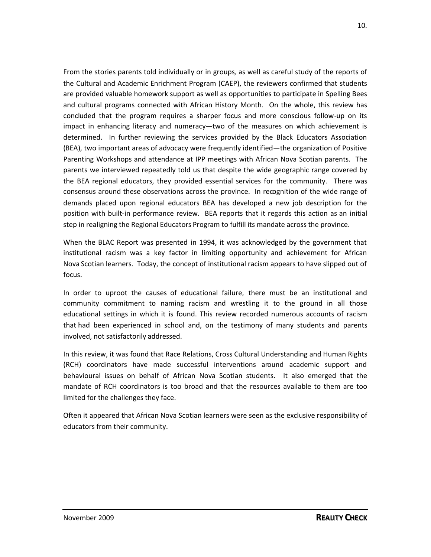From the stories parents told individually or in groups, as well as careful study of the reports of the Cultural and Academic Enrichment Program (CAEP), the reviewers confirmed that students are provided valuable homework support as well as opportunities to participate in Spelling Bees and cultural programs connected with African History Month. On the whole, this review has concluded that the program requires a sharper focus and more conscious follow-up on its impact in enhancing literacy and numeracy—two of the measures on which achievement is determined. In further reviewing the services provided by the Black Educators Association (BEA), two important areas of advocacy were frequently identified—the organization of Positive Parenting Workshops and attendance at IPP meetings with African Nova Scotian parents. The parents we interviewed repeatedly told us that despite the wide geographic range covered by the BEA regional educators, they provided essential services for the community. There was consensus around these observations across the province. In recognition of the wide range of demands placed upon regional educators BEA has developed a new job description for the position with built-in performance review. BEA reports that it regards this action as an initial step in realigning the Regional Educators Program to fulfill its mandate across the province.

When the BLAC Report was presented in 1994, it was acknowledged by the government that institutional racism was a key factor in limiting opportunity and achievement for African Nova Scotian learners. Today, the concept of institutional racism appears to have slipped out of focus.

In order to uproot the causes of educational failure, there must be an institutional and community commitment to naming racism and wrestling it to the ground in all those educational settings in which it is found. This review recorded numerous accounts of racism that had been experienced in school and, on the testimony of many students and parents involved, not satisfactorily addressed.

In this review, it was found that Race Relations, Cross Cultural Understanding and Human Rights (RCH) coordinators have made successful interventions around academic support and behavioural issues on behalf of African Nova Scotian students. It also emerged that the mandate of RCH coordinators is too broad and that the resources available to them are too limited for the challenges they face.

Often it appeared that African Nova Scotian learners were seen as the exclusive responsibility of educators from their community.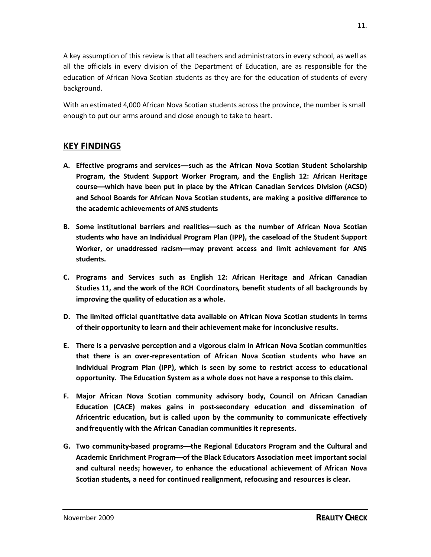A key assumption of this review is that all teachers and administratorsin every school, as well as all the officials in every division of the Department of Education, are as responsible for the education of African Nova Scotian students as they are for the education of students of every background.

With an estimated 4,000 African Nova Scotian students across the province, the number is small enough to put our arms around and close enough to take to heart.

## **KEY FINDINGS**

- **A. Effective programs and services—such as the African Nova Scotian Student Scholarship Program, the Student Support Worker Program, and the English 12: African Heritage course—which have been put in place by the African Canadian Services Division (ACSD) and School Boards for African Nova Scotian students, are making a positive difference to the academic achievements of ANS students**
- **B. Some institutional barriers and realities—such as the number of African Nova Scotian students who have an Individual Program Plan (IPP), the caseload of the Student Support Worker, or unaddressed racism—may prevent access and limit achievement for ANS students.**
- **C. Programs and Services such as English 12: African Heritage and African Canadian Studies 11, and the work of the RCH Coordinators, benefit students of all backgrounds by improving the quality of education as a whole.**
- **D. The limited official quantitative data available on African Nova Scotian students in terms of their opportunity to learn and their achievement make for inconclusive results.**
- **E. There is a pervasive perception and a vigorous claim in African Nova Scotian communities that there is an over-representation of African Nova Scotian students who have an Individual Program Plan (IPP), which is seen by some to restrict access to educational opportunity. The Education System as a whole does not have a response to this claim.**
- **F. Major African Nova Scotian community advisory body, Council on African Canadian Education (CACE) makes gains in post-secondary education and dissemination of Africentric education, but is called upon by the community to communicate effectively and frequently with the African Canadian communities it represents.**
- **G. Two community-based programs—the Regional Educators Program and the Cultural and Academic Enrichment Program—of the Black Educators Association meet important social and cultural needs; however, to enhance the educational achievement of African Nova Scotian students, a need for continued realignment, refocusing and resources is clear.**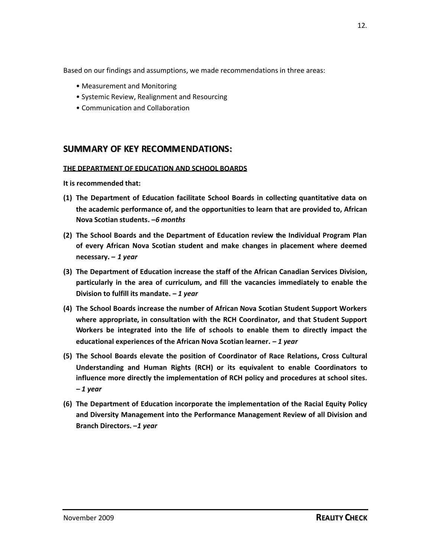Based on our findings and assumptions, we made recommendations in three areas:

- Measurement and Monitoring
- Systemic Review, Realignment and Resourcing
- Communication and Collaboration

### **SUMMARY OF KEY RECOMMENDATIIONS::**

#### **THE DEPARTMENT OF EDUCATION AND SCHOOL BOARDS**

- **(1) The Department of Education facilitate School Boards in collecting quantitative data on the academic performance of, and the opportunities to learn that are provided to, African Nova Scotian students. –***6 months*
- **(2) The School Boards and the Department of Education review the Individual Program Plan of every African Nova Scotian student and make changes in placement where deemed necessary. –** *1 year*
- **(3) The Department of Education increase the staff of the African Canadian Services Division, particularly in the area of curriculum, and fill the vacancies immediately to enable the Division to fulfill its mandate. –** *1 year*
- **(4) The School Boards increase the number of African Nova Scotian Student Support Workers where appropriate, in consultation with the RCH Coordinator, and that Student Support Workers be integrated into the life of schools to enable them to directly impact the educational experiences of the African Nova Scotian learner. –** *1 year*
- **(5) The School Boards elevate the position of Coordinator of Race Relations, Cross Cultural Understanding and Human Rights (RCH) or its equivalent to enable Coordinators to influence more directly the implementation of RCH policy and procedures at school sites. –** *1 year*
- **(6) The Department of Education incorporate the implementation of the Racial Equity Policy and Diversity Management into the Performance Management Review of all Division and Branch Directors. –***1 year*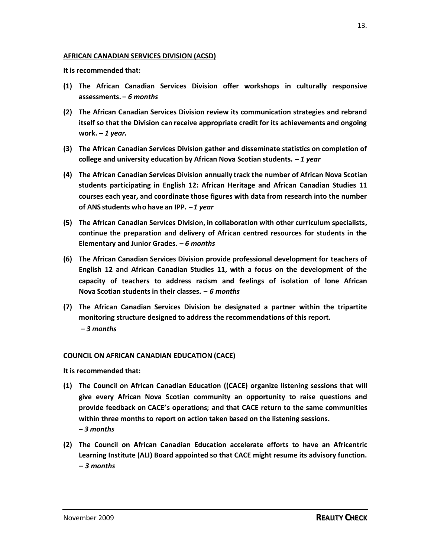**It is recommended that:**

- **(1) The African Canadian Services Division offer workshops in culturally responsive assessments. –** *6 months*
- **(2) The African Canadian Services Division review its communication strategies and rebrand itself so that the Division can receive appropriate credit for its achievements and ongoing work. –** *1 year***.**
- **(3) The African Canadian Services Division gather and disseminate statistics on completion of college and university education by African Nova Scotian students. –** *1 year*
- **(4) The African Canadian Services Division annually track the number of African Nova Scotian students participating in English 12: African Heritage and African Canadian Studies 11 courses each year, and coordinate those figures with data from research into the number of ANS students who have an IPP. –***1 year*
- **(5) The African Canadian Services Division, in collaboration with other curriculum specialists, continue the preparation and delivery of African centred resources for students in the Elementary and Junior Grades. –** *6 months*
- **(6) The African Canadian Services Division provide professional development for teachers of English 12 and African Canadian Studies 11, with a focus on the development of the capacity of teachers to address racism and feelings of isolation of lone African Nova Scotian students in their classes. –** *6 months*
- **(7) The African Canadian Services Division be designated a partner within the tripartite monitoring structure designed to address the recommendations of this report. –** *3 months*

#### **COUNCIL ON AFRICAN CANADIAN EDUCATION (CACE)**

- **(1) The Council on African Canadian Education ((CACE) organize listening sessions that will give every African Nova Scotian community an opportunity to raise questions and provide feedback on CACE's operations; and that CACE return to the same communities within three months to report on action taken based on the listening sessions. –** *3 months*
- **(2) The Council on African Canadian Education accelerate efforts to have an Africentric Learning Institute (ALI) Board appointed so that CACE might resume its advisory function. –** *3 months*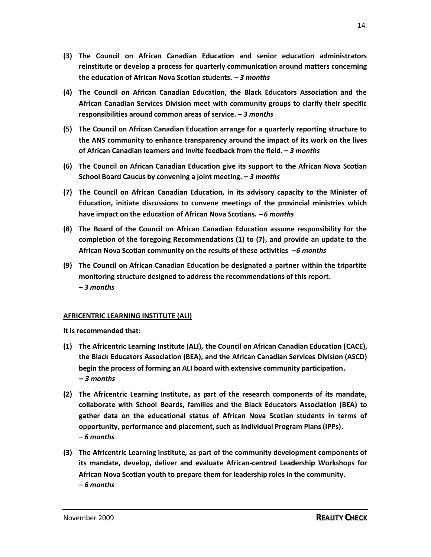- **(3) The Council on African Canadian Education and senior education administrators reinstitute or develop a process for quarterly communication around matters concerning the education of African Nova Scotian students. –** *3 months*
- **(4) The Council on African Canadian Education, the Black Educators Association and the African Canadian Services Division meet with community groups to clarify their specific responsibilities around common areas of service. –** *3 months*
- **(5) The Council on African Canadian Education arrange for a quarterly reporting structure to the ANS community to enhance transparency around the impact of its work on the lives of African Canadian learners and invite feedback from the field. –** *3 months*
- **(6) The Council on African Canadian Education give its support to the African Nova Scotian School Board Caucus by convening a joint meeting. –** *3 months*
- **(7) The Council on African Canadian Education, in its advisory capacity to the Minister of Education, initiate discussions to convene meetings of the provincial ministries which have impact on the education of African Nova Scotians. –** *6 months*
- **(8) The Board of the Council on African Canadian Education assume responsibility for the completion of the foregoing Recommendations (1) to (7), and provide an update to the African Nova Scotian community on the results of these activities –***6 months*
- **(9) The Council on African Canadian Education be designated a partner within the tripartite monitoring structure designed to address the recommendations of this report. –** *3 months*

#### **AFRICENTRIC LEARNING INSTITUTE (ALI)**

- **(1) The Africentric Learning Institute (ALI), the Council on African Canadian Education (CACE), the Black Educators Association (BEA), and the African Canadian Services Division (ASCD) begin the process of forming an ALI board with extensive community participation. –** *3 months*
- **(2) The Africentric Learning Institute, as part of the research components of its mandate, collaborate with School Boards, families and the Black Educators Association (BEA) to gather data on the educational status of African Nova Scotian students in terms of opportunity, performance and placement,such as Individual Program Plans (IPPs). –** *6 months*
- **(3) The Africentric Learning Institute, as part of the community development components of its mandate, develop, deliver and evaluate African-centred Leadership Workshops for African Nova Scotian youth to prepare them for leadership roles in the community. –** *6 months*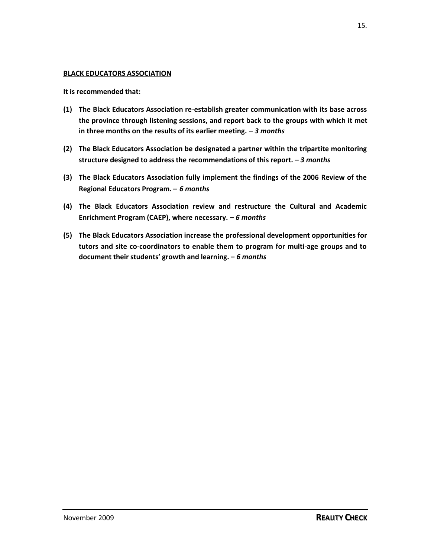#### **BLACK EDUCATORS ASSOCIATION**

- **(1) The Black Educators Association re-establish greater communication with its base across the province through listening sessions, and report back to the groups with which it met in three months on the results of its earlier meeting. –** *3 months*
- **(2) The Black Educators Association be designated a partner within the tripartite monitoring structure designed to address the recommendations of this report. –** *3 months*
- **(3) The Black Educators Association fully implement the findings of the 2006 Review of the Regional Educators Program. –** *6 months*
- **(4) The Black Educators Association review and restructure the Cultural and Academic Enrichment Program (CAEP), where necessary. –** *6 months*
- **(5) The Black Educators Association increase the professional development opportunities for tutors and site co-coordinators to enable them to program for multi-age groups and to document their students' growth and learning. –** *6 months*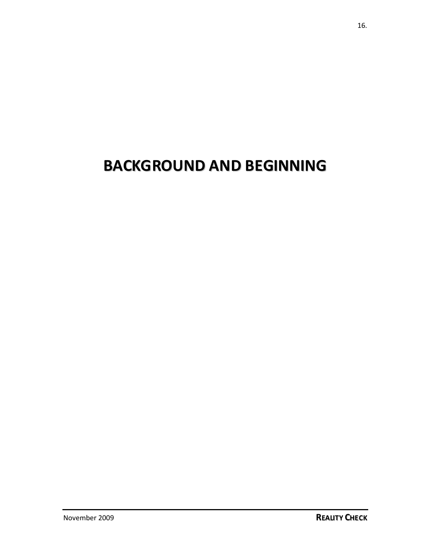# **BACKGROUND AND BEGINNING**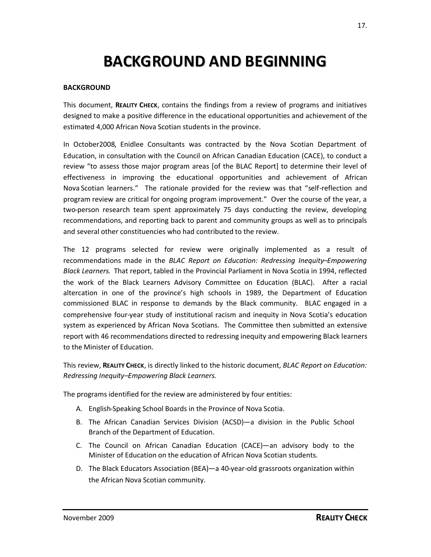## **BACKGROUND AND BEGINNING**

#### **BACKGROUND**

This document, **REALITY CHECK**, contains the findings from a review of programs and initiatives designed to make a positive difference in the educational opportunities and achievement of the estimated 4,000 African Nova Scotian students in the province.

In October2008, Enidlee Consultants was contracted by the Nova Scotian Department of Education, in consultation with the Council on African Canadian Education (CACE), to conduct a review "to assess those major program areas [of the BLAC Report] to determine their level of effectiveness in improving the educational opportunities and achievement of African Nova Scotian learners." The rationale provided for the review was that "self-reflection and program review are critical for ongoing program improvement." Over the course of the year, a two-person research team spent approximately 75 days conducting the review, developing recommendations, and reporting back to parent and community groups as well as to principals and several other constituencies who had contributed to the review.

The 12 programs selected for review were originally implemented as a result of recommendations made in the *BLAC Report on Education: Redressing Inequity–Empowering Black Learners*. That report, tabled in the Provincial Parliament in Nova Scotia in 1994, reflected the work of the Black Learners Advisory Committee on Education (BLAC). After a racial altercation in one of the province's high schools in 1989, the Department of Education commissioned BLAC in response to demands by the Black community. BLAC engaged in a comprehensive four-year study of institutional racism and inequity in Nova Scotia's education system as experienced by African Nova Scotians. The Committee then submitted an extensive report with 46 recommendations directed to redressing inequity and empowering Black learners to the Minister of Education.

This review, **REALITY CHECK**, is directly linked to the historic document, *BLAC Report on Education: Redressing Inequity–Empowering Black Learners.*

The programs identified for the review are administered by four entities:

- A. English-Speaking School Boards in the Province of Nova Scotia.
- B. The African Canadian Services Division (ACSD)—a division in the Public School Branch of the Department of Education.
- C. The Council on African Canadian Education (CACE)—an advisory body to the Minister of Education on the education of African Nova Scotian students.
- D. The Black Educators Association (BEA)—a 40-year-old grassroots organization within the African Nova Scotian community.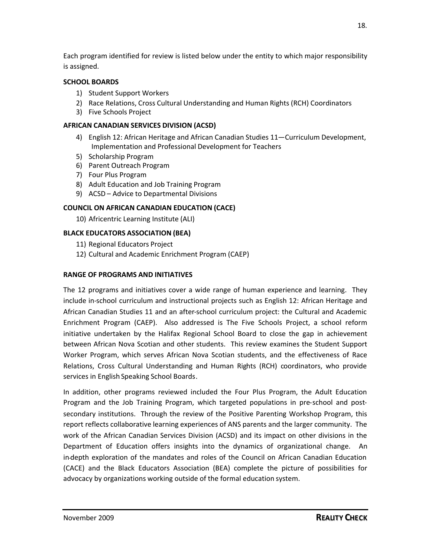Each program identified for review is listed below under the entity to which major responsibility is assigned.

#### **SCHOOL BOARDS**

- 1) Student Support Workers
- 2) Race Relations, Cross Cultural Understanding and Human Rights (RCH) Coordinators
- 3) Five Schools Project

#### **AFRICAN CANADIAN SERVICES DIVISION (ACSD)**

- 4) English 12: African Heritage and African Canadian Studies 11—Curriculum Development, Implementation and Professional Development for Teachers
- 5) Scholarship Program
- 6) Parent Outreach Program
- 7) Four Plus Program
- 8) Adult Education and Job Training Program
- 9) ACSD Advice to Departmental Divisions

#### **COUNCIL ON AFRICAN CANADIAN EDUCATION (CACE)**

10) Africentric Learning Institute (ALI)

#### **BLACK EDUCATORS ASSOCIATION (BEA)**

- 11) Regional Educators Project
- 12) Cultural and Academic Enrichment Program (CAEP)

#### **RANGE OF PROGRAMS AND INITIATIVES**

The 12 programs and initiatives cover a wide range of human experience and learning. They include in-school curriculum and instructional projects such as English 12: African Heritage and African Canadian Studies 11 and an after-school curriculum project: the Cultural and Academic Enrichment Program (CAEP). Also addressed is The Five Schools Project, a school reform initiative undertaken by the Halifax Regional School Board to close the gap in achievement between African Nova Scotian and other students. This review examines the Student Support Worker Program, which serves African Nova Scotian students, and the effectiveness of Race Relations, Cross Cultural Understanding and Human Rights (RCH) coordinators, who provide services in English Speaking School Boards.

In addition, other programs reviewed included the Four Plus Program, the Adult Education Program and the Job Training Program, which targeted populations in pre-school and postsecondary institutions. Through the review of the Positive Parenting Workshop Program, this report reflects collaborative learning experiences of ANS parents and the larger community. The work of the African Canadian Services Division (ACSD) and its impact on other divisions in the Department of Education offers insights into the dynamics of organizational change. An in-depth exploration of the mandates and roles of the Council on African Canadian Education (CACE) and the Black Educators Association (BEA) complete the picture of possibilities for advocacy by organizations working outside of the formal education system.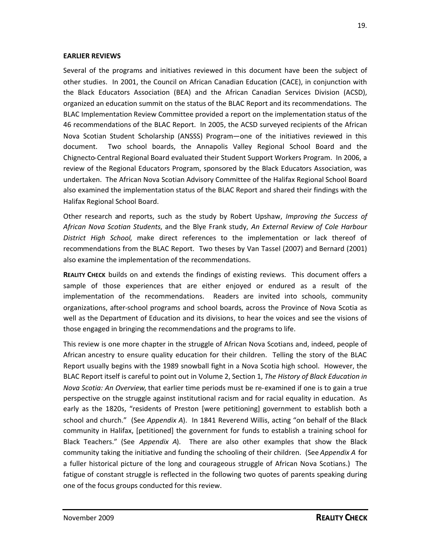#### **EARLIER REVIEWS**

Several of the programs and initiatives reviewed in this document have been the subject of other studies. In 2001, the Council on African Canadian Education (CACE), in conjunction with the Black Educators Association (BEA) and the African Canadian Services Division (ACSD), organized an education summit on the status of the BLAC Report and its recommendations. The BLAC Implementation Review Committee provided a report on the implementation status of the 46 recommendations of the BLAC Report. In 2005, the ACSD surveyed recipients of the African Nova Scotian Student Scholarship (ANSSS) Program—one of the initiatives reviewed in this document. Two school boards, the Annapolis Valley Regional School Board and the Chignecto-Central Regional Board evaluated their Student Support Workers Program. In 2006, a review of the Regional Educators Program, sponsored by the Black Educators Association, was undertaken. The African Nova Scotian Advisory Committee of the Halifax Regional School Board also examined the implementation status of the BLAC Report and shared their findings with the Halifax Regional School Board.

Other research and reports, such as the study by Robert Upshaw, *Improving the Success of African Nova Scotian Students*, and the Blye Frank study, *An External Review of Cole Harbour District High School*, make direct references to the implementation or lack thereof of recommendations from the BLAC Report. Two theses by Van Tassel (2007) and Bernard (2001) also examine the implementation of the recommendations.

**REALITY CHECK** builds on and extends the findings of existing reviews. This document offers a sample of those experiences that are either enjoyed or endured as a result of the implementation of the recommendations. Readers are invited into schools, community organizations, after-school programs and school boards, across the Province of Nova Scotia as well as the Department of Education and its divisions, to hear the voices and see the visions of those engaged in bringing the recommendations and the programs to life.

This review is one more chapter in the struggle of African Nova Scotians and, indeed, people of African ancestry to ensure quality education for their children. Telling the story of the BLAC Report usually begins with the 1989 snowball fight in a Nova Scotia high school. However, the BLAC Report itself is careful to point out in Volume 2, Section 1, *The History of Black Education in Nova Scotia: An Overview*, that earlier time periods must be re-examined if one is to gain a true perspective on the struggle against institutional racism and for racial equality in education. As early as the 1820s, "residents of Preston [were petitioning] government to establish both a school and church." (See *Appendix A*). In 1841 Reverend Willis, acting "on behalf of the Black community in Halifax, [petitioned] the government for funds to establish a training school for Black Teachers." (See *Appendix A*). There are also other examples that show the Black community taking the initiative and funding the schooling of their children. (See *Appendix A* for a fuller historical picture of the long and courageous struggle of African Nova Scotians.) The fatigue of constant struggle is reflected in the following two quotes of parents speaking during one of the focus groups conducted for this review.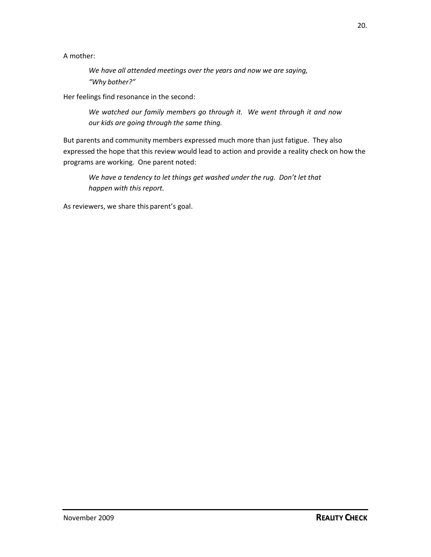A mother:

*We have all attended meetings over the years and now we are saying, "Why bother?"*

Her feelings find resonance in the second:

*We watched our family members go through it. We went through it and now our kids are going through the same thing.*

But parents and community members expressed much more than just fatigue. They also expressed the hope that this review would lead to action and provide a reality check on how the programs are working. One parent noted:

*We have a tendency to let things get washed under the rug. Don't let that happen with this report.*

As reviewers, we share this parent's goal.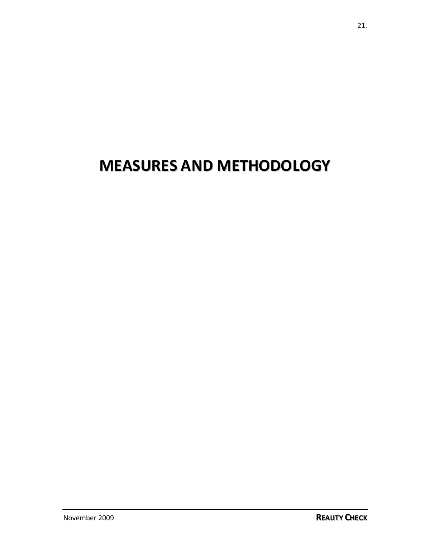# **MEASURES AND METHODOLOGY**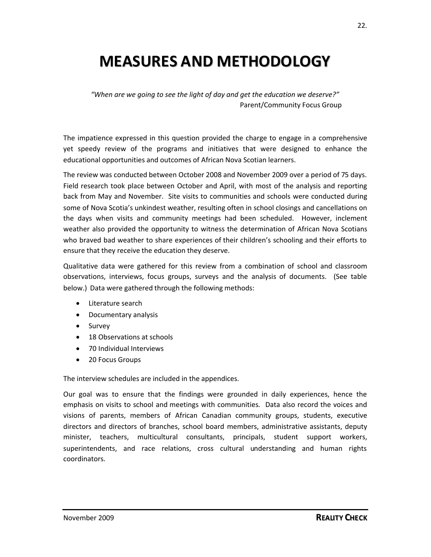## **MEASURES AND METHODOLOGY**

*"When are we going to see the light of day and get the education we deserve?"* Parent/Community Focus Group

The impatience expressed in this question provided the charge to engage in a comprehensive yet speedy review of the programs and initiatives that were designed to enhance the educational opportunities and outcomes of African Nova Scotian learners.

The review was conducted between October 2008 and November 2009 over a period of 75 days. Field research took place between October and April, with most of the analysis and reporting back from May and November. Site visits to communities and schools were conducted during some of Nova Scotia's unkindest weather, resulting often in school closings and cancellations on the days when visits and community meetings had been scheduled. However, inclement weather also provided the opportunity to witness the determination of African Nova Scotians who braved bad weather to share experiences of their children's schooling and their efforts to ensure that they receive the education they deserve.

Qualitative data were gathered for this review from a combination of school and classroom observations, interviews, focus groups, surveys and the analysis of documents. (See table below.) Data were gathered through the following methods:

- Literature search
- Documentary analysis
- Survey
- 18 Observations at schools
- 70 Individual Interviews
- 20 Focus Groups

The interview schedules are included in the appendices.

Our goal was to ensure that the findings were grounded in daily experiences, hence the emphasis on visits to school and meetings with communities. Data also record the voices and visions of parents, members of African Canadian community groups, students, executive directors and directors of branches, school board members, administrative assistants, deputy minister, teachers, multicultural consultants, principals, student support workers, superintendents, and race relations, cross cultural understanding and human rights coordinators.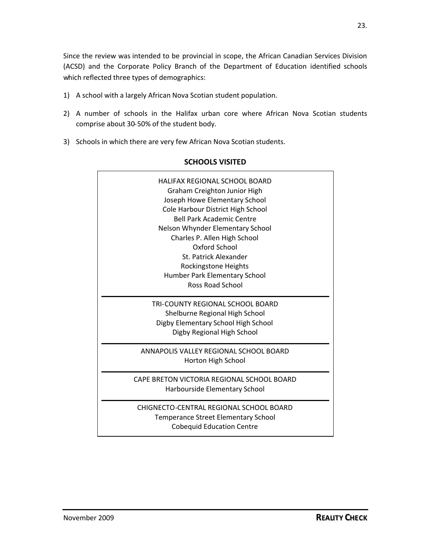Since the review was intended to be provincial in scope, the African Canadian Services Division (ACSD) and the Corporate Policy Branch of the Department of Education identified schools which reflected three types of demographics:

- 1) A school with a largely African Nova Scotian student population.
- 2) A number of schools in the Halifax urban core where African Nova Scotian students comprise about 30-50% of the student body.
- 3) Schools in which there are very few African Nova Scotian students.

| HALIFAX REGIONAL SCHOOL BOARD<br>Graham Creighton Junior High<br>Joseph Howe Elementary School<br>Cole Harbour District High School<br><b>Bell Park Academic Centre</b><br>Nelson Whynder Elementary School<br>Charles P. Allen High School<br>Oxford School<br>St. Patrick Alexander<br>Rockingstone Heights<br>Humber Park Elementary School<br><b>Ross Road School</b> |
|---------------------------------------------------------------------------------------------------------------------------------------------------------------------------------------------------------------------------------------------------------------------------------------------------------------------------------------------------------------------------|
| TRI-COUNTY REGIONAL SCHOOL BOARD<br>Shelburne Regional High School<br>Digby Elementary School High School<br>Digby Regional High School                                                                                                                                                                                                                                   |
| ANNAPOLIS VALLEY REGIONAL SCHOOL BOARD<br>Horton High School                                                                                                                                                                                                                                                                                                              |
| CAPE BRETON VICTORIA REGIONAL SCHOOL BOARD<br>Harbourside Elementary School                                                                                                                                                                                                                                                                                               |
| CHIGNECTO-CENTRAL REGIONAL SCHOOL BOARD<br><b>Temperance Street Elementary School</b><br><b>Cobequid Education Centre</b>                                                                                                                                                                                                                                                 |

#### **SCHOOLS VISITED**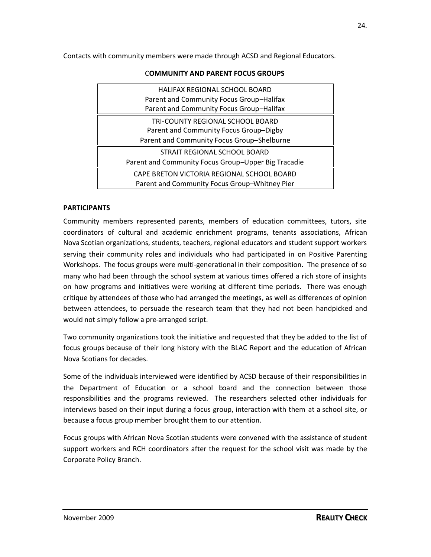Contacts with community members were made through ACSD and Regional Educators.

## HALIFAX REGIONAL SCHOOL BOARD Parent and Community Focus Group–Halifax Parent and Community Focus Group–Halifax TRI-COUNTY REGIONAL SCHOOL BOARD Parent and Community Focus Group–Digby Parent and Community Focus Group–Shelburne STRAIT REGIONAL SCHOOL BOARD Parent and Community Focus Group–Upper Big Tracadie CAPE BRETON VICTORIA REGIONAL SCHOOL BOARD Parent and Community Focus Group–Whitney Pier

#### C**OMMUNITY AND PARENT FOCUS GROUPS**

#### **PARTICIPANTS**

Community members represented parents, members of education committees, tutors, site coordinators of cultural and academic enrichment programs, tenants associations, African Nova Scotian organizations, students, teachers, regional educators and student support workers serving their community roles and individuals who had participated in on Positive Parenting Workshops. The focus groups were multi-generational in their composition. The presence of so many who had been through the school system at various times offered a rich store of insights on how programs and initiatives were working at different time periods. There was enough critique by attendees of those who had arranged the meetings, as well as differences of opinion between attendees, to persuade the research team that they had not been handpicked and would not simply follow a pre-arranged script.

Two community organizations took the initiative and requested that they be added to the list of focus groups because of their long history with the BLAC Report and the education of African Nova Scotians for decades.

Some of the individuals interviewed were identified by ACSD because of their responsibilities in the Department of Education or a school board and the connection between those responsibilities and the programs reviewed. The researchers selected other individuals for interviews based on their input during a focus group, interaction with them at a school site, or because a focus group member brought them to our attention.

Focus groups with African Nova Scotian students were convened with the assistance of student support workers and RCH coordinators after the request for the school visit was made by the Corporate Policy Branch.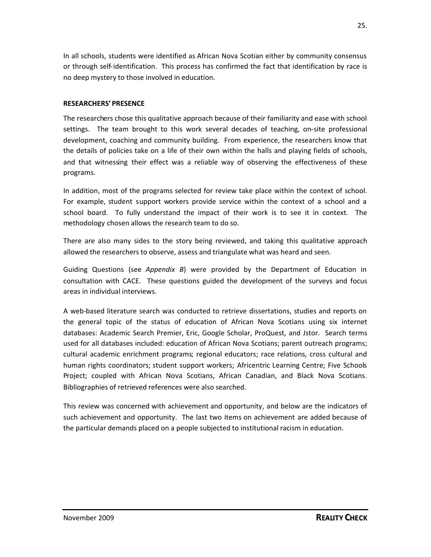In all schools, students were identified as African Nova Scotian either by community consensus or through self-identification. This process has confirmed the fact that identification by race is no deep mystery to those involved in education.

#### **RESEARCHERS'PRESENCE**

The researchers chose this qualitative approach because of their familiarity and ease with school settings. The team brought to this work several decades of teaching, on-site professional development, coaching and community building. From experience, the researchers know that the details of policies take on a life of their own within the halls and playing fields of schools, and that witnessing their effect was a reliable way of observing the effectiveness of these programs.

In addition, most of the programs selected for review take place within the context of school. For example, student support workers provide service within the context of a school and a school board. To fully understand the impact of their work is to see it in context. The methodology chosen allows the research team to do so.

There are also many sides to the story being reviewed, and taking this qualitative approach allowed the researchers to observe, assess and triangulate what was heard and seen.

Guiding Questions (see *Appendix B*) were provided by the Department of Education in consultation with CACE. These questions guided the development of the surveys and focus areas in individual interviews.

A web-based literature search was conducted to retrieve dissertations, studies and reports on the general topic of the status of education of African Nova Scotians using six internet databases: Academic Search Premier, Eric, Google Scholar, ProQuest, and Jstor. Search terms used for all databases included: education of African Nova Scotians; parent outreach programs; cultural academic enrichment programs; regional educators; race relations, cross cultural and human rights coordinators; student support workers; Africentric Learning Centre; Five Schools Project; coupled with African Nova Scotians, African Canadian, and Black Nova Scotians. Bibliographies of retrieved references were also searched.

This review was concerned with achievement and opportunity, and below are the indicators of such achievement and opportunity. The last two items on achievement are added because of the particular demands placed on a people subjected to institutional racism in education.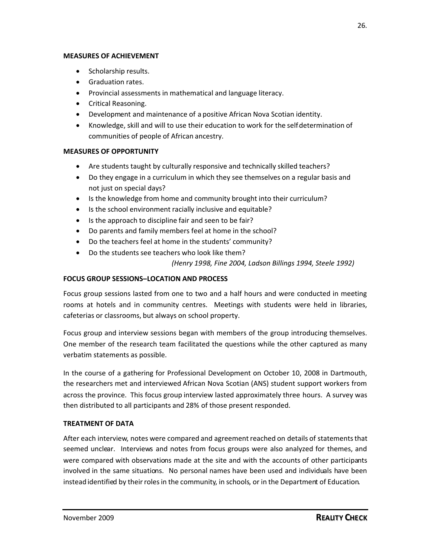#### **MEASURES OF ACHIEVEMENT**

- Scholarship results.
- **•** Graduation rates.
- Provincial assessments in mathematical and language literacy.
- **•** Critical Reasoning.
- Development and maintenance of a positive African Nova Scotian identity.
- Knowledge, skill and will to use their education to work for the self-determination of communities of people of African ancestry.

#### **MEASURES OF OPPORTUNITY**

- Are students taught by culturally responsive and technically skilled teachers?
- Do they engage in a curriculum in which they see themselves on a regular basis and not just on special days?
- Is the knowledge from home and community brought into their curriculum?
- Is the school environment racially inclusive and equitable?
- Is the approach to discipline fair and seen to be fair?
- Do parents and family members feel at home in the school?
- Do the teachers feel at home in the students' community?
- Do the students see teachers who look like them?

*(Henry 1998, Fine 2004, Ladson Billings 1994, Steele 1992)*

#### **FOCUS GROUP SESSIONS–LOCATION AND PROCESS**

Focus group sessions lasted from one to two and a half hours and were conducted in meeting rooms at hotels and in community centres. Meetings with students were held in libraries, cafeterias or classrooms, but always on school property.

Focus group and interview sessions began with members of the group introducing themselves. One member of the research team facilitated the questions while the other captured as many verbatim statements as possible.

In the course of a gathering for Professional Development on October 10, 2008 in Dartmouth, the researchers met and interviewed African Nova Scotian (ANS) student support workers from across the province. This focus group interview lasted approximately three hours. A survey was then distributed to all participants and 28% of those present responded.

#### **TREATMENT OF DATA**

After each interview, notes were compared and agreement reached on details of statements that seemed unclear. Interviews and notes from focus groups were also analyzed for themes, and were compared with observations made at the site and with the accounts of other participants involved in the same situations. No personal names have been used and individuals have been instead identified by their roles in the community, in schools, or in the Department of Education.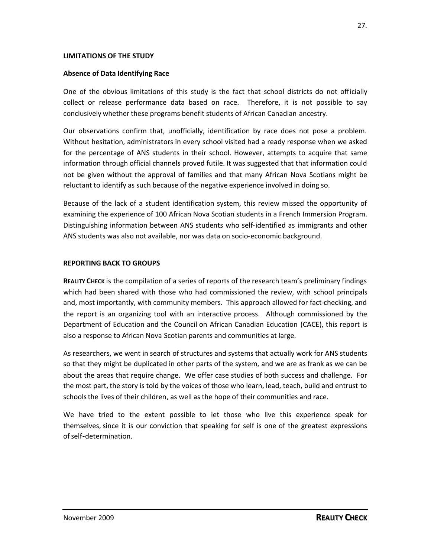#### **LIMITATIONS OF THE STUDY**

#### **Absence of Data Identifying Race**

One of the obvious limitations of this study is the fact that school districts do not officially collect or release performance data based on race. Therefore, it is not possible to say conclusively whether these programs benefit students of African Canadian ancestry.

Our observations confirm that, unofficially, identification by race does not pose a problem. Without hesitation, administrators in every school visited had a ready response when we asked for the percentage of ANS students in their school. However, attempts to acquire that same information through official channels proved futile. It was suggested that that information could not be given without the approval of families and that many African Nova Scotians might be reluctant to identify as such because of the negative experience involved in doing so.

Because of the lack of a student identification system, this review missed the opportunity of examining the experience of 100 African Nova Scotian students in a French Immersion Program. Distinguishing information between ANS students who self-identified as immigrants and other ANS students was also not available, nor was data on socio-economic background.

#### **REPORTING BACK TO GROUPS**

**REALITY CHECK** is the compilation of a series of reports of the research team's preliminary findings which had been shared with those who had commissioned the review, with school principals and, most importantly, with community members. This approach allowed for fact-checking, and the report is an organizing tool with an interactive process. Although commissioned by the Department of Education and the Council on African Canadian Education (CACE), this report is also a response to African Nova Scotian parents and communities at large.

As researchers, we went in search of structures and systems that actually work for ANS students so that they might be duplicated in other parts of the system, and we are as frank as we can be about the areas that require change. We offer case studies of both success and challenge. For the most part, the story is told by the voices of those who learn, lead, teach, build and entrust to schoolsthe lives of their children, as well as the hope of their communities and race.

We have tried to the extent possible to let those who live this experience speak for themselves, since it is our conviction that speaking for self is one of the greatest expressions ofself-determination.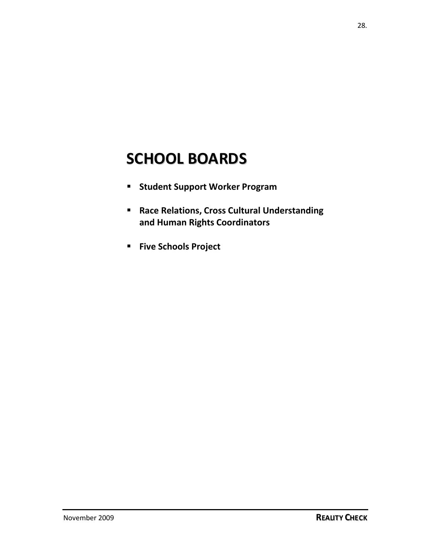## **SCHOOL BOARDS**

- **F** Student Support Worker Program
- **Race Relations, Cross Cultural Understanding and Human Rights Coordinators**
- **Five Schools Project**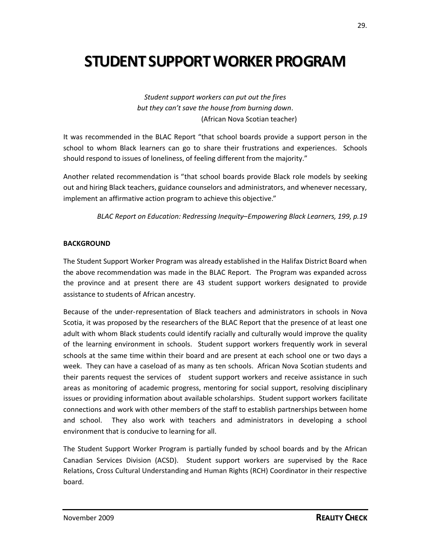## **STUDENT SUPPORT WORKER PROGRAM**

*Student support workers can put out the fires but they can't save the house from burning down*. (African Nova Scotian teacher)

It was recommended in the BLAC Report "that school boards provide a support person in the school to whom Black learners can go to share their frustrations and experiences. Schools should respond to issues of loneliness, of feeling different from the majority."

Another related recommendation is "that school boards provide Black role models by seeking out and hiring Black teachers, guidance counselors and administrators, and whenever necessary, implement an affirmative action program to achieve this objective."

*BLAC Report on Education: Redressing Inequity–Empowering Black Learners, 199, p.19*

#### **BACKGROUND**

The Student Support Worker Program was already established in the Halifax District Board when the above recommendation was made in the BLAC Report. The Program was expanded across the province and at present there are 43 student support workers designated to provide assistance to students of African ancestry.

Because of the under-representation of Black teachers and administrators in schools in Nova Scotia, it was proposed by the researchers of the BLAC Report that the presence of at least one adult with whom Black students could identify racially and culturally would improve the quality of the learning environment in schools. Student support workers frequently work in several schools at the same time within their board and are present at each school one or two days a week. They can have a caseload of as many as ten schools. African Nova Scotian students and their parents request the services of student support workers and receive assistance in such areas as monitoring of academic progress, mentoring for social support, resolving disciplinary issues or providing information about available scholarships. Student support workers facilitate connections and work with other members of the staff to establish partnerships between home and school. They also work with teachers and administrators in developing a school environment that is conducive to learning for all.

The Student Support Worker Program is partially funded by school boards and by the African Canadian Services Division (ACSD). Student support workers are supervised by the Race Relations, Cross Cultural Understanding and Human Rights (RCH) Coordinator in their respective board.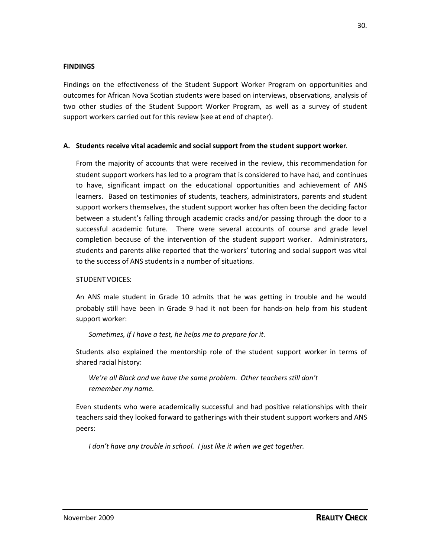#### **FINDINGS**

Findings on the effectiveness of the Student Support Worker Program on opportunities and outcomes for African Nova Scotian students were based on interviews, observations, analysis of two other studies of the Student Support Worker Program, as well as a survey of student support workers carried out for this review (see at end of chapter).

#### **A. Students receive vital academic and social support from the student support worker**.

From the majority of accounts that were received in the review, this recommendation for student support workers has led to a program that is considered to have had, and continues to have, significant impact on the educational opportunities and achievement of ANS learners. Based on testimonies of students, teachers, administrators, parents and student support workers themselves, the student support worker has often been the deciding factor between a student's falling through academic cracks and/or passing through the door to a successful academic future. There were several accounts of course and grade level completion because of the intervention of the student support worker. Administrators, students and parents alike reported that the workers' tutoring and social support was vital to the success of ANS students in a number of situations.

#### STUDENT VOICES:

An ANS male student in Grade 10 admits that he was getting in trouble and he would probably still have been in Grade 9 had it not been for hands-on help from his student support worker:

#### *Sometimes, if I have a test, he helps me to prepare for it.*

Students also explained the mentorship role of the student support worker in terms of shared racial history:

*We're all Black and we have the same problem. Other teachers still don't remember my name.*

Even students who were academically successful and had positive relationships with their teachers said they looked forward to gatherings with their student support workers and ANS peers:

*I don't have any trouble in school. I just like it when we get together.*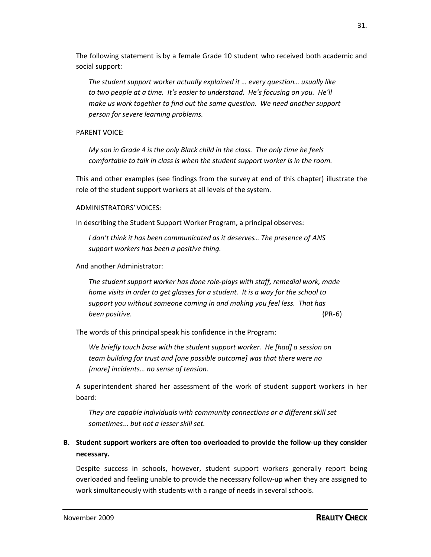The following statement is by a female Grade 10 student who received both academic and social support:

*The student support worker actually explained it … every question… usually like to two people at a time. It's easier to understand. He's focusing on you. He'll make us work together to find out the same question. We need another support person for severe learning problems.*

#### PARENT VOICE:

*My son in Grade 4 is the only Black child in the class. The only time he feels comfortable to talk in class is when the student support worker is in the room*.

This and other examples (see findings from the survey at end of this chapter) illustrate the role of the student support workers at all levels of the system.

#### ADMINISTRATORS'VOICES:

In describing the Student Support Worker Program, a principal observes:

*I don't think it has been communicated as it deserves… The presence of ANS support workers has been a positive thing.*

And another Administrator:

*The student support worker has done role-plays with staff, remedial work, made home visits in order to get glasses for a student. It is a way for the school to support you without someone coming in and making you feel less. That has been positive.* (PR-6)

The words of this principal speak his confidence in the Program:

*We briefly touch base with the student support worker. He [had] a session on team building for trust and [one possible outcome] was that there were no [more] incidents… no sense of tension.*

A superintendent shared her assessment of the work of student support workers in her board:

*They are capable individuals with community connections or a different skill set sometimes... but not a lesser skill set.*

## **B. Student support workers are often too overloaded to provide the follow-up they consider necessary.**

Despite success in schools, however, student support workers generally report being overloaded and feeling unable to provide the necessary follow-up when they are assigned to work simultaneously with students with a range of needs in several schools.

31.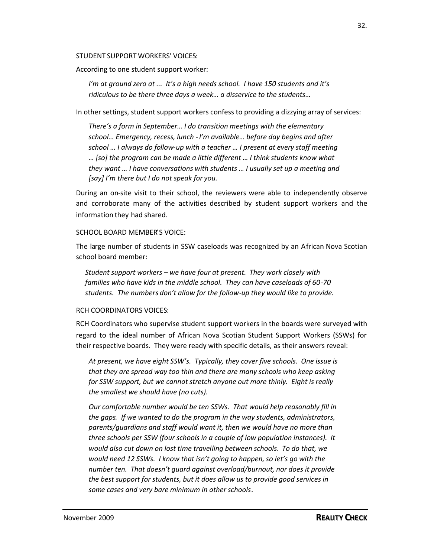#### STUDENT SUPPORT WORKERS' VOICES:

According to one student support worker:

*I'm at ground zero at ... It's a high needs school. I have 150 students and it's ridiculous to be there three days a week… a disservice to the students…*

In other settings, student support workers confess to providing a dizzying array of services:

*There's a form in September… I do transition meetings with the elementary school… Emergency, recess, lunch -I'm available… before day begins and after school … I always do follow-up with a teacher … I present at every staff meeting … [so] the program can be made a little different … I think students know what they want … I have conversations with students … I usually set up a meeting and [say] I'm there but I do not speak for you.*

During an on-site visit to their school, the reviewers were able to independently observe and corroborate many of the activities described by student support workers and the information they had shared.

#### SCHOOL BOARD MEMBER'S VOICE:

The large number of students in SSW caseloads was recognized by an African Nova Scotian school board member:

*Student support workers – we have four at present. They work closely with families who have kids in the middle school. They can have caseloads of 60-70 students. The numbers don't allow for the follow-up they would like to provide.*

#### RCH COORDINATORS VOICES:

RCH Coordinators who supervise student support workers in the boards were surveyed with regard to the ideal number of African Nova Scotian Student Support Workers (SSWs) for their respective boards. They were ready with specific details, as their answers reveal:

*At present, we have eight SSW's. Typically, they cover five schools. One issue is that they are spread way too thin and there are many schools who keep asking for SSW support, but we cannot stretch anyone out more thinly. Eight is really the smallest we should have (no cuts).*

*Our comfortable number would be ten SSWs. That would help reasonably fill in the gaps. If we wanted to do the program in the way students, administrators, parents/guardians and staff would want it, then we would have no more than three schools per SSW (four schools in a couple of low population instances). It would also cut down on lost time travelling between schools. To do that, we would need 12 SSWs. I know that isn't going to happen, so let's go with the number ten. That doesn't guard against overload/burnout, nor does it provide the best support for students, but it does allow us to provide good services in some cases and very bare minimum in other schools*.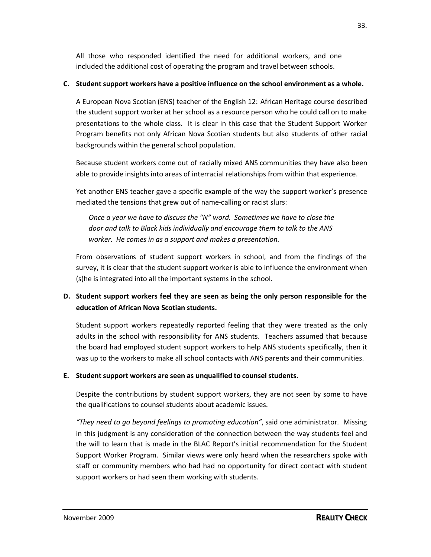All those who responded identified the need for additional workers, and one included the additional cost of operating the program and travel between schools.

#### **C. Student support workers have a positive influence on the school environment as a whole.**

A European Nova Scotian (ENS) teacher of the English 12: African Heritage course described the student support worker at her school as a resource person who he could call on to make presentations to the whole class. It is clear in this case that the Student Support Worker Program benefits not only African Nova Scotian students but also students of other racial backgrounds within the general school population.

Because student workers come out of racially mixed ANS communities they have also been able to provide insights into areas of interracial relationships from within that experience.

Yet another ENS teacher gave a specific example of the way the support worker's presence mediated the tensions that grew out of name-calling or racist slurs:

*Once a year we have to discuss the "N" word. Sometimes we have to close the door and talk to Black kids individually and encourage them to talk to the ANS worker. He comes in as a support and makes a presentation.*

From observations of student support workers in school, and from the findings of the survey, it is clear that the student support worker is able to influence the environment when (s)he is integrated into all the important systems in the school.

## **D. Student support workers feel they are seen as being the only person responsible for the education of African Nova Scotian students.**

Student support workers repeatedly reported feeling that they were treated as the only adults in the school with responsibility for ANS students. Teachers assumed that because the board had employed student support workers to help ANS students specifically, then it was up to the workers to make all school contacts with ANS parents and their communities.

#### **E. Student support workers are seen as unqualified to counsel students.**

Despite the contributions by student support workers, they are not seen by some to have the qualifications to counsel students about academic issues.

*"They need to go beyond feelings to promoting education"*, said one administrator. Missing in this judgment is any consideration of the connection between the way students feel and the will to learn that is made in the BLAC Report's initial recommendation for the Student Support Worker Program. Similar views were only heard when the researchers spoke with staff or community members who had had no opportunity for direct contact with student support workers or had seen them working with students.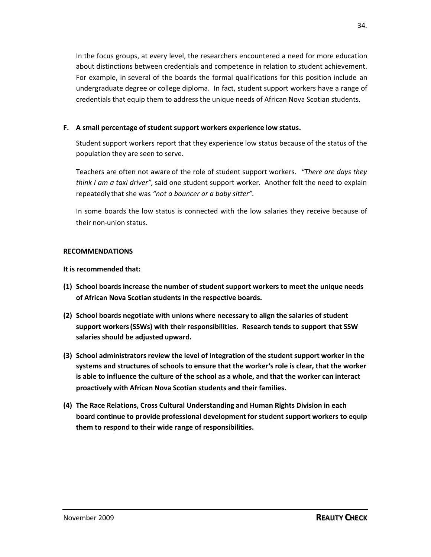In the focus groups, at every level, the researchers encountered a need for more education about distinctions between credentials and competence in relation to student achievement. For example, in several of the boards the formal qualifications for this position include an undergraduate degree or college diploma. In fact, student support workers have a range of credentials that equip them to address the unique needs of African Nova Scotian students.

#### **F. A small percentage of student support workers experience low status.**

Student support workers report that they experience low status because of the status of the population they are seen to serve.

Teachers are often not aware of the role of student support workers. *"There are days they think I am a taxi driver",* said one student support worker*.* Another felt the need to explain repeatedly that she was *"not a bouncer or a baby sitter".*

In some boards the low status is connected with the low salaries they receive because of their non-union status.

#### **RECOMMENDATIONS**

- **(1) School boards increase the number of student support workers to meet the unique needs of African Nova Scotian students in the respective boards.**
- **(2) School boards negotiate with unions where necessary to align the salaries of student support workers(SSWs) with their responsibilities. Research tends to support that SSW salaries should be adjusted upward.**
- **(3) School administrators review the level of integration of the student support worker in the systems and structures of schools to ensure that the worker's role is clear, that the worker is able to influence the culture of the school as a whole, and that the worker can interact proactively with African Nova Scotian students and their families.**
- **(4) The Race Relations, Cross Cultural Understanding and Human Rights Division in each board continue to provide professional development for student support workers to equip them to respond to their wide range of responsibilities.**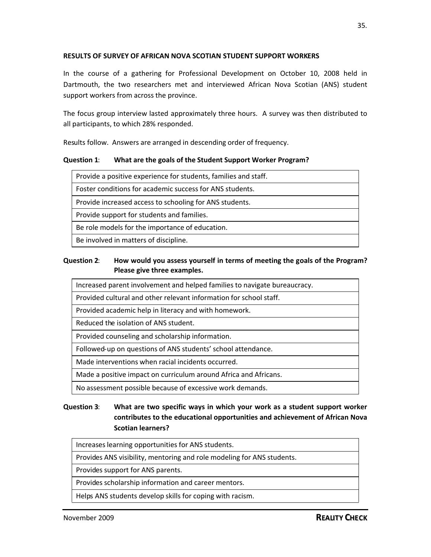### **RESULTS OF SURVEY OF AFRICAN NOVA SCOTIAN STUDENT SUPPORT WORKERS**

In the course of a gathering for Professional Development on October 10, 2008 held in Dartmouth, the two researchers met and interviewed African Nova Scotian (ANS) student support workers from across the province.

The focus group interview lasted approximately three hours. A survey was then distributed to all participants, to which 28% responded.

Results follow. Answers are arranged in descending order of frequency.

### **Question 1**: **What are the goals of the Student Support Worker Program?**

| Provide a positive experience for students, families and staff. |
|-----------------------------------------------------------------|
| Foster conditions for academic success for ANS students.        |
| Provide increased access to schooling for ANS students.         |
| Provide support for students and families.                      |
| Be role models for the importance of education.                 |
| Be involved in matters of discipline.                           |

### **Question 2**: **How would you assess yourself in terms of meeting the goals of the Program? Please give three examples.**

Increased parent involvement and helped families to navigate bureaucracy.

Provided cultural and other relevant information for school staff.

Provided academic help in literacy and with homework.

Reduced the isolation of ANS student.

Provided counseling and scholarship information.

Followed-up on questions of ANS students' school attendance.

Made interventions when racial incidents occurred.

Made a positive impact on curriculum around Africa and Africans.

No assessment possible because of excessive work demands.

## **Question 3**: **What are two specific ways in which your work as a student support worker contributes to the educational opportunities and achievement of African Nova Scotian learners?**

Increases learning opportunities for ANS students.

Provides ANS visibility, mentoring and role modeling for ANS students.

Provides support for ANS parents.

Provides scholarship information and career mentors.

Helps ANS students develop skills for coping with racism.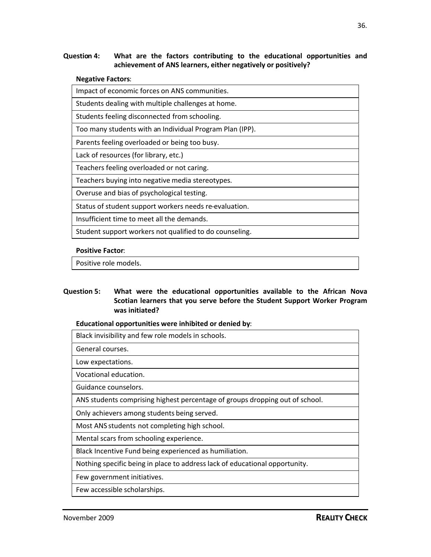### **Question 4: What are the factors contributing to the educational opportunities and achievement of ANS learners, either negatively or positively?**

#### **Negative Factors**:

#### **Positive Factor**:

Positive role models.

### **Question 5: What were the educational opportunities available to the African Nova Scotian learners that you serve before the Student Support Worker Program was initiated?**

### **Educational opportunities were inhibited or denied by**:

| Black invisibility and few role models in schools.                           |
|------------------------------------------------------------------------------|
| General courses.                                                             |
| Low expectations.                                                            |
| Vocational education.                                                        |
| Guidance counselors.                                                         |
| ANS students comprising highest percentage of groups dropping out of school. |
| Only achievers among students being served.                                  |
| Most ANS students not completing high school.                                |
| Mental scars from schooling experience.                                      |
| Black Incentive Fund being experienced as humiliation.                       |
| Nothing specific being in place to address lack of educational opportunity.  |
| Few government initiatives.                                                  |
| Few accessible scholarships.                                                 |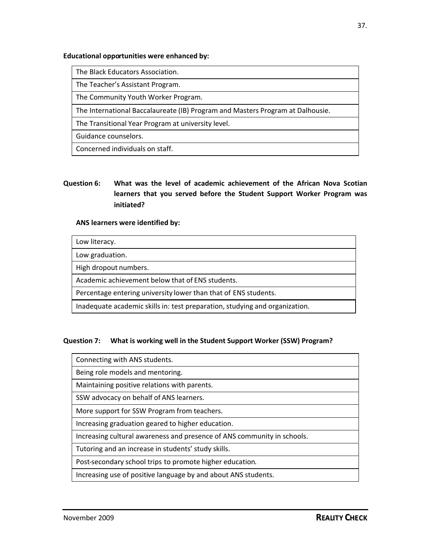### **Educational opportunities were enhanced by:**

The Black Educators Association.

The Teacher's Assistant Program.

The Community Youth Worker Program.

The International Baccalaureate (IB) Program and Masters Program at Dalhousie.

The Transitional Year Program at university level.

Guidance counselors.

Concerned individuals on staff.

## **Question 6: What was the level of academic achievement of the African Nova Scotian learners that you served before the Student Support Worker Program was initiated?**

### **ANS learners were identified by:**

| Low literacy.                                                               |
|-----------------------------------------------------------------------------|
| Low graduation.                                                             |
| High dropout numbers.                                                       |
| Academic achievement below that of ENS students.                            |
| Percentage entering university lower than that of ENS students.             |
| Inadequate academic skills in: test preparation, studying and organization. |

### **Question 7: What is working well in the Student Support Worker (SSW) Program?**

| Connecting with ANS students.                                           |
|-------------------------------------------------------------------------|
| Being role models and mentoring.                                        |
| Maintaining positive relations with parents.                            |
| SSW advocacy on behalf of ANS learners.                                 |
| More support for SSW Program from teachers.                             |
| Increasing graduation geared to higher education.                       |
| Increasing cultural awareness and presence of ANS community in schools. |
| Tutoring and an increase in students' study skills.                     |
| Post-secondary school trips to promote higher education.                |
| Increasing use of positive language by and about ANS students.          |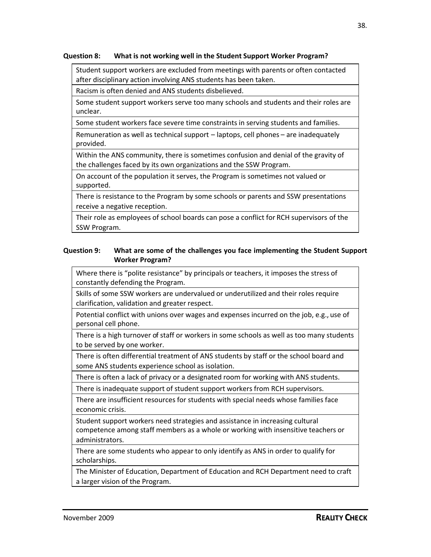### **Question 8: What is not working well in the Student Support Worker Program?**

Student support workers are excluded from meetings with parents or often contacted after disciplinary action involving ANS students has been taken.

Racism is often denied and ANS students disbelieved.

Some student support workers serve too many schools and students and their roles are unclear.

Some student workers face severe time constraints in serving students and families.

Remuneration as well as technical support – laptops, cell phones – are inadequately provided.

Within the ANS community, there is sometimes confusion and denial of the gravity of the challenges faced by its own organizations and the SSW Program.

On account of the population it serves, the Program is sometimes not valued or supported.

There is resistance to the Program by some schools or parents and SSW presentations receive a negative reception.

Their role as employees of school boards can pose a conflict for RCH supervisors of the SSW Program.

### **Question 9: What are some of the challenges you face implementing the Student Support Worker Program?**

Where there is "polite resistance" by principals or teachers, it imposes the stress of constantly defending the Program.

Skills of some SSW workers are undervalued or underutilized and their roles require clarification, validation and greater respect.

Potential conflict with unions over wages and expenses incurred on the job, e.g., use of personal cell phone.

There is a high turnover of staff or workers in some schools as well as too many students to be served by one worker.

There is often differential treatment of ANS students by staff or the school board and some ANS students experience school as isolation.

There is often a lack of privacy or a designated room for working with ANS students.

There is inadequate support of student support workers from RCH supervisors.

There are insufficient resources for students with special needs whose families face economic crisis.

Student support workers need strategies and assistance in increasing cultural competence among staff members as a whole or working with insensitive teachers or administrators.

There are some students who appear to only identify as ANS in order to qualify for scholarships.

The Minister of Education, Department of Education and RCH Department need to craft a larger vision of the Program.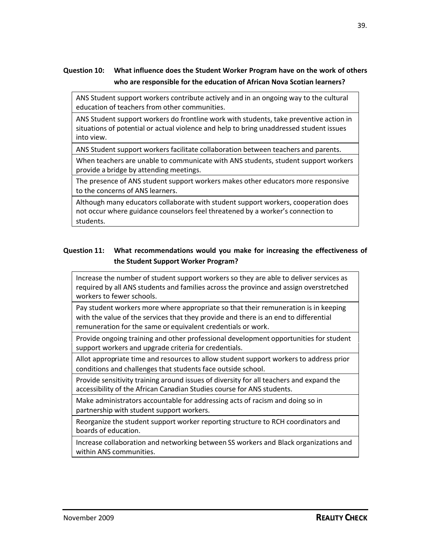## **Question 10: What influence does the Student Worker Program have on the work of others who are responsible for the education of African Nova Scotian learners?**

ANS Student support workers contribute actively and in an ongoing way to the cultural education of teachers from other communities.

ANS Student support workers do frontline work with students, take preventive action in situations of potential or actual violence and help to bring unaddressed student issues into view.

ANS Student support workers facilitate collaboration between teachers and parents.

When teachers are unable to communicate with ANS students, student support workers provide a bridge by attending meetings.

The presence of ANS student support workers makes other educators more responsive to the concerns of ANS learners.

Although many educators collaborate with student support workers, cooperation does not occur where guidance counselors feel threatened by a worker's connection to students.

### **Question 11: What recommendations would you make for increasing the effectiveness of the Student Support Worker Program?**

Increase the number of student support workers so they are able to deliver services as required by all ANS students and families across the province and assign overstretched workers to fewer schools.

Pay student workers more where appropriate so that their remuneration is in keeping with the value of the services that they provide and there is an end to differential remuneration for the same or equivalent credentials or work.

Provide ongoing training and other professional development opportunities for student support workers and upgrade criteria for credentials.

Allot appropriate time and resources to allow student support workers to address prior conditions and challenges that students face outside school.

Provide sensitivity training around issues of diversity for all teachers and expand the accessibility of the African Canadian Studies course for ANS students.

Make administrators accountable for addressing acts of racism and doing so in partnership with student support workers.

Reorganize the student support worker reporting structure to RCH coordinators and boards of education.

Increase collaboration and networking between SS workers and Black organizations and within ANS communities.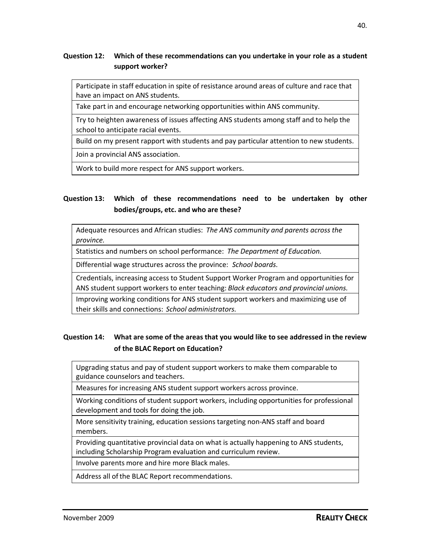### **Question 12: Which of these recommendations can you undertake in your role as a student support worker?**

Participate in staff education in spite of resistance around areas of culture and race that have an impact on ANS students.

Take part in and encourage networking opportunities within ANS community.

Try to heighten awareness of issues affecting ANS students among staff and to help the school to anticipate racial events.

Build on my present rapport with students and pay particular attention to new students.

Join a provincial ANS association.

Work to build more respect for ANS support workers.

### **Question 13: Which of these recommendations need to be undertaken by other bodies/groups, etc. and who are these?**

Adequate resources and African studies: *The ANS community and parents across the province.*

Statistics and numbers on school performance: *The Department of Education.*

Differential wage structures across the province: *School boards*.

Credentials, increasing access to Student Support Worker Program and opportunities for

ANS student support workers to enter teaching: *Black educators and provincial unions.*

Improving working conditions for ANS student support workers and maximizing use of their skills and connections: *School administrators.*

### **Question 14: What are some of the areas that you would like to see addressed in the review of the BLAC Report on Education?**

Upgrading status and pay of student support workers to make them comparable to guidance counselors and teachers.

Measures for increasing ANS student support workers across province.

Working conditions of student support workers, including opportunities for professional development and tools for doing the job.

More sensitivity training, education sessions targeting non-ANS staff and board members.

Providing quantitative provincial data on what is actually happening to ANS students, including Scholarship Program evaluation and curriculum review.

Involve parents more and hire more Black males.

Address all of the BLAC Report recommendations.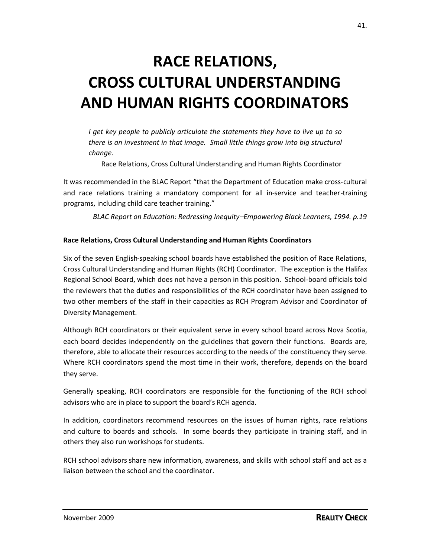# **RACE RELATIONS, CROSS CULTURAL UNDERSTANDING AND HUMAN RIGHTS COORDINATORS**

*I get key people to publicly articulate the statements they have to live up to so there is an investment in that image. Small little things grow into big structural change.*

Race Relations, Cross Cultural Understanding and Human Rights Coordinator

It was recommended in the BLAC Report "that the Department of Education make cross-cultural and race relations training a mandatory component for all in-service and teacher-training programs, including child care teacher training."

*BLAC Report on Education: Redressing Inequity–Empowering Black Learners, 1994. p.19*

### **Race Relations, Cross Cultural Understanding and Human Rights Coordinators**

Six of the seven English-speaking school boards have established the position of Race Relations, Cross Cultural Understanding and Human Rights (RCH) Coordinator. The exception is the Halifax Regional School Board, which does not have a person in this position. School-board officials told the reviewers that the duties and responsibilities of the RCH coordinator have been assigned to two other members of the staff in their capacities as RCH Program Advisor and Coordinator of Diversity Management.

Although RCH coordinators or their equivalent serve in every school board across Nova Scotia, each board decides independently on the guidelines that govern their functions. Boards are, therefore, able to allocate their resources according to the needs of the constituency they serve. Where RCH coordinators spend the most time in their work, therefore, depends on the board they serve.

Generally speaking, RCH coordinators are responsible for the functioning of the RCH school advisors who are in place to support the board's RCH agenda.

In addition, coordinators recommend resources on the issues of human rights, race relations and culture to boards and schools. In some boards they participate in training staff, and in others they also run workshops for students.

RCH school advisors share new information, awareness, and skills with school staff and act as a liaison between the school and the coordinator.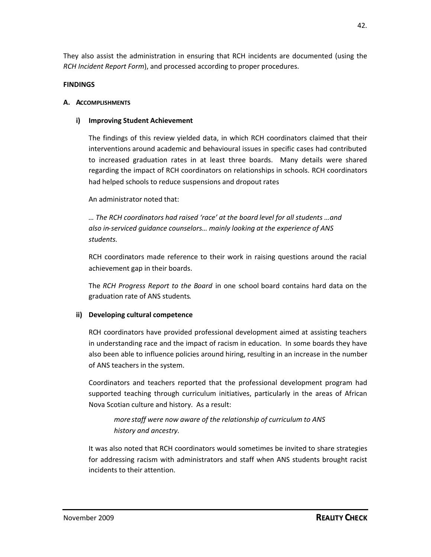They also assist the administration in ensuring that RCH incidents are documented (using the *RCH Incident Report Form*), and processed according to proper procedures.

### **FINDINGS**

### **A. ACCOMPLISHMENTS**

### **i) Improving Student Achievement**

The findings of this review yielded data, in which RCH coordinators claimed that their interventions around academic and behavioural issues in specific cases had contributed to increased graduation rates in at least three boards. Many details were shared regarding the impact of RCH coordinators on relationships in schools. RCH coordinators had helped schools to reduce suspensions and dropout rates

### An administrator noted that:

*… The RCH coordinators had raised 'race' at the board level for all students …and also in-serviced guidance counselors… mainly looking at the experience of ANS students.*

RCH coordinators made reference to their work in raising questions around the racial achievement gap in their boards.

The *RCH Progress Report to the Board* in one school board contains hard data on the graduation rate of ANS students.

### **ii) Developing cultural competence**

RCH coordinators have provided professional development aimed at assisting teachers in understanding race and the impact of racism in education. In some boards they have also been able to influence policies around hiring, resulting in an increase in the number of ANS teachers in the system.

Coordinators and teachers reported that the professional development program had supported teaching through curriculum initiatives, particularly in the areas of African Nova Scotian culture and history. As a result:

## *more staff were now aware of the relationship of curriculum to ANS history and ancestry.*

It was also noted that RCH coordinators would sometimes be invited to share strategies for addressing racism with administrators and staff when ANS students brought racist incidents to their attention.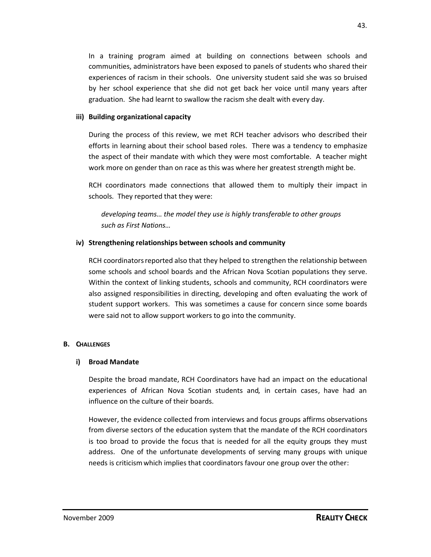In a training program aimed at building on connections between schools and communities, administrators have been exposed to panels of students who shared their experiences of racism in their schools. One university student said she was so bruised by her school experience that she did not get back her voice until many years after graduation. She had learnt to swallow the racism she dealt with every day.

### **iii) Building organizational capacity**

During the process of this review, we met RCH teacher advisors who described their efforts in learning about their school based roles. There was a tendency to emphasize the aspect of their mandate with which they were most comfortable. A teacher might work more on gender than on race as this was where her greatest strength might be.

RCH coordinators made connections that allowed them to multiply their impact in schools. They reported that they were:

*developing teams… the model they use is highly transferable to other groups such as First Nations…*

### **iv) Strengthening relationships between schools and community**

RCH coordinators reported also that they helped to strengthen the relationship between some schools and school boards and the African Nova Scotian populations they serve. Within the context of linking students, schools and community, RCH coordinators were also assigned responsibilities in directing, developing and often evaluating the work of student support workers. This was sometimes a cause for concern since some boards were said not to allow support workers to go into the community.

### **B. CHALLENGES**

### **i) Broad Mandate**

Despite the broad mandate, RCH Coordinators have had an impact on the educational experiences of African Nova Scotian students and, in certain cases, have had an influence on the culture of their boards.

However, the evidence collected from interviews and focus groups affirms observations from diverse sectors of the education system that the mandate of the RCH coordinators is too broad to provide the focus that is needed for all the equity groups they must address. One of the unfortunate developments of serving many groups with unique needs is criticismwhich implies that coordinators favour one group over the other: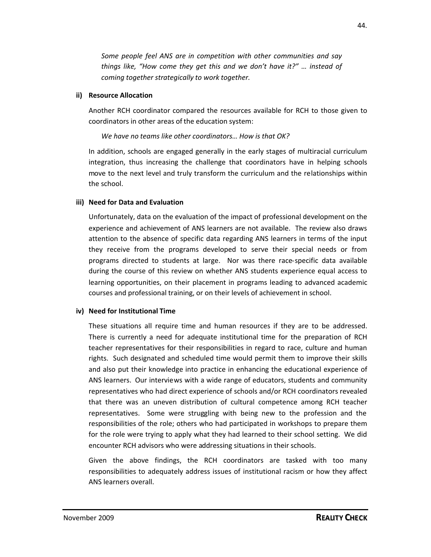*Some people feel ANS are in competition with other communities and say things like, "How come they get this and we don't have it?" … instead of coming together strategically to work together.*

### **ii) Resource Allocation**

Another RCH coordinator compared the resources available for RCH to those given to coordinators in other areas of the education system:

*We have no teams like other coordinators… How is that OK?*

In addition, schools are engaged generally in the early stages of multiracial curriculum integration, thus increasing the challenge that coordinators have in helping schools move to the next level and truly transform the curriculum and the relationships within the school.

### **iii) Need for Data and Evaluation**

Unfortunately, data on the evaluation of the impact of professional development on the experience and achievement of ANS learners are not available. The review also draws attention to the absence of specific data regarding ANS learners in terms of the input they receive from the programs developed to serve their special needs or from programs directed to students at large. Nor was there race-specific data available during the course of this review on whether ANS students experience equal access to learning opportunities, on their placement in programs leading to advanced academic courses and professional training, or on their levels of achievement in school.

### **iv) Need for Institutional Time**

These situations all require time and human resources if they are to be addressed. There is currently a need for adequate institutional time for the preparation of RCH teacher representatives for their responsibilities in regard to race, culture and human rights. Such designated and scheduled time would permit them to improve their skills and also put their knowledge into practice in enhancing the educational experience of ANS learners. Our interviews with a wide range of educators, students and community representatives who had direct experience of schools and/or RCH coordinators revealed that there was an uneven distribution of cultural competence among RCH teacher representatives. Some were struggling with being new to the profession and the responsibilities of the role; others who had participated in workshops to prepare them for the role were trying to apply what they had learned to their school setting. We did encounter RCH advisors who were addressing situations in their schools.

Given the above findings, the RCH coordinators are tasked with too many responsibilities to adequately address issues of institutional racism or how they affect ANS learners overall.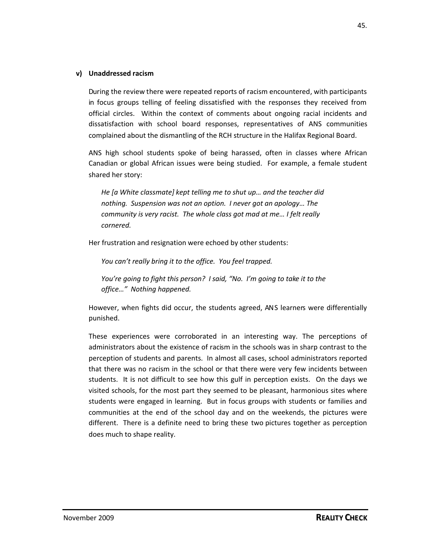### **v) Unaddressed racism**

During the review there were repeated reports of racism encountered, with participants in focus groups telling of feeling dissatisfied with the responses they received from official circles. Within the context of comments about ongoing racial incidents and dissatisfaction with school board responses, representatives of ANS communities complained about the dismantling of the RCH structure in the Halifax Regional Board.

ANS high school students spoke of being harassed, often in classes where African Canadian or global African issues were being studied. For example, a female student shared her story:

*He [a White classmate] kept telling me to shut up… and the teacher did nothing*. *Suspension was not an option. I never got an apology… The community is very racist. The whole class got mad at me… I felt really cornered.*

Her frustration and resignation were echoed by other students:

*You can't really bring it to the office. You feel trapped.*

*You're going to fight this person? I said, "No. I'm going to take it to the office…" Nothing happened.*

However, when fights did occur, the students agreed, ANS learners were differentially punished.

These experiences were corroborated in an interesting way. The perceptions of administrators about the existence of racism in the schools was in sharp contrast to the perception of students and parents. In almost all cases, school administrators reported that there was no racism in the school or that there were very few incidents between students. It is not difficult to see how this gulf in perception exists. On the days we visited schools, for the most part they seemed to be pleasant, harmonious sites where students were engaged in learning. But in focus groups with students or families and communities at the end of the school day and on the weekends, the pictures were different. There is a definite need to bring these two pictures together as perception does much to shape reality.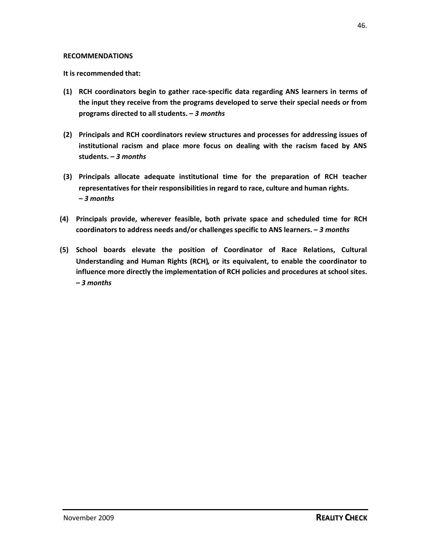#### **RECOMMENDATIONS**

**It is recommended that:**

- **(1) RCH coordinators begin to gather race-specific data regarding ANS learners in terms of the input they receive from the programs developed to serve their special needs or from programs directed to all students. –** *3 months*
- **(2) Principals and RCH coordinators review structures and processes for addressing issues of institutional racism and place more focus on dealing with the racism faced by ANS students. –** *3 months*
- **(3) Principals allocate adequate institutional time for the preparation of RCH teacher representatives for their responsibilities in regard to race, culture and human rights. –** *3 months*
- **(4) Principals provide, wherever feasible, both private space and scheduled time for RCH coordinators to address needs and/or challenges specific to ANS learners. –** *3 months*
- **(5) School boards elevate the position of Coordinator of Race Relations, Cultural Understanding and Human Rights (RCH), or its equivalent, to enable the coordinator to influence more directly the implementation of RCH policies and procedures at school sites.** *– 3 months*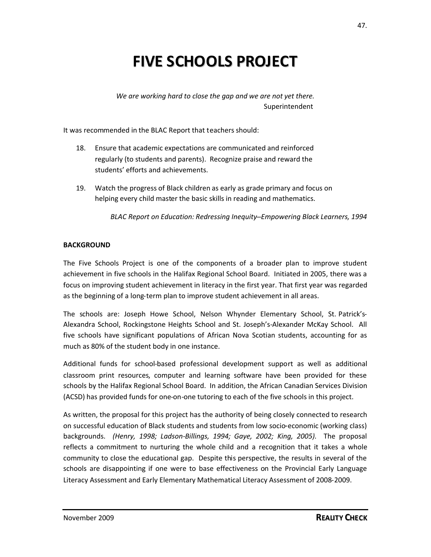## **FIVE SCHOOLS PROJECT**

*We are working hard to close the gap and we are not yet there.* Superintendent

It was recommended in the BLAC Report that teachers should:

- 18. Ensure that academic expectations are communicated and reinforced regularly (to students and parents). Recognize praise and reward the students' efforts and achievements.
- 19. Watch the progress of Black children as early as grade primary and focus on helping every child master the basic skills in reading and mathematics.

*BLAC Report on Education: Redressing Inequity–Empowering Black Learners, 1994*

### **BACKGROUND**

The Five Schools Project is one of the components of a broader plan to improve student achievement in five schools in the Halifax Regional School Board. Initiated in 2005, there was a focus on improving student achievement in literacy in the first year. That first year was regarded as the beginning of a long-term plan to improve student achievement in all areas.

The schools are: Joseph Howe School, Nelson Whynder Elementary School, St. Patrick's-Alexandra School, Rockingstone Heights School and St. Joseph's-Alexander McKay School. All five schools have significant populations of African Nova Scotian students, accounting for as much as 80% of the student body in one instance.

Additional funds for school-based professional development support as well as additional classroom print resources, computer and learning software have been provided for these schools by the Halifax Regional School Board. In addition, the African Canadian Services Division (ACSD) has provided funds for one-on-one tutoring to each of the five schools in this project.

As written, the proposal for this project has the authority of being closely connected to research on successful education of Black students and students from low socio-economic (working class) backgrounds. *(Henry, 1998; Ladson-Billings, 1994; Gaye, 2002; King, 2005)*. The proposal reflects a commitment to nurturing the whole child and a recognition that it takes a whole community to close the educational gap. Despite this perspective, the results in several of the schools are disappointing if one were to base effectiveness on the Provincial Early Language Literacy Assessment and Early Elementary Mathematical Literacy Assessment of 2008-2009.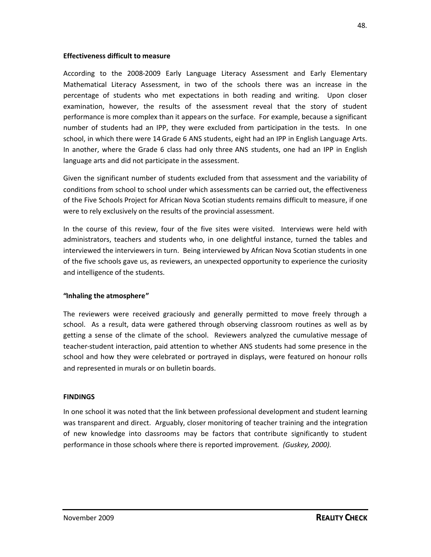#### **Effectiveness difficult to measure**

According to the 2008-2009 Early Language Literacy Assessment and Early Elementary Mathematical Literacy Assessment, in two of the schools there was an increase in the percentage of students who met expectations in both reading and writing. Upon closer examination, however, the results of the assessment reveal that the story of student performance is more complex than it appears on the surface. For example, because a significant number of students had an IPP, they were excluded from participation in the tests. In one school, in which there were 14Grade 6 ANS students, eight had an IPP in English Language Arts. In another, where the Grade 6 class had only three ANS students, one had an IPP in English language arts and did not participate in the assessment.

Given the significant number of students excluded from that assessment and the variability of conditions from school to school under which assessments can be carried out, the effectiveness of the Five Schools Project for African Nova Scotian students remains difficult to measure, if one were to rely exclusively on the results of the provincial assessment.

In the course of this review, four of the five sites were visited. Interviews were held with administrators, teachers and students who, in one delightful instance, turned the tables and interviewed the interviewers in turn. Being interviewed by African Nova Scotian students in one of the five schools gave us, as reviewers, an unexpected opportunity to experience the curiosity and intelligence of the students.

### **"Inhaling the atmosphere"**

The reviewers were received graciously and generally permitted to move freely through a school. As a result, data were gathered through observing classroom routines as well as by getting a sense of the climate of the school. Reviewers analyzed the cumulative message of teacher-student interaction, paid attention to whether ANS students had some presence in the school and how they were celebrated or portrayed in displays, were featured on honour rolls and represented in murals or on bulletin boards.

### **FINDINGS**

In one school it was noted that the link between professional development and student learning was transparent and direct. Arguably, closer monitoring of teacher training and the integration of new knowledge into classrooms may be factors that contribute significantly to student performance in those schools where there is reported improvement. *(Guskey, 2000).*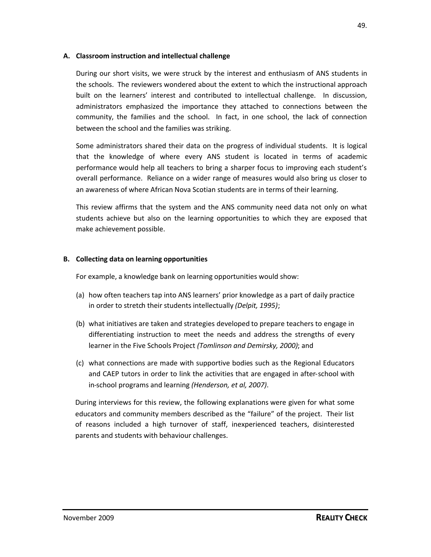### **A. Classroom instruction and intellectual challenge**

During our short visits, we were struck by the interest and enthusiasm of ANS students in the schools. The reviewers wondered about the extent to which the instructional approach built on the learners' interest and contributed to intellectual challenge. In discussion, administrators emphasized the importance they attached to connections between the community, the families and the school. In fact, in one school, the lack of connection between the school and the families was striking.

Some administrators shared their data on the progress of individual students. It is logical that the knowledge of where every ANS student is located in terms of academic performance would help all teachers to bring a sharper focus to improving each student's overall performance. Reliance on a wider range of measures would also bring us closer to an awareness of where African Nova Scotian students are in terms of their learning.

This review affirms that the system and the ANS community need data not only on what students achieve but also on the learning opportunities to which they are exposed that make achievement possible.

### **B. Collecting data on learning opportunities**

For example, a knowledge bank on learning opportunities would show:

- (a) how often teachers tap into ANS learners' prior knowledge as a part of daily practice in order to stretch their students intellectually *(Delpit, 1995)*;
- (b) what initiatives are taken and strategies developed to prepare teachers to engage in differentiating instruction to meet the needs and address the strengths of every learner in the Five Schools Project *(Tomlinson and Demirsky, 2000)*; and
- (c) what connections are made with supportive bodies such as the Regional Educators and CAEP tutors in order to link the activities that are engaged in after-school with in-school programs and learning *(Henderson, et al, 2007)*.

During interviews for this review, the following explanations were given for what some educators and community members described as the "failure" of the project. Their list of reasons included a high turnover of staff, inexperienced teachers, disinterested parents and students with behaviour challenges.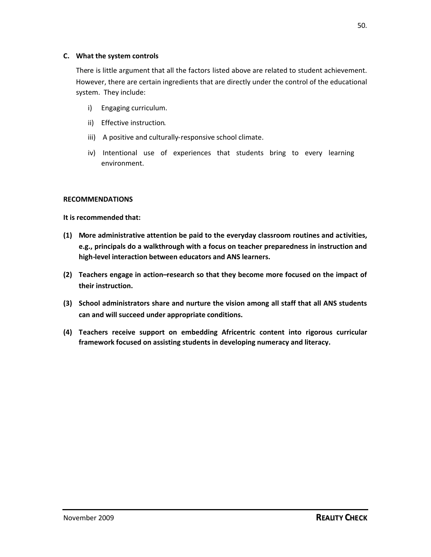### **C. What the system controls**

There is little argument that all the factors listed above are related to student achievement. However, there are certain ingredients that are directly under the control of the educational system. They include:

- i) Engaging curriculum.
- ii) Effective instruction.
- iii) A positive and culturally-responsive school climate.
- iv) Intentional use of experiences that students bring to every learning environment.

### **RECOMMENDATIONS**

### **It is recommended that:**

- **(1) More administrative attention be paid to the everyday classroom routines and activities, e.g., principals do a walkthrough with a focus on teacher preparedness in instruction and high-level interaction between educators and ANS learners.**
- **(2) Teachers engage in action–research so that they become more focused on the impact of their instruction.**
- **(3) School administrators share and nurture the vision among all staff that all ANS students can and will succeed under appropriate conditions.**
- **(4) Teachers receive support on embedding Africentric content into rigorous curricular framework focused on assisting students in developing numeracy and literacy.**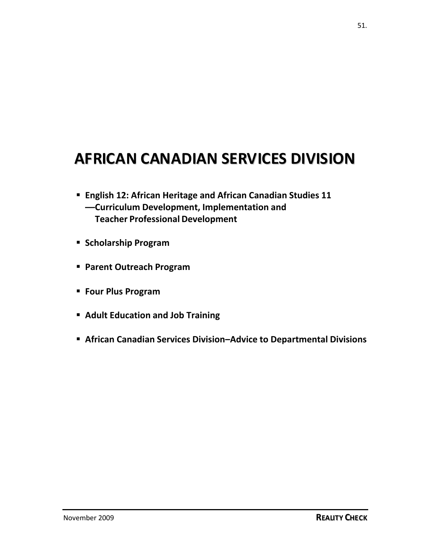## **AFRICAN CANADIAN SERVICES DIVISION**

- **English 12: African Heritage and African Canadian Studies 11 —Curriculum Development, Implementation and Teacher Professional Development**
- **F** Scholarship Program
- **Parent Outreach Program**
- **Four Plus Program**
- **Adult Education and Job Training**
- **African Canadian Services Division–Advice to Departmental Divisions**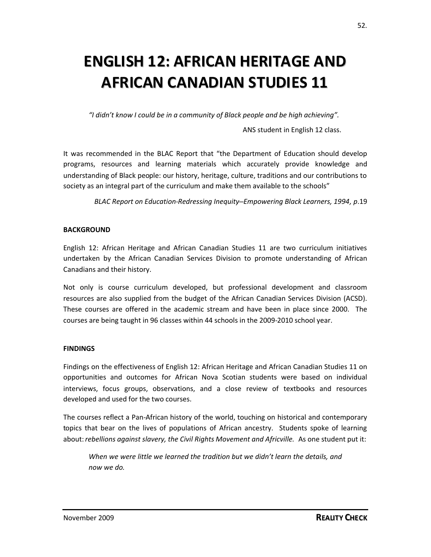## **ENGLISH 12: AFRICAN HERITAGE AND AFRICAN CANADIAN STUDIES 11**

*"I didn't know I could be in a community of Black people and be high achieving".*

ANS student in English 12 class.

It was recommended in the BLAC Report that "the Department of Education should develop programs, resources and learning materials which accurately provide knowledge and understanding of Black people: our history, heritage, culture, traditions and our contributions to society as an integral part of the curriculum and make them available to the schools"

*BLAC Report on Education-Redressing Inequity–Empowering Black Learners, 1994, p*.19

### **BACKGROUND**

English 12: African Heritage and African Canadian Studies 11 are two curriculum initiatives undertaken by the African Canadian Services Division to promote understanding of African Canadians and their history.

Not only is course curriculum developed, but professional development and classroom resources are also supplied from the budget of the African Canadian Services Division (ACSD). These courses are offered in the academic stream and have been in place since 2000. The courses are being taught in 96 classes within 44 schools in the 2009-2010 school year.

### **FINDINGS**

Findings on the effectiveness of English 12: African Heritage and African Canadian Studies 11 on opportunities and outcomes for African Nova Scotian students were based on individual interviews, focus groups, observations, and a close review of textbooks and resources developed and used for the two courses.

The courses reflect a Pan-African history of the world, touching on historical and contemporary topics that bear on the lives of populations of African ancestry. Students spoke of learning about:*rebellions against slavery, the Civil Rights Movement and Africville.* As one student put it:

*When we were little we learned the tradition but we didn't learn the details, and now we do.*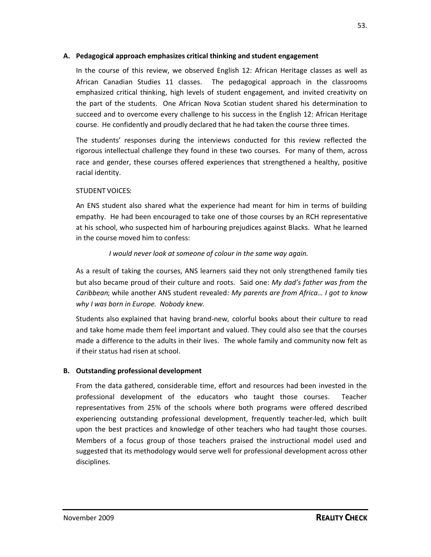### **A. Pedagogical approach emphasizes critical thinking and student engagement**

In the course of this review, we observed English 12: African Heritage classes as well as African Canadian Studies 11 classes. The pedagogical approach in the classrooms emphasized critical thinking, high levels of student engagement, and invited creativity on the part of the students. One African Nova Scotian student shared his determination to succeed and to overcome every challenge to his success in the English 12: African Heritage course. He confidently and proudly declared that he had taken the course three times.

The students' responses during the interviews conducted for this review reflected the rigorous intellectual challenge they found in these two courses. For many of them, across race and gender, these courses offered experiences that strengthened a healthy, positive racial identity.

### STUDENT VOICES:

An ENS student also shared what the experience had meant for him in terms of building empathy. He had been encouraged to take one of those courses by an RCH representative at his school, who suspected him of harbouring prejudices against Blacks. What he learned in the course moved him to confess:

### *I would never look at someone of colour in the same way again.*

As a result of taking the courses, ANS learners said they not only strengthened family ties but also became proud of their culture and roots. Said one: *My dad's father was from the Caribbean*; while another ANS student revealed*: My parents are from Africa… I got to know why I was born in Europe. Nobody knew.*

Students also explained that having brand-new, colorful books about their culture to read and take home made them feel important and valued. They could also see that the courses made a difference to the adults in their lives. The whole family and community now felt as if their status had risen at school.

### **B. Outstanding professional development**

From the data gathered, considerable time, effort and resources had been invested in the professional development of the educators who taught those courses. Teacher representatives from 25% of the schools where both programs were offered described experiencing outstanding professional development, frequently teacher-led, which built upon the best practices and knowledge of other teachers who had taught those courses. Members of a focus group of those teachers praised the instructional model used and suggested that its methodology would serve well for professional development across other disciplines.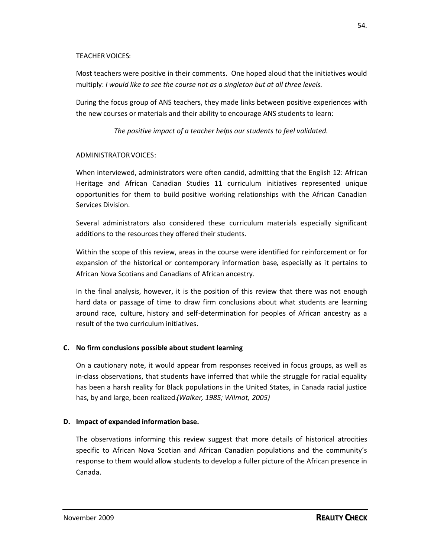### TEACHER VOICES:

Most teachers were positive in their comments. One hoped aloud that the initiatives would multiply: *I would like to see the course not as a singleton but at all three levels.*

During the focus group of ANS teachers, they made links between positive experiences with the new courses or materials and their ability to encourage ANS students to learn:

*The positive impact of a teacher helps our students to feel validated.*

### ADMINISTRATORVOICES:

When interviewed, administrators were often candid, admitting that the English 12: African Heritage and African Canadian Studies 11 curriculum initiatives represented unique opportunities for them to build positive working relationships with the African Canadian Services Division.

Several administrators also considered these curriculum materials especially significant additions to the resources they offered their students.

Within the scope of this review, areas in the course were identified for reinforcement or for expansion of the historical or contemporary information base, especially as it pertains to African Nova Scotians and Canadians of African ancestry.

In the final analysis, however, it is the position of this review that there was not enough hard data or passage of time to draw firm conclusions about what students are learning around race, culture, history and self-determination for peoples of African ancestry as a result of the two curriculum initiatives.

### **C. No firm conclusions possible about student learning**

On a cautionary note, it would appear from responses received in focus groups, as well as in-class observations, that students have inferred that while the struggle for racial equality has been a harsh reality for Black populations in the United States, in Canada racial justice has, by and large, been realized.*(Walker, 1985; Wilmot, 2005)*

### **D. Impact of expanded information base.**

The observations informing this review suggest that more details of historical atrocities specific to African Nova Scotian and African Canadian populations and the community's response to them would allow students to develop a fuller picture of the African presence in Canada.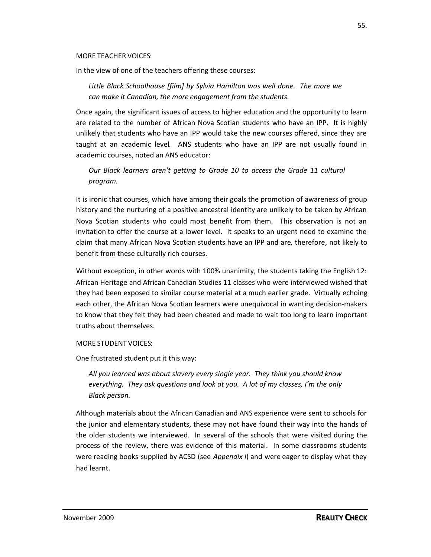#### MORE TEACHER VOICES:

In the view of one of the teachers offering these courses:

*Little Black Schoolhouse [film] by Sylvia Hamilton was well done. The more we can make it Canadian, the more engagement from the students*.

Once again, the significant issues of access to higher education and the opportunity to learn are related to the number of African Nova Scotian students who have an IPP. It is highly unlikely that students who have an IPP would take the new courses offered, since they are taught at an academic level. ANS students who have an IPP are not usually found in academic courses, noted an ANS educator:

*Our Black learners aren't getting to Grade 10 to access the Grade 11 cultural program.*

It is ironic that courses, which have among their goals the promotion of awareness of group history and the nurturing of a positive ancestral identity are unlikely to be taken by African Nova Scotian students who could most benefit from them. This observation is not an invitation to offer the course at a lower level. It speaks to an urgent need to examine the claim that many African Nova Scotian students have an IPP and are, therefore, not likely to benefit from these culturally rich courses.

Without exception, in other words with 100% unanimity, the students taking the English 12: African Heritage and African Canadian Studies 11 classes who were interviewed wished that they had been exposed to similar course material at a much earlier grade. Virtually echoing each other, the African Nova Scotian learners were unequivocal in wanting decision-makers to know that they felt they had been cheated and made to wait too long to learn important truths about themselves.

### MORE STUDENT VOICES:

One frustrated student put it this way:

*All you learned was about slavery every single year. They think you should know everything. They ask questions and look at you. A lot of my classes, I'm the only Black person.*

Although materials about the African Canadian and ANS experience were sent to schools for the junior and elementary students, these may not have found their way into the hands of the older students we interviewed. In several of the schools that were visited during the process of the review, there was evidence of this material. In some classrooms students were reading books supplied by ACSD (see *Appendix I*) and were eager to display what they had learnt.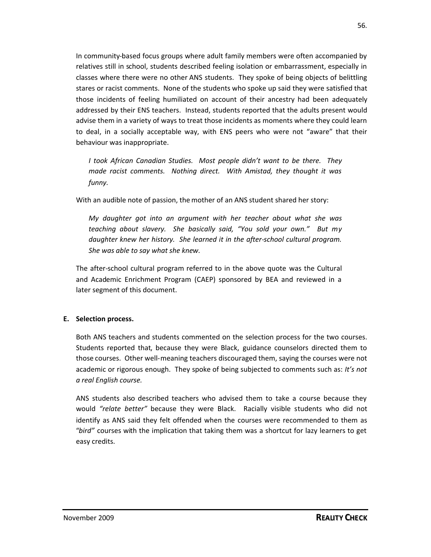In community-based focus groups where adult family members were often accompanied by relatives still in school, students described feeling isolation or embarrassment, especially in classes where there were no other ANS students. They spoke of being objects of belittling stares or racist comments. None of the students who spoke up said they were satisfied that those incidents of feeling humiliated on account of their ancestry had been adequately addressed by their ENS teachers. Instead, students reported that the adults present would advise them in a variety of ways to treat those incidents as moments where they could learn to deal, in a socially acceptable way, with ENS peers who were not "aware" that their behaviour was inappropriate.

*I took African Canadian Studies. Most people didn't want to be there. They made racist comments. Nothing direct. With Amistad, they thought it was funny.*

With an audible note of passion, the mother of an ANS student shared her story:

*My daughter got into an argument with her teacher about what she was teaching about slavery. She basically said, "You sold your own." But my daughter knew her history. She learned it in the after-school cultural program. She was able to say what she knew.*

The after-school cultural program referred to in the above quote was the Cultural and Academic Enrichment Program (CAEP) sponsored by BEA and reviewed in a later segment of this document.

### **E. Selection process.**

Both ANS teachers and students commented on the selection process for the two courses. Students reported that, because they were Black, guidance counselors directed them to those courses. Other well-meaning teachers discouraged them, saying the courses were not academic or rigorous enough. They spoke of being subjected to comments such as: *It's not a real English course.*

ANS students also described teachers who advised them to take a course because they would *"relate better"* because they were Black. Racially visible students who did not identify as ANS said they felt offended when the courses were recommended to them as "*bird"* courses with the implication that taking them was a shortcut for lazy learners to get easy credits.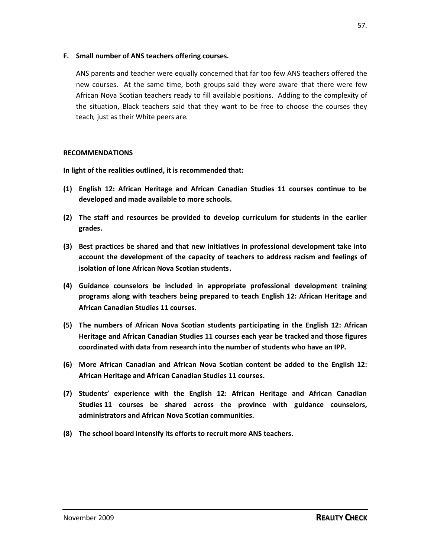### **F. Small number of ANS teachers offering courses.**

ANS parents and teacher were equally concerned that far too few ANS teachers offered the new courses. At the same time, both groups said they were aware that there were few African Nova Scotian teachers ready to fill available positions. Adding to the complexity of the situation, Black teachers said that they want to be free to choose the courses they teach, just as their White peers are.

### **RECOMMENDATIONS**

**In light of the realities outlined, it is recommended that:**

- **(1) English 12: African Heritage and African Canadian Studies 11 courses continue to be developed and made available to more schools.**
- **(2) The staff and resources be provided to develop curriculum for students in the earlier grades.**
- **(3) Best practices be shared and that new initiatives in professional development take into account the development of the capacity of teachers to address racism and feelings of isolation of lone African Nova Scotian students.**
- **(4) Guidance counselors be included in appropriate professional development training programs along with teachers being prepared to teach English 12: African Heritage and African Canadian Studies 11 courses.**
- **(5) The numbers of African Nova Scotian students participating in the English 12: African Heritage and African Canadian Studies 11 courses each year be tracked and those figures coordinated with data from research into the number of students who have an IPP.**
- **(6) More African Canadian and African Nova Scotian content be added to the English 12: African Heritage and African Canadian Studies 11 courses.**
- **(7) Students' experience with the English 12: African Heritage and African Canadian Studies 11 courses be shared across the province with guidance counselors, administrators and African Nova Scotian communities.**
- **(8) The school board intensify its efforts to recruit more ANS teachers.**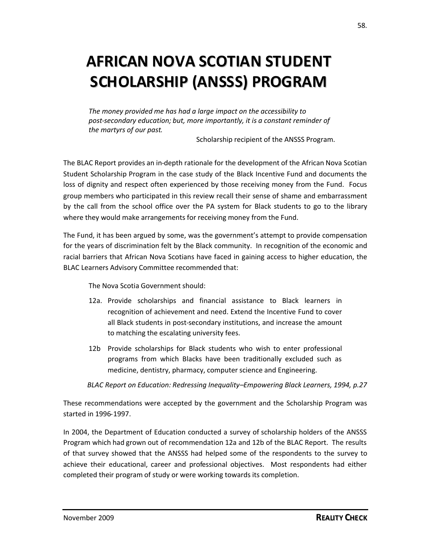## **AFRICAN NOVA SCOTIAN STUDENT SCHOLARSHIP (ANSSS) PROGRAM**

*The money provided me has had a large impact on the accessibility to post-secondary education; but, more importantly, it is a constant reminder of the martyrs of our past*.

Scholarship recipient of the ANSSS Program.

The BLAC Report provides an in-depth rationale for the development of the African Nova Scotian Student Scholarship Program in the case study of the Black Incentive Fund and documents the loss of dignity and respect often experienced by those receiving money from the Fund. Focus group members who participated in this review recall their sense of shame and embarrassment by the call from the school office over the PA system for Black students to go to the library where they would make arrangements for receiving money from the Fund.

The Fund, it has been argued by some, was the government's attempt to provide compensation for the years of discrimination felt by the Black community. In recognition of the economic and racial barriers that African Nova Scotians have faced in gaining access to higher education, the BLAC Learners Advisory Committee recommended that:

The Nova Scotia Government should:

- 12a. Provide scholarships and financial assistance to Black learners in recognition of achievement and need. Extend the Incentive Fund to cover all Black students in post-secondary institutions, and increase the amount to matching the escalating university fees.
- 12b Provide scholarships for Black students who wish to enter professional programs from which Blacks have been traditionally excluded such as medicine, dentistry, pharmacy, computer science and Engineering.

*BLAC Report on Education: Redressing Inequality–Empowering Black Learners, 1994, p.27*

These recommendations were accepted by the government and the Scholarship Program was started in 1996-1997.

In 2004, the Department of Education conducted a survey of scholarship holders of the ANSSS Program which had grown out of recommendation 12a and 12b of the BLAC Report. The results of that survey showed that the ANSSS had helped some of the respondents to the survey to achieve their educational, career and professional objectives. Most respondents had either completed their program of study or were working towards its completion.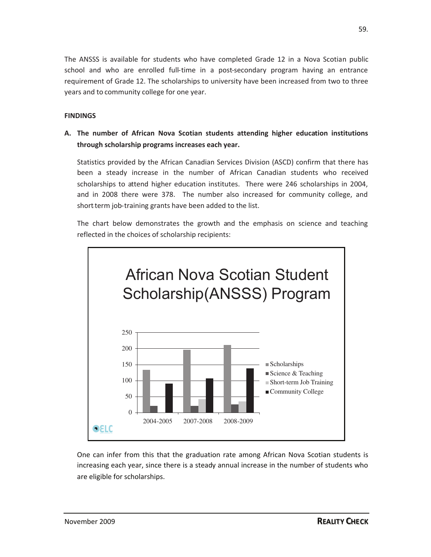The ANSSS is available for students who have completed Grade 12 in a Nova Scotian public school and who are enrolled full-time in a post-secondary program having an entrance requirement of Grade 12. The scholarships to university have been increased from two to three years and to community college for one year.

### **FINDINGS**

**A. The number of African Nova Scotian students attending higher education institutions through scholarship programs increases each year.**

Statistics provided by the African Canadian Services Division (ASCD) confirm that there has been a steady increase in the number of African Canadian students who received scholarships to attend higher education institutes. There were 246 scholarships in 2004, and in 2008 there were 378. The number also increased for community college, and short-term job-training grants have been added to the list.

The chart below demonstrates the growth and the emphasis on science and teaching reflected in the choices of scholarship recipients:



One can infer from this that the graduation rate among African Nova Scotian students is increasing each year, since there is a steady annual increase in the number of students who are eligible for scholarships.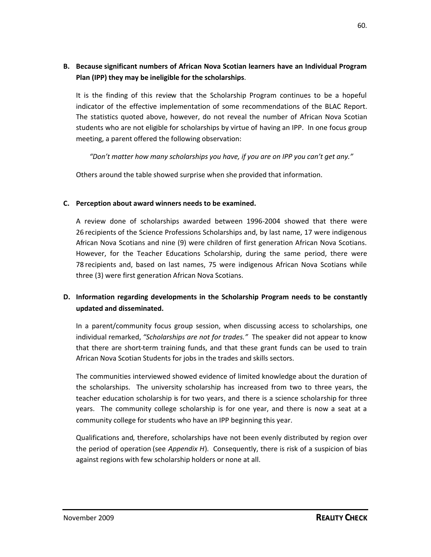### **B. Because significant numbers of African Nova Scotian learners have an Individual Program Plan (IPP) they may be ineligible for the scholarships**.

It is the finding of this review that the Scholarship Program continues to be a hopeful indicator of the effective implementation of some recommendations of the BLAC Report. The statistics quoted above, however, do not reveal the number of African Nova Scotian students who are not eligible for scholarships by virtue of having an IPP. In one focus group meeting, a parent offered the following observation:

*"Don't matter how many scholarships you have, if you are on IPP you can't get any."*

Others around the table showed surprise when she provided that information.

### **C. Perception about award winners needs to be examined.**

A review done of scholarships awarded between 1996-2004 showed that there were 26 recipients of the Science Professions Scholarships and, by last name, 17 were indigenous African Nova Scotians and nine (9) were children of first generation African Nova Scotians. However, for the Teacher Educations Scholarship, during the same period, there were 78 recipients and, based on last names, 75 were indigenous African Nova Scotians while three (3) were first generation African Nova Scotians.

### **D. Information regarding developments in the Scholarship Program needs to be constantly updated and disseminated.**

In a parent/community focus group session, when discussing access to scholarships, one individual remarked, *"Scholarships are not for trades."* The speaker did not appear to know that there are short-term training funds, and that these grant funds can be used to train African Nova Scotian Students for jobs in the trades and skills sectors.

The communities interviewed showed evidence of limited knowledge about the duration of the scholarships. The university scholarship has increased from two to three years, the teacher education scholarship is for two years, and there is a science scholarship for three years. The community college scholarship is for one year, and there is now a seat at a community college for students who have an IPP beginning this year.

Qualifications and, therefore, scholarships have not been evenly distributed by region over the period of operation (see *Appendix H*). Consequently, there is risk of a suspicion of bias against regions with few scholarship holders or none at all.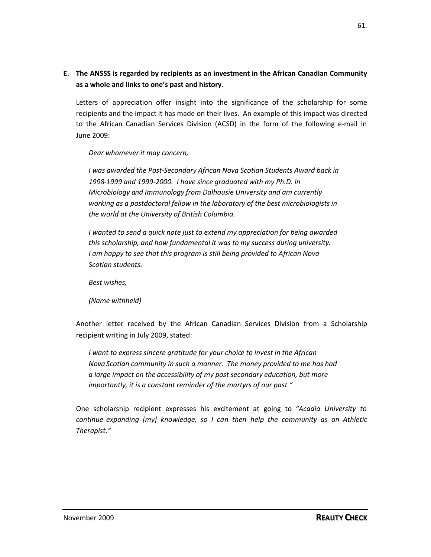## **E. The ANSSS is regarded by recipients as an investment in the African Canadian Community as a whole and links to one's past and history**.

Letters of appreciation offer insight into the significance of the scholarship for some recipients and the impact it has made on their lives. An example of this impact was directed to the African Canadian Services Division (ACSD) in the form of the following e-mail in June 2009:

### *Dear whomever it may concern,*

*I was awarded the Post-Secondary African Nova Scotian Students Award back in 1998-1999 and 1999-2000. I have since graduated with my Ph.D. in Microbiology and Immunology from Dalhousie University and am currently working as a postdoctoral fellow in the laboratory of the best microbiologists in the world at the University of British Columbia.*

*I wanted to send a quick note just to extend my appreciation for being awarded this scholarship, and how fundamental it was to my success during university. I am happy to see that this program is still being provided to African Nova Scotian students.*

*Best wishes,*

*(Name withheld)*

Another letter received by the African Canadian Services Division from a Scholarship recipient writing in July 2009, stated:

*I want to express sincere gratitude for your choice to invest in the African Nova Scotian community in such a manner. The money provided to me has had a large impact on the accessibility of my post secondary education, but more importantly, it is a constant reminder of the martyrs of our past."*

One scholarship recipient expresses his excitement at going to *"Acadia University to continue expanding [my] knowledge, so I can then help the community as an Athletic Therapist."*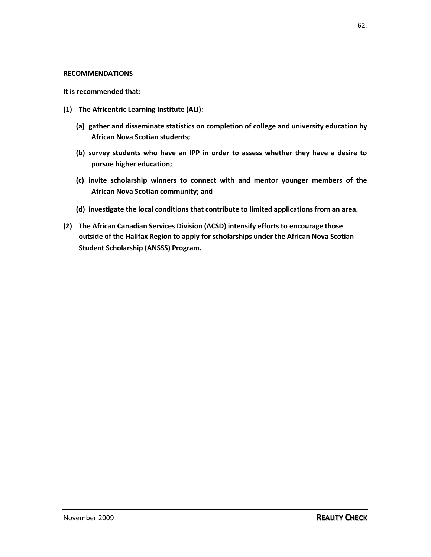#### **RECOMMENDATIONS**

**It is recommended that:**

- **(1) The Africentric Learning Institute (ALI):**
	- **(a) gather and disseminate statistics on completion of college and university education by African Nova Scotian students;**
	- **(b) survey students who have an IPP in order to assess whether they have a desire to pursue higher education;**
	- **(c) invite scholarship winners to connect with and mentor younger members of the African Nova Scotian community; and**
	- **(d) investigate the local conditions that contribute to limited applications from an area.**
- **(2) The African Canadian Services Division (ACSD) intensify efforts to encourage those outside of the Halifax Region to apply for scholarships under the African Nova Scotian Student Scholarship (ANSSS) Program.**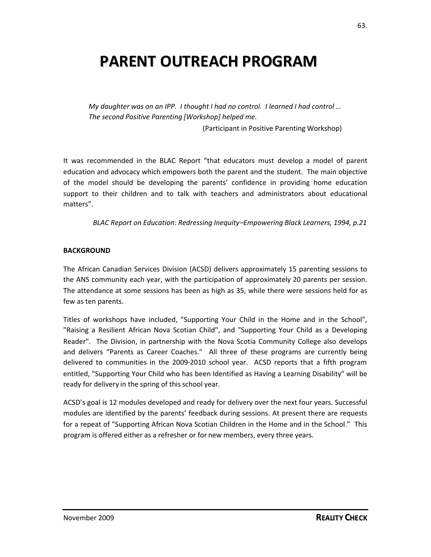## **PARENT OUTREACH PROGRAM**

*My daughter was on an IPP. I thought I had no control. I learned I had control … The second Positive Parenting [Workshop] helped me.*

(Participant in Positive Parenting Workshop)

It was recommended in the BLAC Report "that educators must develop a model of parent education and advocacy which empowers both the parent and the student. The main objective of the model should be developing the parents' confidence in providing home education support to their children and to talk with teachers and administrators about educational matters".

*BLAC Report on Education: Redressing Inequity–Empowering Black Learners, 1994, p.21*

#### **BACKGROUND**

The African Canadian Services Division (ACSD) delivers approximately 15 parenting sessions to the ANS community each year, with the participation of approximately 20 parents per session. The attendance at some sessions has been as high as 35, while there were sessions held for as few as ten parents.

Titles of workshops have included, "Supporting Your Child in the Home and in the School", "Raising a Resilient African Nova Scotian Child", and "Supporting Your Child as a Developing Reader". The Division, in partnership with the Nova Scotia Community College also develops and delivers "Parents as Career Coaches." All three of these programs are currently being delivered to communities in the 2009-2010 school year. ACSD reports that a fifth program entitled, "Supporting Your Child who has been Identified as Having a Learning Disability" will be ready for delivery in the spring of this school year.

ACSD's goal is 12 modules developed and ready for delivery over the next four years. Successful modules are identified by the parents' feedback during sessions. At present there are requests for a repeat of "Supporting African Nova Scotian Children in the Home and in the School." This program is offered either as a refresher or for new members, every three years.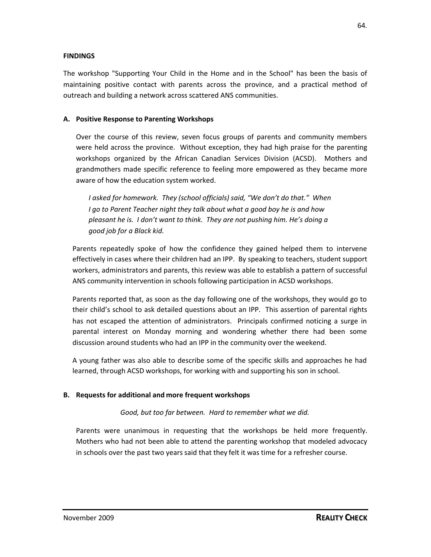### **FINDINGS**

The workshop "Supporting Your Child in the Home and in the School" has been the basis of maintaining positive contact with parents across the province, and a practical method of outreach and building a network across scattered ANS communities.

### **A. Positive Response to Parenting Workshops**

Over the course of this review, seven focus groups of parents and community members were held across the province. Without exception, they had high praise for the parenting workshops organized by the African Canadian Services Division (ACSD). Mothers and grandmothers made specific reference to feeling more empowered as they became more aware of how the education system worked.

*I asked for homework. They (school officials) said, "We don't do that." When I go to Parent Teacher night they talk about what a good boy he is and how pleasant he is. I don't want to think. They are not pushing him. He's doing a good job for a Black kid.*

Parents repeatedly spoke of how the confidence they gained helped them to intervene effectively in cases where their children had an IPP. By speaking to teachers, student support workers, administrators and parents, this review was able to establish a pattern of successful ANS community intervention in schools following participation in ACSD workshops.

Parents reported that, as soon as the day following one of the workshops, they would go to their child's school to ask detailed questions about an IPP. This assertion of parental rights has not escaped the attention of administrators. Principals confirmed noticing a surge in parental interest on Monday morning and wondering whether there had been some discussion around students who had an IPP in the community over the weekend.

A young father was also able to describe some of the specific skills and approaches he had learned, through ACSD workshops, for working with and supporting his son in school.

### **B. Requests for additional and more frequent workshops**

*Good, but too far between. Hard to remember what we did.*

Parents were unanimous in requesting that the workshops be held more frequently. Mothers who had not been able to attend the parenting workshop that modeled advocacy in schools over the past two years said that they felt it was time for a refresher course.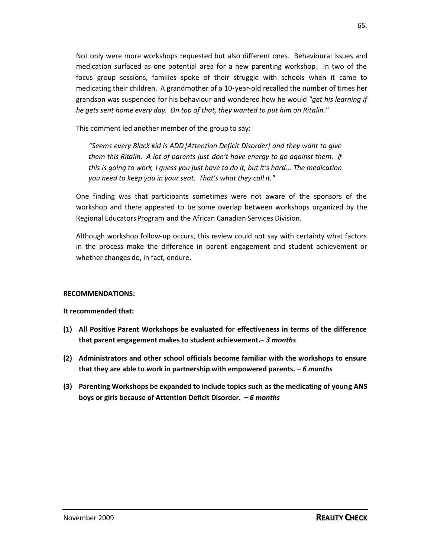Not only were more workshops requested but also different ones. Behavioural issues and medication surfaced as one potential area for a new parenting workshop. In two of the focus group sessions, families spoke of their struggle with schools when it came to medicating their children. A grandmother of a 10-year-old recalled the number of times her grandson was suspended for his behaviour and wondered how he would *"get his learning if he gets sent home every day. On top of that, they wanted to put him on Ritalin."*

This comment led another member of the group to say:

*"Seems every Black kid is ADD [Attention Deficit Disorder] and they want to give them this Ritalin. A lot of parents just don't have energy to go against them. If this is going to work, I guess you just have to do it, but it's hard... The medication you need to keep you in your seat. That's what they call it."*

One finding was that participants sometimes were not aware of the sponsors of the workshop and there appeared to be some overlap between workshops organized by the Regional EducatorsProgram and the African Canadian Services Division.

Although workshop follow-up occurs, this review could not say with certainty what factors in the process make the difference in parent engagement and student achievement or whether changes do, in fact, endure.

### **RECOMMENDATIONS:**

**It recommended that:**

- **(1) All Positive Parent Workshops be evaluated for effectiveness in terms of the difference that parent engagement makes to student achievement.–** *3 months*
- **(2) Administrators and other school officials become familiar with the workshops to ensure that they are able to work in partnership with empowered parents. –** *6 months*
- **(3) Parenting Workshops be expanded to include topics such as the medicating of young ANS boys or girls because of Attention Deficit Disorder. –** *6 months*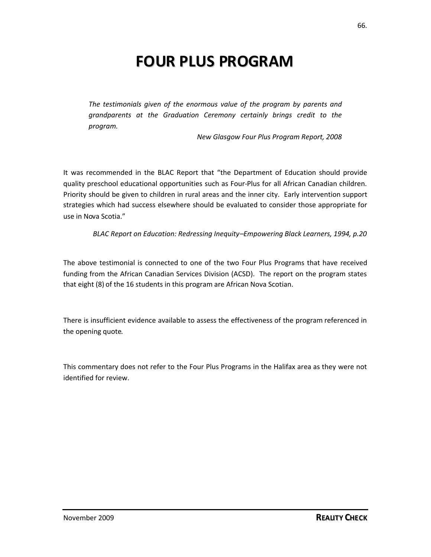## **FOUR PLUS PROGRAM**

*The testimonials given of the enormous value of the program by parents and grandparents at the Graduation Ceremony certainly brings credit to the program.*

*New Glasgow Four Plus Program Report, 2008*

It was recommended in the BLAC Report that "the Department of Education should provide quality preschool educational opportunities such as Four-Plus for all African Canadian children. Priority should be given to children in rural areas and the inner city. Early intervention support strategies which had success elsewhere should be evaluated to consider those appropriate for use in Nova Scotia."

*BLAC Report on Education: Redressing Inequity–Empowering Black Learners, 1994, p.20*

The above testimonial is connected to one of the two Four Plus Programs that have received funding from the African Canadian Services Division (ACSD). The report on the program states that eight (8) of the 16 students in this program are African Nova Scotian.

There is insufficient evidence available to assess the effectiveness of the program referenced in the opening quote.

This commentary does not refer to the Four Plus Programs in the Halifax area as they were not identified for review.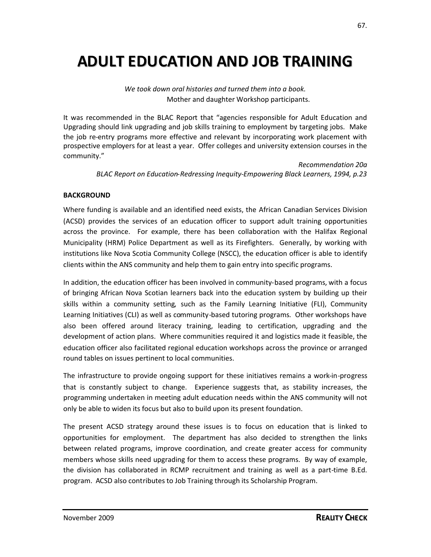## **ADULT EDUCATION AND JOB TRAINING**

*We took down oral histories and turned them into a book.* Mother and daughter Workshop participants.

It was recommended in the BLAC Report that "agencies responsible for Adult Education and Upgrading should link upgrading and job skills training to employment by targeting jobs. Make the job re-entry programs more effective and relevant by incorporating work placement with prospective employers for at least a year. Offer colleges and university extension courses in the community."

> *Recommendation 20a BLAC Report on Education-Redressing Inequity-Empowering Black Learners, 1994, p.23*

### **BACKGROUND**

Where funding is available and an identified need exists, the African Canadian Services Division (ACSD) provides the services of an education officer to support adult training opportunities across the province. For example, there has been collaboration with the Halifax Regional Municipality (HRM) Police Department as well as its Firefighters. Generally, by working with institutions like Nova Scotia Community College (NSCC), the education officer is able to identify clients within the ANS community and help them to gain entry into specific programs.

In addition, the education officer has been involved in community-based programs, with a focus of bringing African Nova Scotian learners back into the education system by building up their skills within a community setting, such as the Family Learning Initiative (FLI), Community Learning Initiatives (CLI) as well as community-based tutoring programs. Other workshops have also been offered around literacy training, leading to certification, upgrading and the development of action plans. Where communities required it and logistics made it feasible, the education officer also facilitated regional education workshops across the province or arranged round tables on issues pertinent to local communities.

The infrastructure to provide ongoing support for these initiatives remains a work-in-progress that is constantly subject to change. Experience suggests that, as stability increases, the programming undertaken in meeting adult education needs within the ANS community will not only be able to widen its focus but also to build upon its present foundation.

The present ACSD strategy around these issues is to focus on education that is linked to opportunities for employment. The department has also decided to strengthen the links between related programs, improve coordination, and create greater access for community members whose skills need upgrading for them to access these programs. By way of example, the division has collaborated in RCMP recruitment and training as well as a part-time B.Ed. program. ACSD also contributes to Job Training through its Scholarship Program.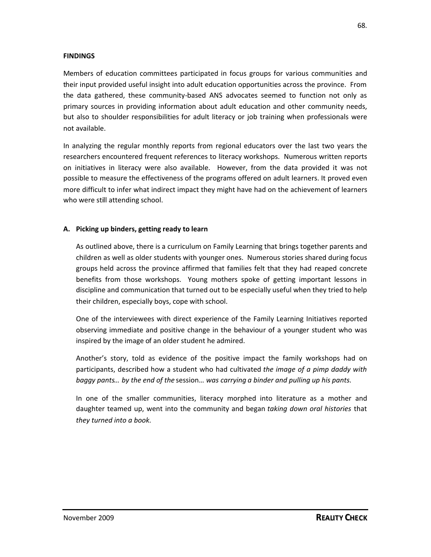### **FINDINGS**

Members of education committees participated in focus groups for various communities and their input provided useful insight into adult education opportunities across the province. From the data gathered, these community-based ANS advocates seemed to function not only as primary sources in providing information about adult education and other community needs, but also to shoulder responsibilities for adult literacy or job training when professionals were not available.

In analyzing the regular monthly reports from regional educators over the last two years the researchers encountered frequent references to literacy workshops. Numerous written reports on initiatives in literacy were also available. However, from the data provided it was not possible to measure the effectiveness of the programs offered on adult learners. It proved even more difficult to infer what indirect impact they might have had on the achievement of learners who were still attending school.

### **A. Picking up binders, getting ready to learn**

As outlined above, there is a curriculum on Family Learning that brings together parents and children as well as older students with younger ones. Numerous stories shared during focus groups held across the province affirmed that families felt that they had reaped concrete benefits from those workshops. Young mothers spoke of getting important lessons in discipline and communication that turned out to be especially useful when they tried to help their children, especially boys, cope with school.

One of the interviewees with direct experience of the Family Learning Initiatives reported observing immediate and positive change in the behaviour of a younger student who was inspired by the image of an older student he admired.

Another's story, told as evidence of the positive impact the family workshops had on participants, described how a student who had cultivated *the image of a pimp daddy with baggy pants*… *by the end of the* session… *was carrying a binder and pulling up his pants.*

In one of the smaller communities, literacy morphed into literature as a mother and daughter teamed up, went into the community and began *taking down oral histories* that *they turned into a book*.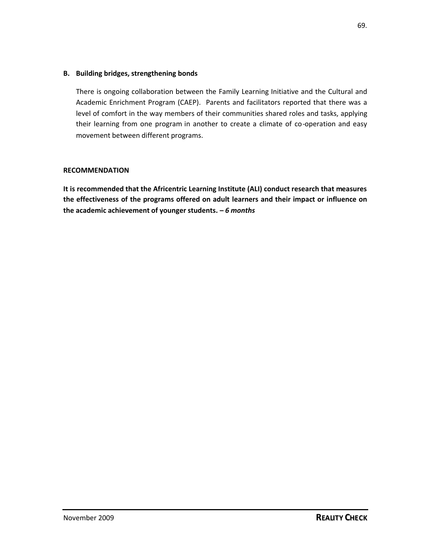### **B. Building bridges, strengthening bonds**

There is ongoing collaboration between the Family Learning Initiative and the Cultural and Academic Enrichment Program (CAEP). Parents and facilitators reported that there was a level of comfort in the way members of their communities shared roles and tasks, applying their learning from one program in another to create a climate of co-operation and easy movement between different programs.

### **RECOMMENDATION**

**It is recommended that the Africentric Learning Institute (ALI) conduct research that measures the effectiveness of the programs offered on adult learners and their impact or influence on the academic achievement of younger students. –** *6 months*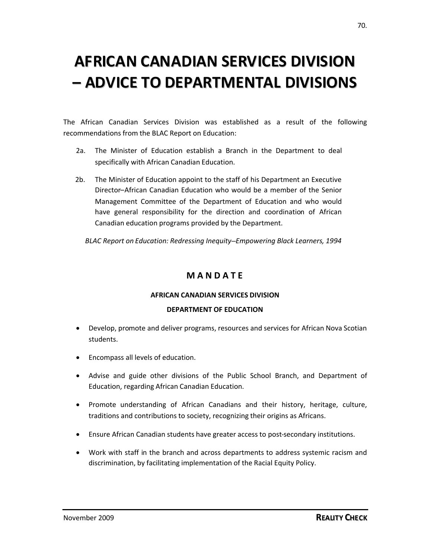## **AFRICAN CANADIAN SERVICES DIVISION – ADVICE TO DEPARTMENTAL DIVISIONS**

The African Canadian Services Division was established as a result of the following recommendations from the BLAC Report on Education:

- 2a. The Minister of Education establish a Branch in the Department to deal specifically with African Canadian Education.
- 2b. The Minister of Education appoint to the staff of his Department an Executive Director–African Canadian Education who would be a member of the Senior Management Committee of the Department of Education and who would have general responsibility for the direction and coordination of African Canadian education programs provided by the Department.

*BLAC Report on Education: Redressing Inequity–Empowering Black Learners, 1994*

## **M A N D A T E**

### **AFRICAN CANADIAN SERVICES DIVISION**

### **DEPARTMENT OF EDUCATION**

- Develop, promote and deliver programs, resources and services for African Nova Scotian students.
- Encompass all levels of education.
- Advise and guide other divisions of the Public School Branch, and Department of Education, regarding African Canadian Education.
- Promote understanding of African Canadians and their history, heritage, culture, traditions and contributions to society, recognizing their origins as Africans.
- Ensure African Canadian students have greater access to post-secondary institutions.
- Work with staff in the branch and across departments to address systemic racism and discrimination, by facilitating implementation of the Racial Equity Policy.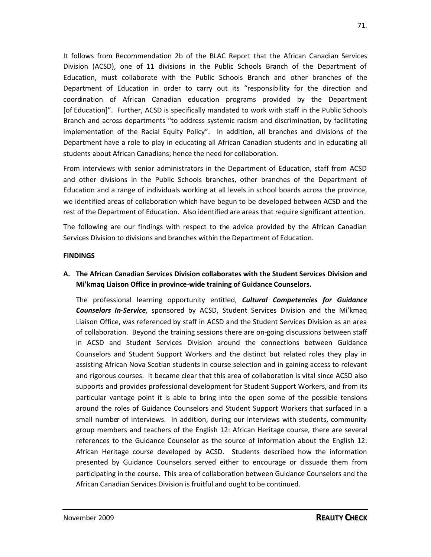It follows from Recommendation 2b of the BLAC Report that the African Canadian Services Division (ACSD), one of 11 divisions in the Public Schools Branch of the Department of Education, must collaborate with the Public Schools Branch and other branches of the Department of Education in order to carry out its "responsibility for the direction and coordination of African Canadian education programs provided by the Department [of Education]". Further, ACSD is specifically mandated to work with staff in the Public Schools Branch and across departments "to address systemic racism and discrimination, by facilitating implementation of the Racial Equity Policy". In addition, all branches and divisions of the Department have a role to play in educating all African Canadian students and in educating all students about African Canadians; hence the need for collaboration.

From interviews with senior administrators in the Department of Education, staff from ACSD and other divisions in the Public Schools branches, other branches of the Department of Education and a range of individuals working at all levels in school boards across the province, we identified areas of collaboration which have begun to be developed between ACSD and the rest of the Department of Education. Also identified are areas that require significant attention.

The following are our findings with respect to the advice provided by the African Canadian Services Division to divisions and branches within the Department of Education.

### **FINDINGS**

## **A. The African Canadian Services Division collaborates with the Student Services Division and Mi'kmaq Liaison Office in province-wide training of Guidance Counselors.**

The professional learning opportunity entitled, *Cultural Competencies for Guidance Counselors In-Service*, sponsored by ACSD, Student Services Division and the Mi'kmaq Liaison Office, was referenced by staff in ACSD and the Student Services Division as an area of collaboration. Beyond the training sessions there are on-going discussions between staff in ACSD and Student Services Division around the connections between Guidance Counselors and Student Support Workers and the distinct but related roles they play in assisting African Nova Scotian students in course selection and in gaining access to relevant and rigorous courses. It became clear that this area of collaboration is vital since ACSD also supports and provides professional development for Student Support Workers, and from its particular vantage point it is able to bring into the open some of the possible tensions around the roles of Guidance Counselors and Student Support Workers that surfaced in a small number of interviews. In addition, during our interviews with students, community group members and teachers of the English 12: African Heritage course, there are several references to the Guidance Counselor as the source of information about the English 12: African Heritage course developed by ACSD. Students described how the information presented by Guidance Counselors served either to encourage or dissuade them from participating in the course. This area of collaboration between Guidance Counselors and the African Canadian Services Division is fruitful and ought to be continued.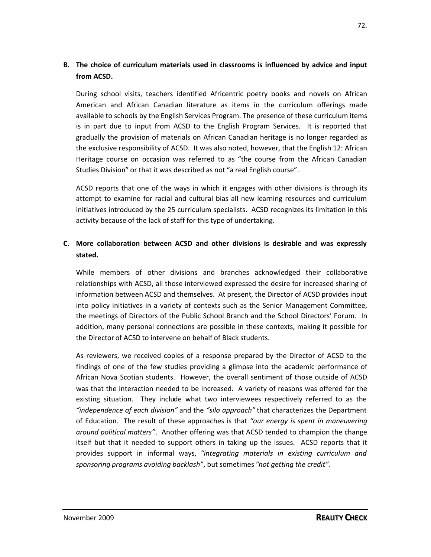# **B. The choice of curriculum materials used in classrooms is influenced by advice and input from ACSD.**

During school visits, teachers identified Africentric poetry books and novels on African American and African Canadian literature as items in the curriculum offerings made available to schools by the English Services Program. The presence of these curriculum items is in part due to input from ACSD to the English Program Services. It is reported that gradually the provision of materials on African Canadian heritage is no longer regarded as the exclusive responsibility of ACSD. It was also noted, however, that the English 12: African Heritage course on occasion was referred to as "the course from the African Canadian Studies Division" or that it was described as not "a real English course".

ACSD reports that one of the ways in which it engages with other divisions is through its attempt to examine for racial and cultural bias all new learning resources and curriculum initiatives introduced by the 25 curriculum specialists. ACSD recognizes its limitation in this activity because of the lack of staff for this type of undertaking.

# **C. More collaboration between ACSD and other divisions is desirable and was expressly stated.**

While members of other divisions and branches acknowledged their collaborative relationships with ACSD, all those interviewed expressed the desire for increased sharing of information between ACSD and themselves. At present, the Director of ACSD provides input into policy initiatives in a variety of contexts such as the Senior Management Committee, the meetings of Directors of the Public School Branch and the School Directors' Forum. In addition, many personal connections are possible in these contexts, making it possible for the Director of ACSD to intervene on behalf of Black students.

As reviewers, we received copies of a response prepared by the Director of ACSD to the findings of one of the few studies providing a glimpse into the academic performance of African Nova Scotian students. However, the overall sentiment of those outside of ACSD was that the interaction needed to be increased. A variety of reasons was offered for the existing situation. They include what two interviewees respectively referred to as the *"independence of each division"* and the *"silo approach"* that characterizes the Department of Education. The result of these approaches is that *"our energy is spent in maneuvering around political matters"*. Another offering was that ACSD tended to champion the change itself but that it needed to support others in taking up the issues. ACSD reports that it provides support in informal ways, *"integrating materials in existing curriculum and sponsoring programs avoiding backlash"*, but sometimes *"not getting the credit".*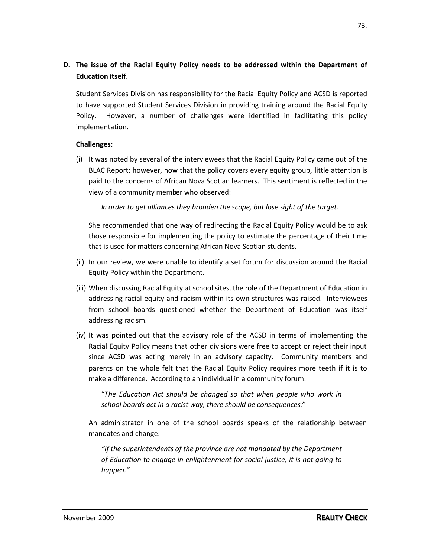# **D. The issue of the Racial Equity Policy needs to be addressed within the Department of Education itself**.

Student Services Division has responsibility for the Racial Equity Policy and ACSD is reported to have supported Student Services Division in providing training around the Racial Equity Policy. However, a number of challenges were identified in facilitating this policy implementation.

## **Challenges:**

(i) It was noted by several of the interviewees that the Racial Equity Policy came out of the BLAC Report; however, now that the policy covers every equity group, little attention is paid to the concerns of African Nova Scotian learners. This sentiment is reflected in the view of a community member who observed:

*In order to get alliances they broaden the scope, but lose sight of the target.*

She recommended that one way of redirecting the Racial Equity Policy would be to ask those responsible for implementing the policy to estimate the percentage of their time that is used for matters concerning African Nova Scotian students.

- (ii) In our review, we were unable to identify a set forum for discussion around the Racial Equity Policy within the Department.
- (iii) When discussing Racial Equity at school sites, the role of the Department of Education in addressing racial equity and racism within its own structures was raised. Interviewees from school boards questioned whether the Department of Education was itself addressing racism.
- (iv) It was pointed out that the advisory role of the ACSD in terms of implementing the Racial Equity Policy means that other divisions were free to accept or reject their input since ACSD was acting merely in an advisory capacity. Community members and parents on the whole felt that the Racial Equity Policy requires more teeth if it is to make a difference. According to an individual in a community forum:

"*The Education Act should be changed so that when people who work in school boards act in a racist way, there should be consequences."*

An administrator in one of the school boards speaks of the relationship between mandates and change:

*"If the superintendents of the province are not mandated by the Department of Education to engage in enlightenment for social justice, it is not going to happen."*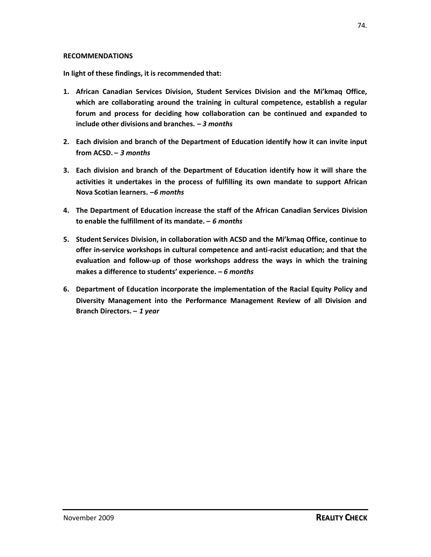#### **RECOMMENDATIONS**

**In light of these findings, it is recommended that:**

- **1. African Canadian Services Division, Student Services Division and the Mi'kmaq Office, which are collaborating around the training in cultural competence, establish a regular forum and process for deciding how collaboration can be continued and expanded to include other divisions and branches. –** *3 months*
- **2. Each division and branch of the Department of Education identify how it can invite input from ACSD. –** *3 months*
- **3. Each division and branch of the Department of Education identify how it will share the activities it undertakes in the process of fulfilling its own mandate to support African Nova Scotian learners.** *–6 months*
- **4. The Department of Education increase the staff of the African Canadian Services Division to enable the fulfillment of its mandate. –** *6 months*
- **5. Student Services Division, in collaboration with ACSD and the Mi'kmaq Office, continue to offer in-service workshops in cultural competence and anti-racist education; and that the evaluation and follow-up of those workshops address the ways in which the training makes a difference to students' experience. –** *6 months*
- **6. Department of Education incorporate the implementation of the Racial Equity Policy and Diversity Management into the Performance Management Review of all Division and Branch Directors.** *– 1 year*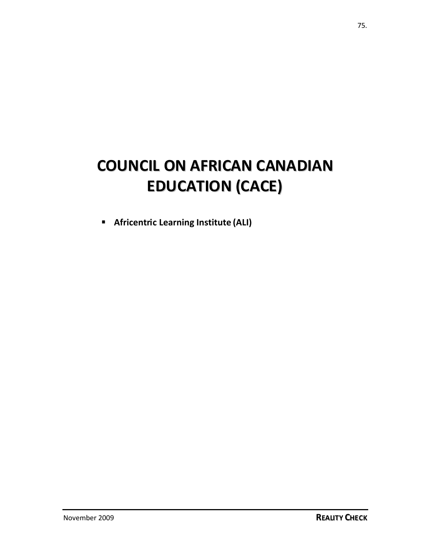# **COUNCIL ON AFRICAN CANADIAN EDUCATION (CACE)**

**Africentric Learning Institute (ALI)**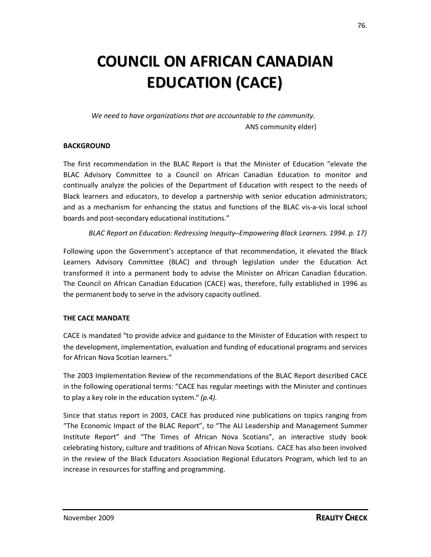# **COUNCIL ON AFRICAN CANADIAN EDUCATION (CACE)**

*We need to have organizations that are accountable to the community.* ANS community elder)

### **BACKGROUND**

The first recommendation in the BLAC Report is that the Minister of Education "elevate the BLAC Advisory Committee to a Council on African Canadian Education to monitor and continually analyze the policies of the Department of Education with respect to the needs of Black learners and educators, to develop a partnership with senior education administrators; and as a mechanism for enhancing the status and functions of the BLAC vis-a-vis local school boards and post-secondary educational institutions."

### *BLAC Report on Education: Redressing Inequity–Empowering Black Learners. 1994. p. 17)*

Following upon the Government's acceptance of that recommendation, it elevated the Black Learners Advisory Committee (BLAC) and through legislation under the Education Act transformed it into a permanent body to advise the Minister on African Canadian Education. The Council on African Canadian Education (CACE) was, therefore, fully established in 1996 as the permanent body to serve in the advisory capacity outlined.

#### **THE CACE MANDATE**

CACE is mandated "to provide advice and guidance to the Minister of Education with respect to the development, implementation, evaluation and funding of educational programs and services for African Nova Scotian learners."

The 2003 Implementation Review of the recommendations of the BLAC Report described CACE in the following operational terms: "CACE has regular meetings with the Minister and continues to play a key role in the education system." *(p.4).*

Since that status report in 2003, CACE has produced nine publications on topics ranging from "The Economic Impact of the BLAC Report", to "The ALI Leadership and Management Summer Institute Report" and "The Times of African Nova Scotians", an interactive study book celebrating history, culture and traditions of African Nova Scotians. CACE has also been involved in the review of the Black Educators Association Regional Educators Program, which led to an increase in resources for staffing and programming.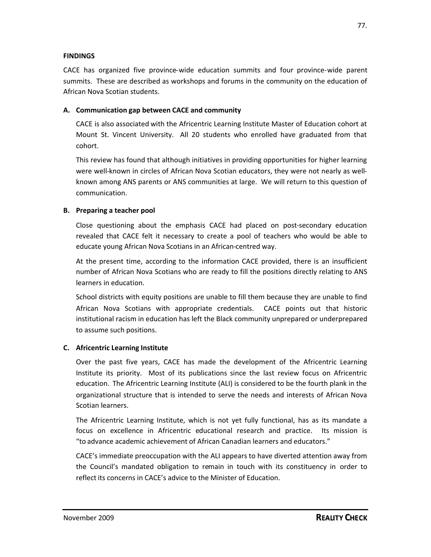### **FINDINGS**

CACE has organized five province-wide education summits and four province-wide parent summits. These are described as workshops and forums in the community on the education of African Nova Scotian students.

## **A. Communication gap between CACE and community**

CACE is also associated with the Africentric Learning Institute Master of Education cohort at Mount St. Vincent University. All 20 students who enrolled have graduated from that cohort.

This review has found that although initiatives in providing opportunities for higher learning were well-known in circles of African Nova Scotian educators, they were not nearly as wellknown among ANS parents or ANS communities at large. We will return to this question of communication.

## **B. Preparing a teacher pool**

Close questioning about the emphasis CACE had placed on post-secondary education revealed that CACE felt it necessary to create a pool of teachers who would be able to educate young African Nova Scotians in an African-centred way.

At the present time, according to the information CACE provided, there is an insufficient number of African Nova Scotians who are ready to fill the positions directly relating to ANS learners in education.

School districts with equity positions are unable to fill them because they are unable to find African Nova Scotians with appropriate credentials. CACE points out that historic institutional racism in education has left the Black community unprepared or underprepared to assume such positions.

# **C. Africentric Learning Institute**

Over the past five years, CACE has made the development of the Africentric Learning Institute its priority. Most of its publications since the last review focus on Africentric education. The Africentric Learning Institute (ALI) is considered to be the fourth plank in the organizational structure that is intended to serve the needs and interests of African Nova Scotian learners.

The Africentric Learning Institute, which is not yet fully functional, has as its mandate a focus on excellence in Africentric educational research and practice. Its mission is "to advance academic achievement of African Canadian learners and educators."

CACE's immediate preoccupation with the ALI appears to have diverted attention away from the Council's mandated obligation to remain in touch with its constituency in order to reflect its concerns in CACE's advice to the Minister of Education.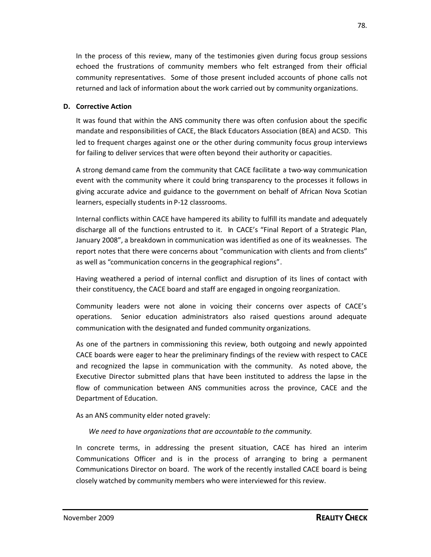In the process of this review, many of the testimonies given during focus group sessions echoed the frustrations of community members who felt estranged from their official community representatives. Some of those present included accounts of phone calls not returned and lack of information about the work carried out by community organizations.

### **D. Corrective Action**

It was found that within the ANS community there was often confusion about the specific mandate and responsibilities of CACE, the Black Educators Association (BEA) and ACSD. This led to frequent charges against one or the other during community focus group interviews for failing to deliver services that were often beyond their authority or capacities.

A strong demand came from the community that CACE facilitate a two-way communication event with the community where it could bring transparency to the processes it follows in giving accurate advice and guidance to the government on behalf of African Nova Scotian learners, especially students in P-12 classrooms.

Internal conflicts within CACE have hampered its ability to fulfill its mandate and adequately discharge all of the functions entrusted to it. In CACE's "Final Report of a Strategic Plan, January 2008", a breakdown in communication was identified as one of its weaknesses. The report notes that there were concerns about "communication with clients and from clients" as well as "communication concerns in the geographical regions".

Having weathered a period of internal conflict and disruption of its lines of contact with their constituency, the CACE board and staff are engaged in ongoing reorganization.

Community leaders were not alone in voicing their concerns over aspects of CACE's operations. Senior education administrators also raised questions around adequate communication with the designated and funded community organizations.

As one of the partners in commissioning this review, both outgoing and newly appointed CACE boards were eager to hear the preliminary findings of the review with respect to CACE and recognized the lapse in communication with the community. As noted above, the Executive Director submitted plans that have been instituted to address the lapse in the flow of communication between ANS communities across the province, CACE and the Department of Education.

As an ANS community elder noted gravely:

*We need to have organizations that are accountable to the community.*

In concrete terms, in addressing the present situation, CACE has hired an interim Communications Officer and is in the process of arranging to bring a permanent Communications Director on board. The work of the recently installed CACE board is being closely watched by community members who were interviewed for this review.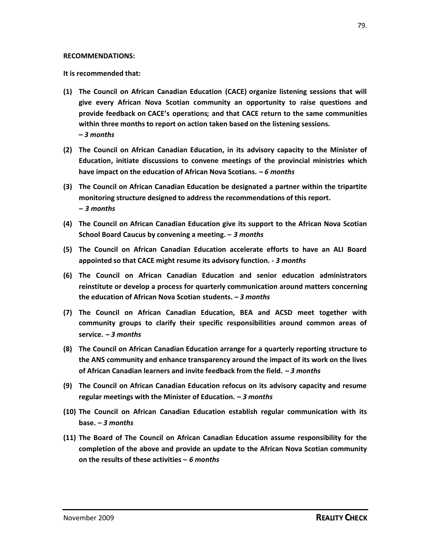#### **RECOMMENDATIONS:**

**It is recommended that:**

- **(1) The Council on African Canadian Education (CACE) organize listening sessions that will give every African Nova Scotian community an opportunity to raise questions and provide feedback on CACE's operations; and that CACE return to the same communities within three months to report on action taken based on the listening sessions. –** *3 months*
- **(2) The Council on African Canadian Education, in its advisory capacity to the Minister of Education, initiate discussions to convene meetings of the provincial ministries which have impact on the education of African Nova Scotians. –** *6 months*
- **(3) The Council on African Canadian Education be designated a partner within the tripartite monitoring structure designed to address the recommendations of this report. –** *3 months*
- **(4) The Council on African Canadian Education give its support to the African Nova Scotian School Board Caucus by convening a meeting. –** *3 months*
- **(5) The Council on African Canadian Education accelerate efforts to have an ALI Board appointed so that CACE might resume its advisory function. -** *3 months*
- **(6) The Council on African Canadian Education and senior education administrators reinstitute or develop a process for quarterly communication around matters concerning the education of African Nova Scotian students. –** *3 months*
- **(7) The Council on African Canadian Education, BEA and ACSD meet together with community groups to clarify their specific responsibilities around common areas of service. –** *3 months*
- **(8) The Council on African Canadian Education arrange for a quarterly reporting structure to the ANS community and enhance transparency around the impact of its work on the lives of African Canadian learners and invite feedback from the field. –** *3 months*
- **(9) The Council on African Canadian Education refocus on its advisory capacity and resume regular meetings with the Minister of Education. –** *3 months*
- **(10) The Council on African Canadian Education establish regular communication with its base. –** *3 months*
- **(11) The Board of The Council on African Canadian Education assume responsibility for the completion of the above and provide an update to the African Nova Scotian community on the results of these activities –** *6 months*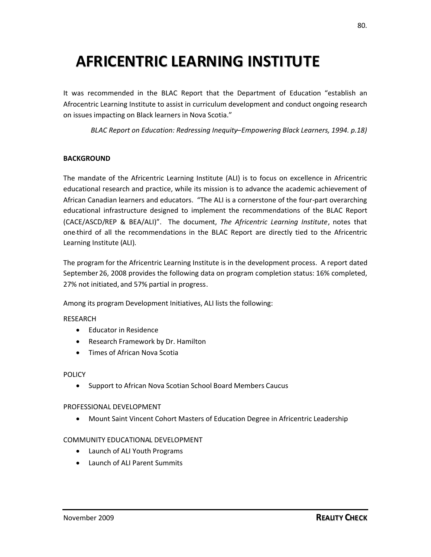# **AFRICENTRIC LEARNING INSTITUTE**

It was recommended in the BLAC Report that the Department of Education "establish an Afrocentric Learning Institute to assist in curriculum development and conduct ongoing research on issues impacting on Black learners in Nova Scotia."

*BLAC Report on Education: Redressing Inequity–Empowering Black Learners, 1994. p.18)*

### **BACKGROUND**

The mandate of the Africentric Learning Institute (ALI) is to focus on excellence in Africentric educational research and practice, while its mission is to advance the academic achievement of African Canadian learners and educators. "The ALI is a cornerstone of the four-part overarching educational infrastructure designed to implement the recommendations of the BLAC Report (CACE/ASCD/REP & BEA/ALI)". The document, *The Africentric Learning Institute*, notes that one-third of all the recommendations in the BLAC Report are directly tied to the Africentric Learning Institute (ALI).

The program for the Africentric Learning Institute is in the development process. A report dated September 26, 2008 provides the following data on program completion status: 16% completed, 27% not initiated, and 57% partial in progress.

Among its program Development Initiatives, ALI lists the following:

#### RESEARCH

- Educator in Residence
- Research Framework by Dr. Hamilton
- Times of African Nova Scotia

#### POLICY

• Support to African Nova Scotian School Board Members Caucus

#### PROFESSIONAL DEVELOPMENT

Mount Saint Vincent Cohort Masters of Education Degree in Africentric Leadership

#### COMMUNITY EDUCATIONAL DEVELOPMENT

- Launch of ALI Youth Programs
- Launch of ALI Parent Summits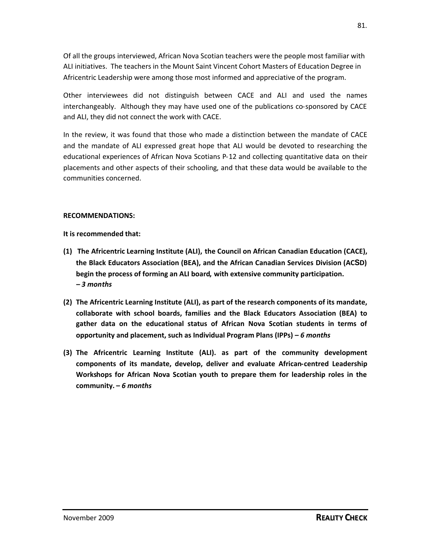Of all the groups interviewed, African Nova Scotian teachers were the people most familiar with ALI initiatives. The teachers in the Mount Saint Vincent Cohort Masters of Education Degree in Africentric Leadership were among those most informed and appreciative of the program.

Other interviewees did not distinguish between CACE and ALI and used the names interchangeably. Although they may have used one of the publications co-sponsored by CACE and ALI, they did not connect the work with CACE.

In the review, it was found that those who made a distinction between the mandate of CACE and the mandate of ALI expressed great hope that ALI would be devoted to researching the educational experiences of African Nova Scotians P-12 and collecting quantitative data on their placements and other aspects of their schooling, and that these data would be available to the communities concerned.

#### **RECOMMENDATIONS:**

**It is recommended that:**

- **(1) The Africentric Learning Institute (ALI), the Council on African Canadian Education (CACE), the Black Educators Association (BEA), and the African Canadian Services Division (ACSD) begin the process of forming an ALI board, with extensive community participation. –** *3 months*
- **(2) The Africentric Learning Institute (ALI), as part of the research components of its mandate, collaborate with school boards, families and the Black Educators Association (BEA) to gather data on the educational status of African Nova Scotian students in terms of opportunity and placement, such as Individual Program Plans (IPPs) –** *6 months*
- **(3) The Africentric Learning Institute (ALI). as part of the community development components of its mandate, develop, deliver and evaluate African-centred Leadership Workshops for African Nova Scotian youth to prepare them for leadership roles in the community. –** *6 months*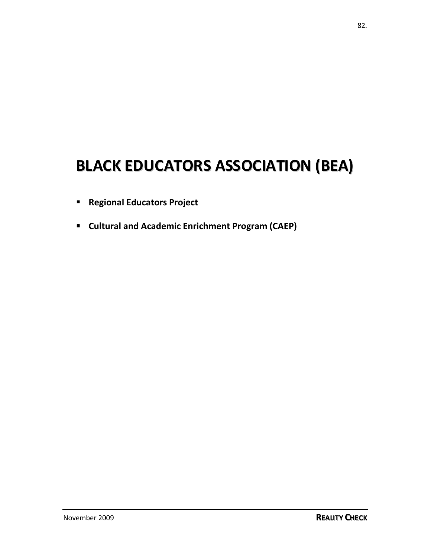# **BLACK EDUCATORS ASSOCIATION (BEA)**

- **Regional Educators Project**
- **Cultural and Academic Enrichment Program (CAEP)**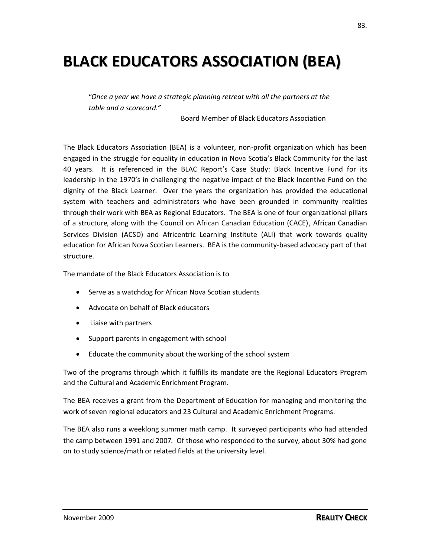# **BLACK EDUCATORS ASSOCIATION (BEA)**

"*Once a year we have a strategic planning retreat with all the partners at the table and a scorecard."*

Board Member of Black Educators Association

The Black Educators Association (BEA) is a volunteer, non-profit organization which has been engaged in the struggle for equality in education in Nova Scotia's Black Community for the last 40 years. It is referenced in the BLAC Report's Case Study: Black Incentive Fund for its leadership in the 1970's in challenging the negative impact of the Black Incentive Fund on the dignity of the Black Learner. Over the years the organization has provided the educational system with teachers and administrators who have been grounded in community realities through their work with BEA as Regional Educators. The BEA is one of four organizational pillars of a structure, along with the Council on African Canadian Education (CACE), African Canadian Services Division (ACSD) and Africentric Learning Institute (ALI) that work towards quality education for African Nova Scotian Learners. BEA is the community-based advocacy part of that structure.

The mandate of the Black Educators Association is to

- Serve as a watchdog for African Nova Scotian students
- Advocate on behalf of Black educators
- Liaise with partners
- Support parents in engagement with school
- Educate the community about the working of the school system

Two of the programs through which it fulfills its mandate are the Regional Educators Program and the Cultural and Academic Enrichment Program.

The BEA receives a grant from the Department of Education for managing and monitoring the work of seven regional educators and 23 Cultural and Academic Enrichment Programs.

The BEA also runs a weeklong summer math camp. It surveyed participants who had attended the camp between 1991 and 2007. Of those who responded to the survey, about 30% had gone on to study science/math or related fields at the university level.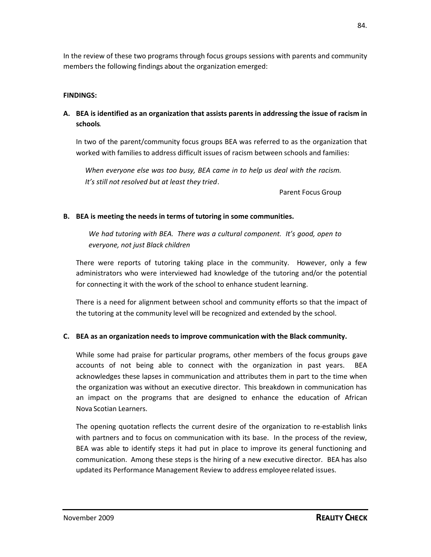In the review of these two programs through focus groups sessions with parents and community members the following findings about the organization emerged:

## **FINDINGS:**

# **A. BEA is identified as an organization that assists parents in addressing the issue of racism in schools**.

In two of the parent/community focus groups BEA was referred to as the organization that worked with families to address difficult issues of racism between schools and families:

*When everyone else was too busy, BEA came in to help us deal with the racism. It's still not resolved but at least they tried*.

Parent Focus Group

## **B. BEA is meeting the needs in terms of tutoring in some communities.**

*We had tutoring with BEA. There was a cultural component. It's good, open to everyone, not just Black children*

There were reports of tutoring taking place in the community. However, only a few administrators who were interviewed had knowledge of the tutoring and/or the potential for connecting it with the work of the school to enhance student learning.

There is a need for alignment between school and community efforts so that the impact of the tutoring at the community level will be recognized and extended by the school.

# **C. BEA as an organization needs to improve communication with the Black community.**

While some had praise for particular programs, other members of the focus groups gave accounts of not being able to connect with the organization in past years. BEA acknowledges these lapses in communication and attributes them in part to the time when the organization was without an executive director. This breakdown in communication has an impact on the programs that are designed to enhance the education of African Nova Scotian Learners.

The opening quotation reflects the current desire of the organization to re-establish links with partners and to focus on communication with its base. In the process of the review, BEA was able to identify steps it had put in place to improve its general functioning and communication. Among these steps is the hiring of a new executive director. BEA has also updated its Performance Management Review to address employee related issues.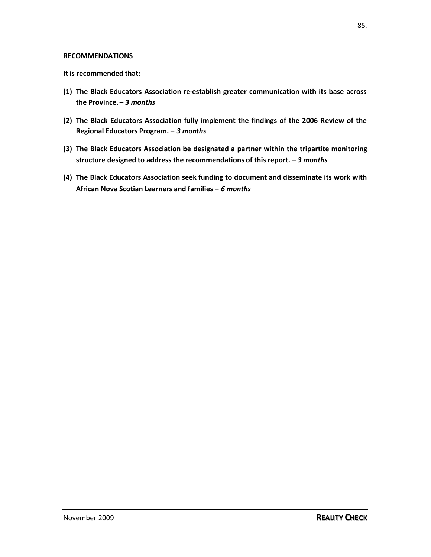#### **RECOMMENDATIONS**

#### **It is recommended that:**

- **(1) The Black Educators Association re-establish greater communication with its base across the Province. –** *3 months*
- **(2) The Black Educators Association fully implement the findings of the 2006 Review of the Regional Educators Program. –** *3 months*
- **(3) The Black Educators Association be designated a partner within the tripartite monitoring structure designed to address the recommendations of this report. –** *3 months*
- **(4) The Black Educators Association seek funding to document and disseminate its work with African Nova Scotian Learners and families –** *6 months*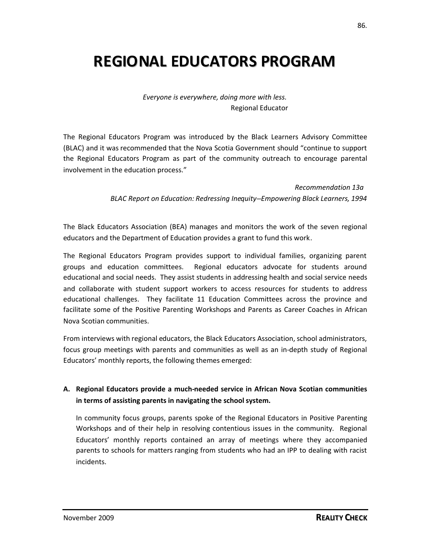# **REGIONAL EDUCATORS PROGRAM**

*Everyone is everywhere, doing more with less.* Regional Educator

The Regional Educators Program was introduced by the Black Learners Advisory Committee (BLAC) and it was recommended that the Nova Scotia Government should "continue to support the Regional Educators Program as part of the community outreach to encourage parental involvement in the education process."

> *Recommendation 13a BLAC Report on Education: Redressing Inequity–Empowering Black Learners, 1994*

The Black Educators Association (BEA) manages and monitors the work of the seven regional educators and the Department of Education provides a grant to fund this work.

The Regional Educators Program provides support to individual families, organizing parent groups and education committees. Regional educators advocate for students around educational and social needs. They assist students in addressing health and social service needs and collaborate with student support workers to access resources for students to address educational challenges. They facilitate 11 Education Committees across the province and facilitate some of the Positive Parenting Workshops and Parents as Career Coaches in African Nova Scotian communities.

From interviews with regional educators, the Black Educators Association, school administrators, focus group meetings with parents and communities as well as an in-depth study of Regional Educators' monthly reports, the following themes emerged:

# **A. Regional Educators provide a much-needed service in African Nova Scotian communities in terms of assisting parents in navigating the school system.**

In community focus groups, parents spoke of the Regional Educators in Positive Parenting Workshops and of their help in resolving contentious issues in the community. Regional Educators' monthly reports contained an array of meetings where they accompanied parents to schools for matters ranging from students who had an IPP to dealing with racist incidents.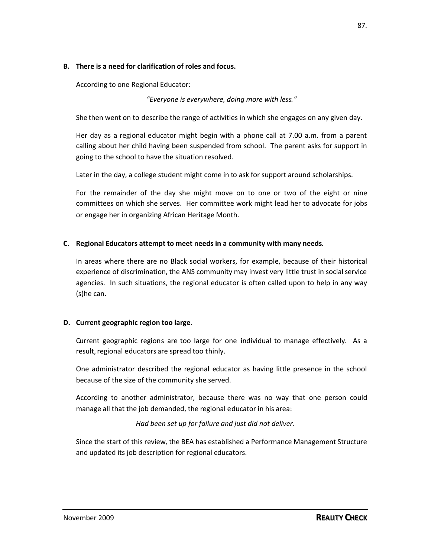### **B. There is a need for clarification of roles and focus.**

According to one Regional Educator:

## *"Everyone is everywhere, doing more with less."*

She then went on to describe the range of activities in which she engages on any given day.

Her day as a regional educator might begin with a phone call at 7.00 a.m. from a parent calling about her child having been suspended from school. The parent asks for support in going to the school to have the situation resolved.

Later in the day, a college student might come in to ask for support around scholarships.

For the remainder of the day she might move on to one or two of the eight or nine committees on which she serves. Her committee work might lead her to advocate for jobs or engage her in organizing African Heritage Month.

## **C. Regional Educators attempt to meet needs in a community with many needs**.

In areas where there are no Black social workers, for example, because of their historical experience of discrimination, the ANS community may invest very little trust in social service agencies. In such situations, the regional educator is often called upon to help in any way (s)he can.

## **D. Current geographic region too large.**

Current geographic regions are too large for one individual to manage effectively. As a result, regional educators are spread too thinly.

One administrator described the regional educator as having little presence in the school because of the size of the community she served.

According to another administrator, because there was no way that one person could manage all that the job demanded, the regional educator in his area:

*Had been set up for failure and just did not deliver.*

Since the start of this review, the BEA has established a Performance Management Structure and updated its job description for regional educators.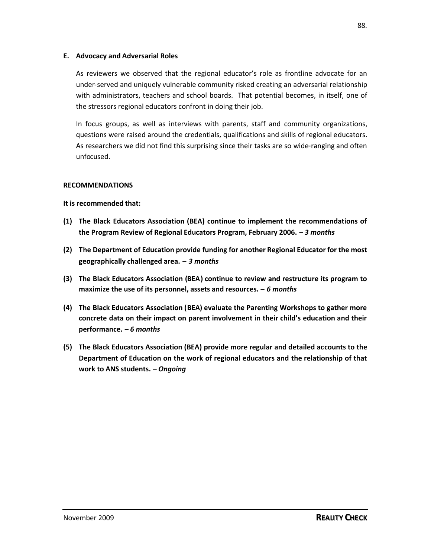### **E. Advocacy and Adversarial Roles**

As reviewers we observed that the regional educator's role as frontline advocate for an under-served and uniquely vulnerable community risked creating an adversarial relationship with administrators, teachers and school boards. That potential becomes, in itself, one of the stressors regional educators confront in doing their job.

In focus groups, as well as interviews with parents, staff and community organizations, questions were raised around the credentials, qualifications and skills of regional educators. As researchers we did not find this surprising since their tasks are so wide-ranging and often unfocused.

### **RECOMMENDATIONS**

**It is recommended that:**

- **(1) The Black Educators Association (BEA) continue to implement the recommendations of the Program Review of Regional Educators Program, February 2006. –** *3 months*
- **(2) The Department of Education provide funding for another Regional Educator for the most geographically challenged area. –** *3 months*
- **(3) The Black Educators Association (BEA) continue to review and restructure its program to maximize the use of its personnel, assets and resources. –** *6 months*
- **(4) The Black Educators Association (BEA) evaluate the Parenting Workshops to gather more concrete data on their impact on parent involvement in their child's education and their performance. –** *6 months*
- **(5) The Black Educators Association (BEA) provide more regular and detailed accounts to the Department of Education on the work of regional educators and the relationship of that work to ANS students. –** *Ongoing*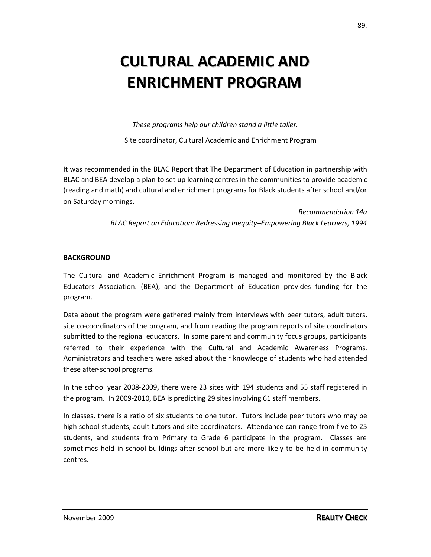# **CULTURAL ACADEMIC AND ENRICHMENT PROGRAM**

*These programs help our children stand a little taller.*

Site coordinator, Cultural Academic and Enrichment Program

It was recommended in the BLAC Report that The Department of Education in partnership with BLAC and BEA develop a plan to set up learning centres in the communities to provide academic (reading and math) and cultural and enrichment programs for Black students after school and/or on Saturday mornings.

> *Recommendation 14a BLAC Report on Education: Redressing Inequity–Empowering Black Learners, 1994*

#### **BACKGROUND**

The Cultural and Academic Enrichment Program is managed and monitored by the Black Educators Association. (BEA), and the Department of Education provides funding for the program.

Data about the program were gathered mainly from interviews with peer tutors, adult tutors, site co-coordinators of the program, and from reading the program reports of site coordinators submitted to the regional educators. In some parent and community focus groups, participants referred to their experience with the Cultural and Academic Awareness Programs. Administrators and teachers were asked about their knowledge of students who had attended these after-school programs.

In the school year 2008-2009, there were 23 sites with 194 students and 55 staff registered in the program. In 2009-2010, BEA is predicting 29 sites involving 61 staff members.

In classes, there is a ratio of six students to one tutor. Tutors include peer tutors who may be high school students, adult tutors and site coordinators. Attendance can range from five to 25 students, and students from Primary to Grade 6 participate in the program. Classes are sometimes held in school buildings after school but are more likely to be held in community centres.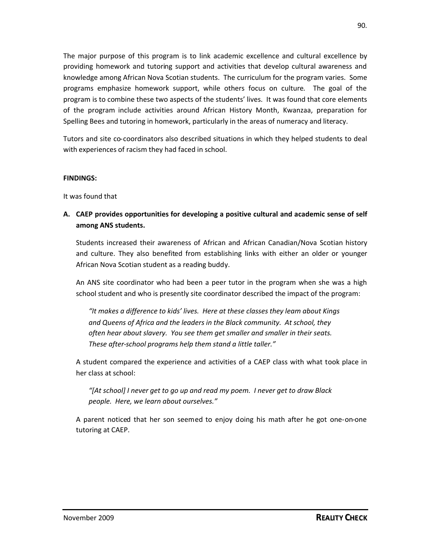The major purpose of this program is to link academic excellence and cultural excellence by providing homework and tutoring support and activities that develop cultural awareness and knowledge among African Nova Scotian students. The curriculum for the program varies. Some programs emphasize homework support, while others focus on culture. The goal of the program is to combine these two aspects of the students' lives. It was found that core elements of the program include activities around African History Month, Kwanzaa, preparation for Spelling Bees and tutoring in homework, particularly in the areas of numeracy and literacy.

Tutors and site co-coordinators also described situations in which they helped students to deal with experiences of racism they had faced in school.

#### **FINDINGS:**

It was found that

**A. CAEP provides opportunities for developing a positive cultural and academic sense of self among ANS students.**

Students increased their awareness of African and African Canadian/Nova Scotian history and culture. They also benefited from establishing links with either an older or younger African Nova Scotian student as a reading buddy.

An ANS site coordinator who had been a peer tutor in the program when she was a high school student and who is presently site coordinator described the impact of the program:

*"It makes a difference to kids' lives. Here at these classes they learn about Kings and Queens of Africa and the leaders in the Black community. At school, they often hear about slavery. You see them get smaller and smaller in their seats. These after-school programs help them stand a little taller."*

A student compared the experience and activities of a CAEP class with what took place in her class at school:

*"[At school] I never get to go up and read my poem. I never get to draw Black people. Here, we learn about ourselves."*

A parent noticed that her son seemed to enjoy doing his math after he got one-on-one tutoring at CAEP.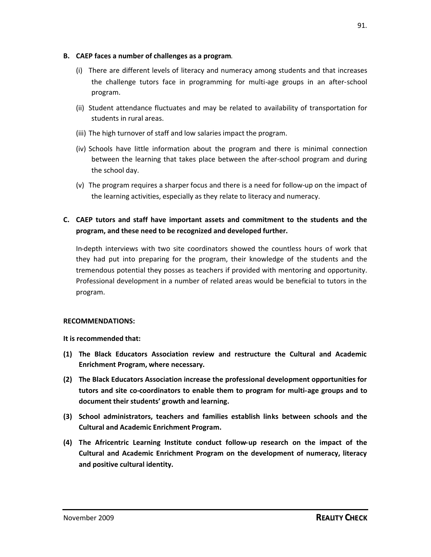### **B. CAEP faces a number of challenges as a program**.

- (i) There are different levels of literacy and numeracy among students and that increases the challenge tutors face in programming for multi-age groups in an after-school program.
- (ii) Student attendance fluctuates and may be related to availability of transportation for students in rural areas.
- (iii) The high turnover of staff and low salaries impact the program.
- (iv) Schools have little information about the program and there is minimal connection between the learning that takes place between the after-school program and during the school day.
- (v) The program requires a sharper focus and there is a need for follow-up on the impact of the learning activities, especially as they relate to literacy and numeracy.
- **C. CAEP tutors and staff have important assets and commitment to the students and the program, and these need to be recognized and developed further.**

In-depth interviews with two site coordinators showed the countless hours of work that they had put into preparing for the program, their knowledge of the students and the tremendous potential they posses as teachers if provided with mentoring and opportunity. Professional development in a number of related areas would be beneficial to tutors in the program.

## **RECOMMENDATIONS:**

**It is recommended that:**

- **(1) The Black Educators Association review and restructure the Cultural and Academic Enrichment Program, where necessary.**
- **(2) The Black Educators Association increase the professional development opportunities for tutors and site co-coordinators to enable them to program for multi-age groups and to document their students' growth and learning.**
- **(3) School administrators, teachers and families establish links between schools and the Cultural and Academic Enrichment Program.**
- **(4) The Africentric Learning Institute conduct follow-up research on the impact of the Cultural and Academic Enrichment Program on the development of numeracy, literacy and positive cultural identity.**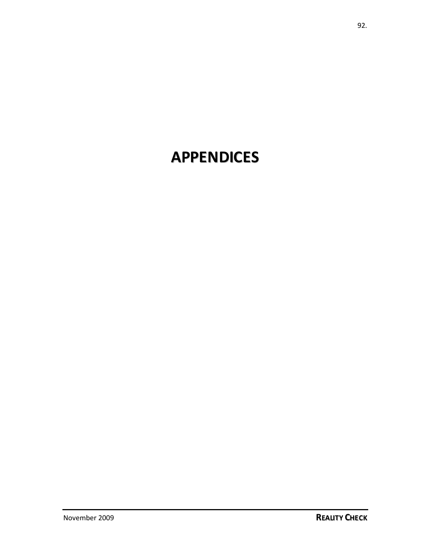# **APPENDICES**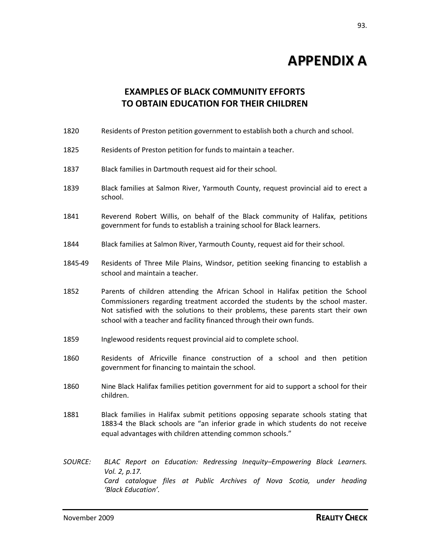# **APPENDIX A**

# **EXAMPLES OF BLACK COMMUNITY EFFORTS TO OBTAIN EDUCATION FOR THEIR CHILDREN**

- 1820 Residents of Preston petition government to establish both a church and school.
- 1825 Residents of Preston petition for funds to maintain a teacher.
- 1837 Black families in Dartmouth request aid for their school.
- 1839 Black families at Salmon River, Yarmouth County, request provincial aid to erect a school.
- 1841 Reverend Robert Willis, on behalf of the Black community of Halifax, petitions government for funds to establish a training school for Black learners.
- 1844 Black families at Salmon River, Yarmouth County, request aid for their school.
- 1845-49 Residents of Three Mile Plains, Windsor, petition seeking financing to establish a school and maintain a teacher.
- 1852 Parents of children attending the African School in Halifax petition the School Commissioners regarding treatment accorded the students by the school master. Not satisfied with the solutions to their problems, these parents start their own school with a teacher and facility financed through their own funds.
- 1859 Inglewood residents request provincial aid to complete school.
- 1860 Residents of Africville finance construction of a school and then petition government for financing to maintain the school.
- 1860 Nine Black Halifax families petition government for aid to support a school for their children.
- 1881 Black families in Halifax submit petitions opposing separate schools stating that 1883-4 the Black schools are "an inferior grade in which students do not receive equal advantages with children attending common schools."
- *SOURCE: BLAC Report on Education: Redressing Inequity*–*Empowering Black Learners. Vol. 2, p.17. Card catalogue files at Public Archives of Nova Scotia, under heading 'Black Education'.*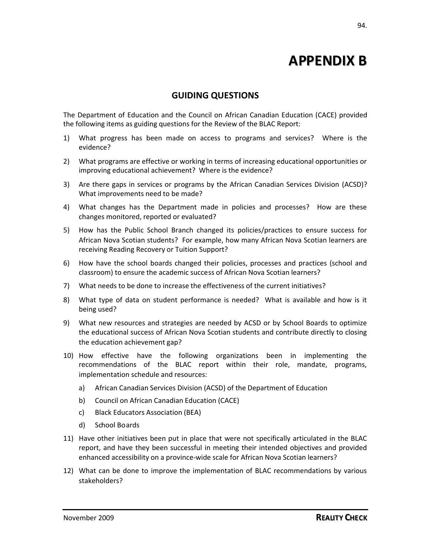# **APPENDIX B**

# **GUIDING QUESTIONS**

The Department of Education and the Council on African Canadian Education (CACE) provided the following items as guiding questions for the Review of the BLAC Report:

- 1) What progress has been made on access to programs and services? Where is the evidence?
- 2) What programs are effective or working in terms of increasing educational opportunities or improving educational achievement? Where is the evidence?
- 3) Are there gaps in services or programs by the African Canadian Services Division (ACSD)? What improvements need to be made?
- 4) What changes has the Department made in policies and processes? How are these changes monitored, reported or evaluated?
- 5) How has the Public School Branch changed its policies/practices to ensure success for African Nova Scotian students? For example, how many African Nova Scotian learners are receiving Reading Recovery or Tuition Support?
- 6) How have the school boards changed their policies, processes and practices (school and classroom) to ensure the academic success of African Nova Scotian learners?
- 7) What needs to be done to increase the effectiveness of the current initiatives?
- 8) What type of data on student performance is needed? What is available and how is it being used?
- 9) What new resources and strategies are needed by ACSD or by School Boards to optimize the educational success of African Nova Scotian students and contribute directly to closing the education achievement gap?
- 10) How effective have the following organizations been in implementing the recommendations of the BLAC report within their role, mandate, programs, implementation schedule and resources:
	- a) African Canadian Services Division (ACSD) of the Department of Education
	- b) Council on African Canadian Education (CACE)
	- c) Black Educators Association (BEA)
	- d) School Boards
- 11) Have other initiatives been put in place that were not specifically articulated in the BLAC report, and have they been successful in meeting their intended objectives and provided enhanced accessibility on a province-wide scale for African Nova Scotian learners?
- 12) What can be done to improve the implementation of BLAC recommendations by various stakeholders?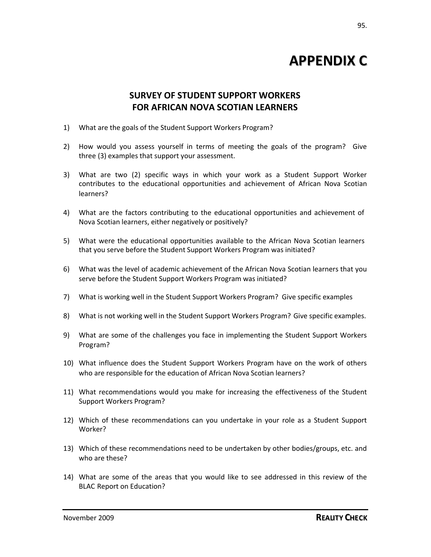# **APPENDIX C**

# **SURVEY OF STUDENT SUPPORT WORKERS FOR AFRICAN NOVA SCOTIAN LEARNERS**

- 1) What are the goals of the Student Support Workers Program?
- 2) How would you assess yourself in terms of meeting the goals of the program? Give three (3) examples that support your assessment.
- 3) What are two (2) specific ways in which your work as a Student Support Worker contributes to the educational opportunities and achievement of African Nova Scotian learners?
- 4) What are the factors contributing to the educational opportunities and achievement of Nova Scotian learners, either negatively or positively?
- 5) What were the educational opportunities available to the African Nova Scotian learners that you serve before the Student Support Workers Program was initiated?
- 6) What was the level of academic achievement of the African Nova Scotian learners that you serve before the Student Support Workers Program was initiated?
- 7) What is working well in the Student Support Workers Program? Give specific examples
- 8) What is not working well in the Student Support Workers Program? Give specific examples.
- 9) What are some of the challenges you face in implementing the Student Support Workers Program?
- 10) What influence does the Student Support Workers Program have on the work of others who are responsible for the education of African Nova Scotian learners?
- 11) What recommendations would you make for increasing the effectiveness of the Student Support Workers Program?
- 12) Which of these recommendations can you undertake in your role as a Student Support Worker?
- 13) Which of these recommendations need to be undertaken by other bodies/groups, etc. and who are these?
- 14) What are some of the areas that you would like to see addressed in this review of the BLAC Report on Education?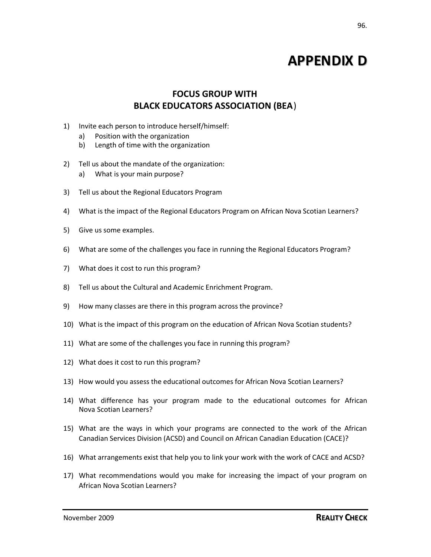# **APPENDIX D**

# **FOCUS GROUP WITH BLACK EDUCATORS ASSOCIATION (BEA**)

- 1) Invite each person to introduce herself/himself:
	- a) Position with the organization
	- b) Length of time with the organization
- 2) Tell us about the mandate of the organization:
	- a) What is your main purpose?
- 3) Tell us about the Regional Educators Program
- 4) What is the impact of the Regional Educators Program on African Nova Scotian Learners?
- 5) Give us some examples.
- 6) What are some of the challenges you face in running the Regional Educators Program?
- 7) What does it cost to run this program?
- 8) Tell us about the Cultural and Academic Enrichment Program.
- 9) How many classes are there in this program across the province?
- 10) What is the impact of this program on the education of African Nova Scotian students?
- 11) What are some of the challenges you face in running this program?
- 12) What does it cost to run this program?
- 13) How would you assess the educational outcomes for African Nova Scotian Learners?
- 14) What difference has your program made to the educational outcomes for African Nova Scotian Learners?
- 15) What are the ways in which your programs are connected to the work of the African Canadian Services Division (ACSD) and Council on African Canadian Education (CACE)?
- 16) What arrangements exist that help you to link your work with the work of CACE and ACSD?
- 17) What recommendations would you make for increasing the impact of your program on African Nova Scotian Learners?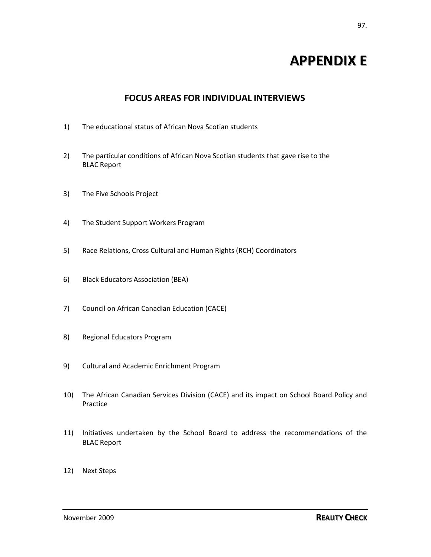# **APPENDIX E**

# **FOCUS AREAS FOR INDIVIDUAL INTERVIEWS**

- 1) The educational status of African Nova Scotian students
- 2) The particular conditions of African Nova Scotian students that gave rise to the BLAC Report
- 3) The Five Schools Project
- 4) The Student Support Workers Program
- 5) Race Relations, Cross Cultural and Human Rights (RCH) Coordinators
- 6) Black Educators Association (BEA)
- 7) Council on African Canadian Education (CACE)
- 8) Regional Educators Program
- 9) Cultural and Academic Enrichment Program
- 10) The African Canadian Services Division (CACE) and its impact on School Board Policy and Practice
- 11) Initiatives undertaken by the School Board to address the recommendations of the BLAC Report
- 12) Next Steps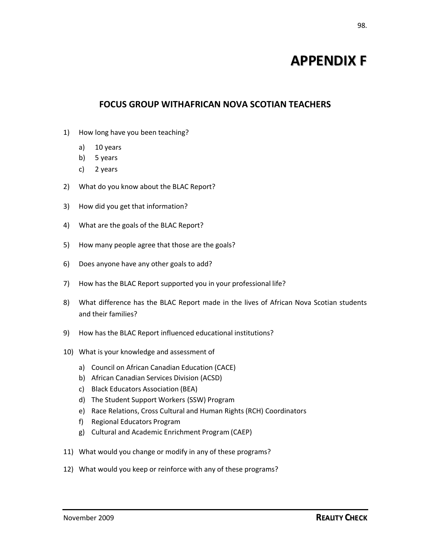# **APPENDIX F**

# **FOCUS GROUP WITHAFRICAN NOVA SCOTIAN TEACHERS**

- 1) How long have you been teaching?
	- a) 10 years
	- b) 5 years
	- c) 2 years
- 2) What do you know about the BLAC Report?
- 3) How did you get that information?
- 4) What are the goals of the BLAC Report?
- 5) How many people agree that those are the goals?
- 6) Does anyone have any other goals to add?
- 7) How has the BLAC Report supported you in your professional life?
- 8) What difference has the BLAC Report made in the lives of African Nova Scotian students and their families?
- 9) How has the BLAC Report influenced educational institutions?
- 10) What is your knowledge and assessment of
	- a) Council on African Canadian Education (CACE)
	- b) African Canadian Services Division (ACSD)
	- c) Black Educators Association (BEA)
	- d) The Student Support Workers (SSW) Program
	- e) Race Relations, Cross Cultural and Human Rights (RCH) Coordinators
	- f) Regional Educators Program
	- g) Cultural and Academic Enrichment Program (CAEP)
- 11) What would you change or modify in any of these programs?
- 12) What would you keep or reinforce with any of these programs?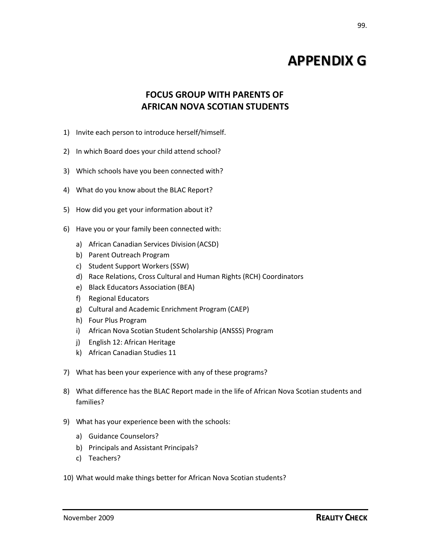# **APPENDIX G**

# **FOCUS GROUP WITH PARENTS OF AFRICAN NOVA SCOTIAN STUDENTS**

- 1) Invite each person to introduce herself/himself.
- 2) In which Board does your child attend school?
- 3) Which schools have you been connected with?
- 4) What do you know about the BLAC Report?
- 5) How did you get your information about it?
- 6) Have you or your family been connected with:
	- a) African Canadian Services Division (ACSD)
	- b) Parent Outreach Program
	- c) Student Support Workers(SSW)
	- d) Race Relations, Cross Cultural and Human Rights (RCH) Coordinators
	- e) Black Educators Association (BEA)
	- f) Regional Educators
	- g) Cultural and Academic Enrichment Program (CAEP)
	- h) Four Plus Program
	- i) African Nova Scotian Student Scholarship (ANSSS) Program
	- j) English 12: African Heritage
	- k) African Canadian Studies 11
- 7) What has been your experience with any of these programs?
- 8) What difference has the BLAC Report made in the life of African Nova Scotian students and families?
- 9) What has your experience been with the schools:
	- a) Guidance Counselors?
	- b) Principals and Assistant Principals?
	- c) Teachers?
- 10) What would make things better for African Nova Scotian students?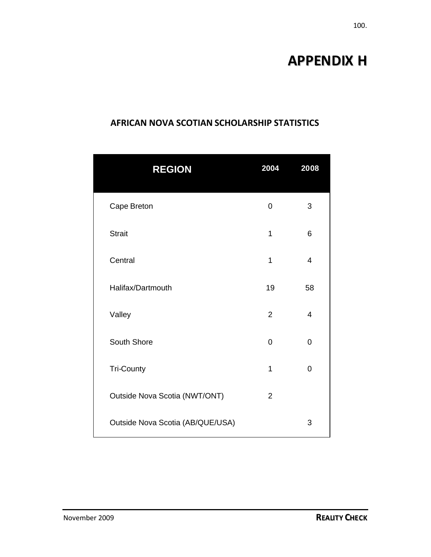# **APPENDIX H**

# **AFRICAN NOVA SCOTIAN SCHOLARSHIP STATISTICS**

| <b>REGION</b>                    | 2004           | 2008           |
|----------------------------------|----------------|----------------|
| Cape Breton                      | 0              | 3              |
| <b>Strait</b>                    | $\mathbf{1}$   | 6              |
| Central                          | $\overline{1}$ | $\overline{4}$ |
| Halifax/Dartmouth                | 19             | 58             |
| Valley                           | $\overline{2}$ | 4              |
| South Shore                      | 0              | 0              |
| <b>Tri-County</b>                | $\mathbf{1}$   | $\overline{0}$ |
| Outside Nova Scotia (NWT/ONT)    | $\overline{2}$ |                |
| Outside Nova Scotia (AB/QUE/USA) |                | 3              |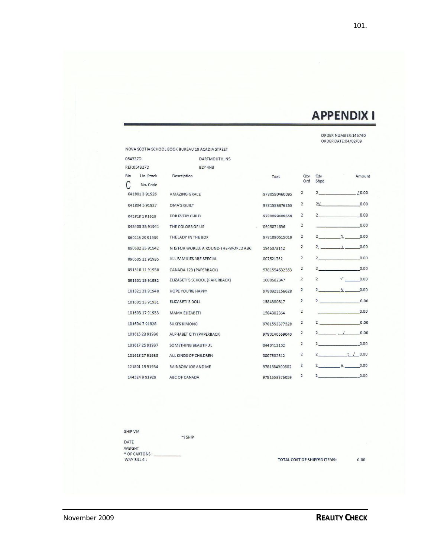# **APPENDIX I**

101.

ORDER NUMBER:145740<br>ORDER DATE:04/02/09

|         |                       | NOVA SCOTIA SCHOOL BOOK BUREAU 10 ACADIA STREET |               |                |                |              |          |
|---------|-----------------------|-------------------------------------------------|---------------|----------------|----------------|--------------|----------|
| 054327D |                       | DARTMOUTH, NS                                   |               |                |                |              |          |
|         | REF:054327D           | <b>B2Y 4H3</b>                                  |               |                |                |              |          |
| Bin     | Lin Stock<br>No. Code | Description                                     | Text          | Qtv<br>Ord     | Qtv<br>Shpd    |              | Amount   |
|         | 041801391926          | <b>AMAZING GRACE</b>                            | 9780590460095 | $\overline{2}$ | 2.             |              | 10.00    |
|         | 041804 5 91927        | <b>OMA'S GUILT</b>                              | 9781553376255 | $\overline{2}$ | 2V             |              | 0.00     |
|         | 042818191925          | FOR EVERY CHILD                                 | 9780099408659 | $\overline{2}$ | $\mathbf{2}$   |              | 0.00     |
|         | 043403 33 91941       | THE COLORS OF US                                | 0605071636    | $\overline{c}$ |                |              | 0.00     |
|         | 060115 29 91939       | THE LADY IN THE BOX                             | 9781890515010 | $\overline{2}$ | $\mathbf{2}$   | Y.           | 0.00     |
|         | 090602 35 91942       | N IS FOR WORLD: A ROUND-THE-WORLD ABC           | 1845073142    | $\overline{c}$ | 2.             |              | 0.00     |
|         | 090605 21 91935       | ALL FAMILIES ARE SPECIAL                        | 007521752     | $\overline{2}$ | $\overline{2}$ |              | 0.00     |
|         | 091518 11 91930       | CANADA 123 (PAPERBACK)                          | 9781554532353 | $\overline{2}$ | $\overline{2}$ |              | 0.00     |
|         | 091601 15 91932       | ELIZABETI'S SCHOOL (PAPERBACK)                  | 1600602347    | $\overline{2}$ | $\overline{2}$ | $\checkmark$ | 0.00     |
|         | 101321 31 91940       | HOPE YOU'RE HAPPY                               | 9780921156628 | $\overline{2}$ | $\overline{2}$ | V.           | 0.00     |
|         | 101601 13 91931       | <b>ELIZABETI'S DOLL</b>                         | 1584300817    | 2              | $2^{\circ}$    |              | 0.00     |
|         | 101603 17 91933       | MAMA ELIZABETI                                  | 1584302364    | $\overline{2}$ |                |              | 0.00     |
|         | 101604 7 91928        | <b>SUKI'S KIMONO</b>                            | 9781553377528 | 2              | $2^{\circ}$    |              | 0.00     |
|         | 101615 23 91936       | ALPHABET CITY (PAPERBACK)                       | 9780140559040 | $\overline{2}$ | $\mathbf{2}$   |              | 0.00     |
|         | 101617 25 91937       | SOMETHING BEAUTIFUL                             | 0440412102    | $\overline{2}$ | $\overline{2}$ |              | 0.00     |
|         | 101618 27 91938       | ALL KINDS OF CHILDREN                           | 0807502812    | $\overline{2}$ | $\mathbf{2}$   |              | t / 0.00 |
|         | 121801 1991934        | RAINBOW JOE AND ME                              | 9781584300502 | $\overline{2}$ | $\overline{2}$ | V            | 0.00     |
|         | 144524991929          | ABC OF CANADA                                   | 9781553376059 | $\overline{2}$ | $2^{\circ}$    |              | 0.00     |

SHIP VIA  $\gamma$  SHIP DATE WEIGHT \* OF CARTONS : \_\_<br>WAY BILL 4 :

TOTAL COST OF SHIPPED ITEMS:

 $0.00$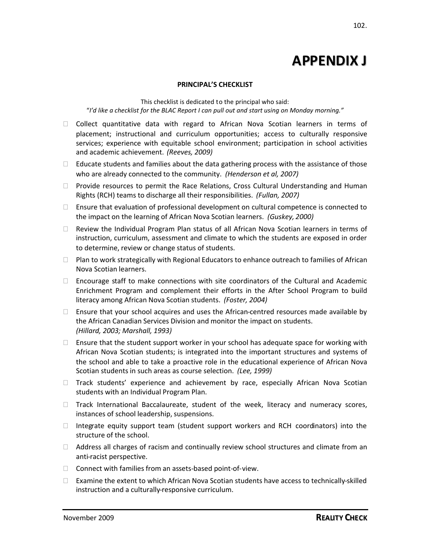# **APPENDIX J**

#### **PRINCIPAL'S CHECKLIST**

This checklist is dedicated to the principal who said: "*I'd like a checklist for the BLAC Report I can pull out and start using on Monday morning."*

- $\Box$  Collect quantitative data with regard to African Nova Scotian learners in terms of placement; instructional and curriculum opportunities; access to culturally responsive services; experience with equitable school environment; participation in school activities and academic achievement. *(Reeves, 2009)*
- $\Box$  Educate students and families about the data gathering process with the assistance of those who are already connected to the community. *(Henderson et al, 2007)*
- $\Box$  Provide resources to permit the Race Relations, Cross Cultural Understanding and Human Rights (RCH) teams to discharge all their responsibilities. *(Fullan, 2007)*
- $\Box$  Ensure that evaluation of professional development on cultural competence is connected to the impact on the learning of African Nova Scotian learners. *(Guskey, 2000)*
- $\Box$  Review the Individual Program Plan status of all African Nova Scotian learners in terms of instruction, curriculum, assessment and climate to which the students are exposed in order to determine, review or change status of students.
- $\Box$  Plan to work strategically with Regional Educators to enhance outreach to families of African Nova Scotian learners.
- $\Box$  Encourage staff to make connections with site coordinators of the Cultural and Academic Enrichment Program and complement their efforts in the After School Program to build literacy among African Nova Scotian students. *(Foster, 2004)*
- $\Box$  Ensure that your school acquires and uses the African-centred resources made available by the African Canadian Services Division and monitor the impact on students. *(Hillard, 2003; Marshall, 1993)*
- $\Box$  Ensure that the student support worker in your school has adequate space for working with African Nova Scotian students; is integrated into the important structures and systems of the school and able to take a proactive role in the educational experience of African Nova Scotian students in such areas as course selection. *(Lee, 1999)*
- $\Box$  Track students' experience and achievement by race, especially African Nova Scotian students with an Individual Program Plan.
- $\Box$  Track International Baccalaureate, student of the week, literacy and numeracy scores, instances of school leadership, suspensions.
- $\Box$  Integrate equity support team (student support workers and RCH coordinators) into the structure of the school.
- $\Box$  Address all charges of racism and continually review school structures and climate from an anti-racist perspective.
- $\Box$  Connect with families from an assets-based point-of-view.
- $\Box$  Examine the extent to which African Nova Scotian students have access to technically-skilled instruction and a culturally-responsive curriculum.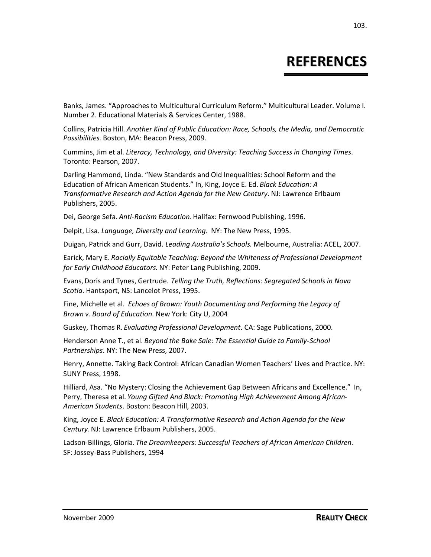# **REFERENCES**

Banks, James. "Approaches to Multicultural Curriculum Reform." Multicultural Leader. Volume I. Number 2. Educational Materials & Services Center, 1988.

Collins, Patricia Hill. *Another Kind of Public Education: Race, Schools, the Media, and Democratic Possibilities*. Boston, MA: Beacon Press, 2009.

Cummins, Jim et al. *Literacy, Technology, and Diversity: Teaching Success in Changing Times*. Toronto: Pearson, 2007.

Darling Hammond, Linda. "New Standards and Old Inequalities: School Reform and the Education of African American Students." In, King, Joyce E. Ed. *Black Education: A Transformative Research and Action Agenda for the New Century*. NJ: Lawrence Erlbaum Publishers, 2005.

Dei, George Sefa. *Anti-Racism Education*. Halifax: Fernwood Publishing, 1996.

Delpit, Lisa. *Language, Diversity and Learning*. NY: The New Press, 1995.

Duigan, Patrick and Gurr, David. *Leading Australia's Schools*. Melbourne, Australia: ACEL, 2007.

Earick, Mary E. *Racially Equitable Teaching: Beyond the Whiteness of Professional Development for Early Childhood Educators*. NY: Peter Lang Publishing, 2009.

Evans,Doris and Tynes, Gertrude. *Telling the Truth, Reflections: Segregated Schools in Nova Scotia*. Hantsport, NS: Lancelot Press, 1995.

Fine, Michelle et al. *Echoes of Brown: Youth Documenting and Performing the Legacy of Brown v. Board of Education*. New York: City U, 2004

Guskey, Thomas R. *Evaluating Professional Development*. CA: Sage Publications, 2000.

Henderson Anne T., et al. *Beyond the Bake Sale: The Essential Guide to Family-School Partnerships*. NY: The New Press, 2007.

Henry, Annette. Taking Back Control: African Canadian Women Teachers' Lives and Practice. NY: SUNY Press, 1998.

Hilliard, Asa. "No Mystery: Closing the Achievement Gap Between Africans and Excellence." In, Perry, Theresa et al. *Young Gifted And Black: Promoting High Achievement Among African-American Students*. Boston: Beacon Hill, 2003.

King, Joyce E. *Black Education: A Transformative Research and Action Agenda for the New Century*. NJ: Lawrence Erlbaum Publishers, 2005.

Ladson-Billings, Gloria. *The Dreamkeepers: Successful Teachers of African American Children*. SF: Jossey-Bass Publishers, 1994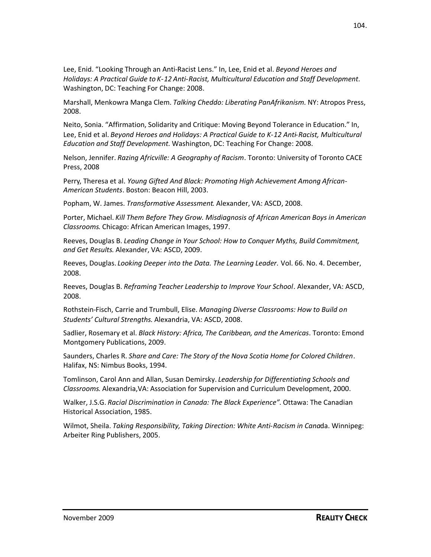Lee, Enid. "Looking Through an Anti-Racist Lens." In, Lee, Enid et al. *Beyond Heroes and Holidays: A Practical Guide to K-12 Anti-Racist, Multicultural Education and Staff Development*. Washington, DC: Teaching For Change: 2008.

Marshall, Menkowra Manga Clem. *Talking Cheddo: Liberating PanAfrikanism*. NY: Atropos Press, 2008.

Neito, Sonia. "Affirmation, Solidarity and Critique: Moving Beyond Tolerance in Education." In, Lee, Enid et al. *Beyond Heroes and Holidays: A Practical Guide to K-12 Anti-Racist, Multicultural Education and Staff Development*. Washington, DC: Teaching For Change: 2008.

Nelson, Jennifer. *Razing Africville: A Geography of Racism*. Toronto: University of Toronto CACE Press, 2008

Perry, Theresa et al. *Young Gifted And Black: Promoting High Achievement Among African-American Students*. Boston: Beacon Hill, 2003.

Popham, W. James. *Transformative Assessment*. Alexander, VA: ASCD, 2008.

Porter, Michael. *Kill Them Before They Grow. Misdiagnosis of African American Boys in American Classrooms*. Chicago: African American Images, 1997.

Reeves, Douglas B. *Leading Change in Your School: How to Conquer Myths, Build Commitment, and Get Results*. Alexander, VA: ASCD, 2009.

Reeves, Douglas. *Looking Deeper into the Data. The Learning Leader*. Vol. 66. No. 4. December, 2008.

Reeves, Douglas B. *Reframing Teacher Leadership to Improve Your School*. Alexander, VA: ASCD, 2008.

Rothstein-Fisch, Carrie and Trumbull, Elise. *Managing Diverse Classrooms: How to Build on Students' Cultural Strengths*. Alexandria, VA: ASCD, 2008.

Sadlier, Rosemary et al. *Black History: Africa, The Caribbean, and the Americas*. Toronto: Emond Montgomery Publications, 2009.

Saunders, Charles R. *Share and Care: The Story of the Nova Scotia Home for Colored Children*. Halifax, NS: Nimbus Books, 1994.

Tomlinson, Carol Ann and Allan, Susan Demirsky. *Leadership for Differentiating Schools and Classrooms*. Alexandria,VA: Association for Supervision and Curriculum Development, 2000.

Walker, J.S.G. *Racial Discrimination in Canada: The Black Experience"*. Ottawa: The Canadian Historical Association, 1985.

Wilmot, Sheila. *Taking Responsibility, Taking Direction: White Anti-Racism in Cana*da. Winnipeg: Arbeiter Ring Publishers, 2005.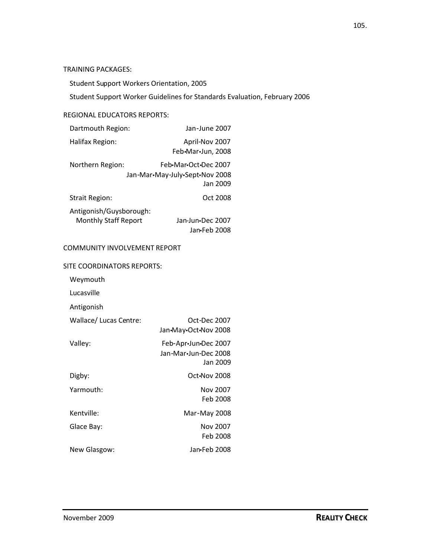Student Support Workers Orientation, 2005

Student Support Worker Guidelines for Standards Evaluation, February 2006

#### REGIONAL EDUCATORS REPORTS:

| Dartmouth Region:                                      | Jan-June 2007                                                       |  |  |  |
|--------------------------------------------------------|---------------------------------------------------------------------|--|--|--|
| Halifax Region:                                        | April-Nov 2007<br>Feb•Mar•Jun, 2008                                 |  |  |  |
| Northern Region:                                       | Feb•Mar•Oct•Dec 2007<br>Jan-Mar•May-July•Sept•Nov 2008<br>Jan 2009. |  |  |  |
| <b>Strait Region:</b>                                  | Oct 2008                                                            |  |  |  |
| Antigonish/Guysborough:<br><b>Monthly Staff Report</b> | Jan-Jun•Dec 2007<br>Jan-Feb 2008                                    |  |  |  |
| COMMUNITY INVOLVEMENT REPORT                           |                                                                     |  |  |  |
| SITE COORDINATORS REPORTS:<br>$M$ a $m$ auth           |                                                                     |  |  |  |

Weymouth

Lucasville

Antigonish

| Wallace/ Lucas Centre: | Oct-Dec 2007         |
|------------------------|----------------------|
|                        | Jan•May•Oct•Nov 2008 |
| Valley:                | Feb-Apr-Jun-Dec 2007 |
|                        | Jan-Mar•Jun-Dec 2008 |
|                        | Jan 2009             |
| Digby:                 | Oct.Nov 2008         |
| Yarmouth:              | Nov 2007             |
|                        | Feb 2008             |
| Kentville:             | Mar-May 2008         |
| Glace Bay:             | Nov 2007             |
|                        | Feb 2008             |
| New Glasgow:           | Jan•Feb 2008         |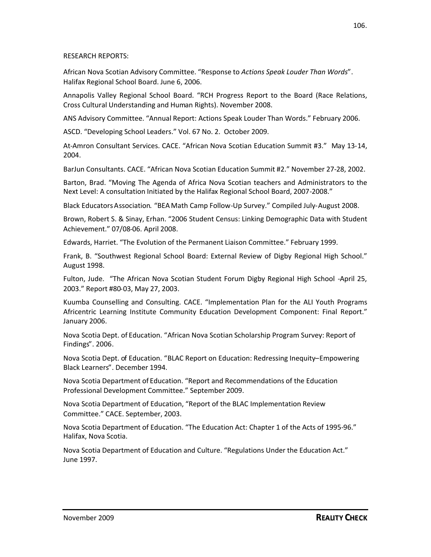African Nova Scotian Advisory Committee. "Response to *Actions Speak Louder Than Words*". Halifax Regional School Board. June 6, 2006.

Annapolis Valley Regional School Board. "RCH Progress Report to the Board (Race Relations, Cross Cultural Understanding and Human Rights). November 2008.

ANS Advisory Committee. "Annual Report: Actions Speak Louder Than Words." February 2006.

ASCD. "Developing School Leaders." Vol. 67 No. 2. October 2009.

At-Amron Consultant Services. CACE. "African Nova Scotian Education Summit #3." May 13-14, 2004.

BarJun Consultants. CACE. "African Nova Scotian Education Summit #2." November 27-28, 2002.

Barton, Brad. "Moving The Agenda of Africa Nova Scotian teachers and Administrators to the Next Level: A consultation Initiated by the Halifax Regional School Board, 2007-2008."

Black EducatorsAssociation. "BEA Math Camp Follow-Up Survey." Compiled July-August 2008.

Brown, Robert S. & Sinay, Erhan. "2006 Student Census: Linking Demographic Data with Student Achievement." 07/08-06. April 2008.

Edwards, Harriet. "The Evolution of the Permanent Liaison Committee." February 1999.

Frank, B. "Southwest Regional School Board: External Review of Digby Regional High School." August 1998.

Fulton, Jude. "The African Nova Scotian Student Forum Digby Regional High School -April 25, 2003." Report #80-03, May 27, 2003.

Kuumba Counselling and Consulting. CACE. "Implementation Plan for the ALI Youth Programs Africentric Learning Institute Community Education Development Component: Final Report." January 2006.

Nova Scotia Dept. of Education. "African Nova Scotian Scholarship Program Survey: Report of Findings". 2006.

Nova Scotia Dept. of Education. "BLAC Report on Education: Redressing Inequity–Empowering Black Learners". December 1994.

Nova Scotia Department of Education. "Report and Recommendations of the Education Professional Development Committee." September 2009.

Nova Scotia Department of Education, "Report of the BLAC Implementation Review Committee." CACE. September, 2003.

Nova Scotia Department of Education. "The Education Act: Chapter 1 of the Acts of 1995-96." Halifax, Nova Scotia.

Nova Scotia Department of Education and Culture. "Regulations Under the Education Act." June 1997.